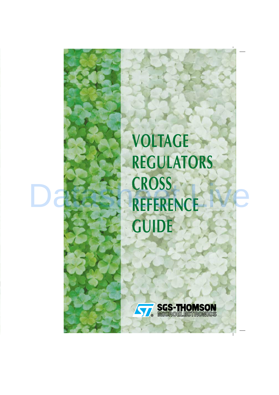**VOLTAGE REGULATORS CROSS REFERENCE GUIDE**



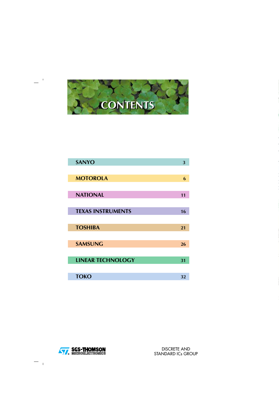

| <b>SANYO</b>             | 3  |
|--------------------------|----|
|                          |    |
| <b>MOTOROLA</b>          | 6  |
|                          |    |
| <b>NATIONAL</b>          | 11 |
|                          |    |
| <b>TEXAS INSTRUMENTS</b> | 16 |
|                          |    |
| <b>TOSHIBA</b>           | 21 |
|                          |    |
| <b>SAMSUNG</b>           | 26 |
|                          |    |
| <b>LINEAR TECHNOLOGY</b> | 31 |
|                          |    |
| <b>TOKO</b>              | 32 |

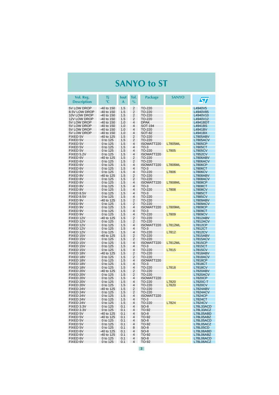#### **SANYO to ST**

<span id="page-2-0"></span>

| Vol. Reg.<br><b>Description</b> | Τj<br>$\circ$ C        | lout<br>A  | Tol.<br>$\%$                              | <b>Package</b>       | <b>SANYO</b>   | <b>S77</b>                         |
|---------------------------------|------------------------|------------|-------------------------------------------|----------------------|----------------|------------------------------------|
| 5V LOW DROP                     | $-40$ to 150           | 1.5        | 2                                         | TO-220               |                | L4940V5                            |
| 8.5V LOW DROP                   | -40 to 150             | 1.5        | $\overline{2}$                            | TO-220               |                | L4940V85                           |
| 10V LOW DROP                    | $-40$ to 150           | 1.5        | $\overline{2}$                            | TO-220               |                | L4940V10                           |
| 12V LOW DROP                    | $-40$ to 150           | 1.5        | $\overline{2}$                            | TO-220               |                | L4940V12                           |
| 5V LOW DROP                     | -40 to 150             | 1.0        | 4                                         | <b>DPAK</b>          |                | L4941BDT                           |
| 5V LOW DROP                     | -40 to 150             | 1.0        | 4                                         | SOT-194              |                | L4941BS                            |
| 5V LOW DROP                     | -40 to 150             | 1.0        | 4                                         | TO-220               |                | L4941BV                            |
| 5V LOW DROP                     | -40 to 150             | 1.0        | 4                                         | <b>SOT-82</b>        |                | L4941BX                            |
| FIXED 5V                        | -40 to 125             | 1.5        | 2                                         | TO-220               |                | <b>L7805ABV</b>                    |
| FIXED 5V                        | 0 to 125               | 1.5        | $\overline{2}$                            | TO-220               |                | <b>L7805ACV</b>                    |
| FIXED 5V                        | 0 to 125               | 1.5        | 4                                         | ISOWATT220           | <b>L7805ML</b> | <b>L7805CP</b>                     |
| FIXED 5V                        | 0 to 125               | 1.5        | 4                                         | $TO-3$               |                | L7805CT                            |
| FIXED 5V<br>FIXED 5.2V          | 0 to 125<br>0 to 125   | 1.5<br>1.5 | $\overline{4}$<br>4                       | TO-220<br>ISOWATT220 | L7805          | <b>L7805CV</b><br><b>L7852CV</b>   |
| FIXED 6V                        | -40 to 125             | 1.5        | $\overline{2}$                            | TO-220               |                | <b>L7806ABV</b>                    |
| FIXED 6V                        | 0 to 125               | 1.5        | $\overline{2}$                            | TO-220               |                | <b>L7806ACV</b>                    |
| FIXED 6V                        | 0 to 125               | 1.5        | $\overline{4}$                            | ISOWATT220           | <b>L7806ML</b> | <b>L7806CP</b>                     |
| FIXED 6V                        | 0 to 125               | 1.5        | $\overline{4}$                            | $TO-3$               |                | L7806CT                            |
| FIXED 6V                        | 0 to 125               | 1.5        | 4                                         | TO-220               | L7806          | <b>L7806CV</b>                     |
| FIXED 8V                        | -40 to 125             | 1.5        | $\overline{2}$                            | TO-220               |                | <b>L7808ABV</b>                    |
| FIXED 8V                        | 0 to 125               | 1.5        | $\overline{2}$                            | TO-220               |                | <b>L7808ACV</b>                    |
| FIXED 8V                        | 0 to 125               | 1.5        | $\overline{4}$                            | ISOWATT220           | <b>L7808ML</b> | <b>L7808CP</b>                     |
| FIXED 8V                        | 0 to 125               | 1.5        | 4                                         | $TO-3$               |                | L7808CT                            |
| FIXED 8V                        | 0 to 125               | 1.5        | 4                                         | TO-220               | L7808          | <b>L7808CV</b>                     |
| FIXED 8.5V                      | 0 to 125               | 1.5        | $\overline{\mathbf{4}}$                   | $TO-3$               |                | L7885CT                            |
| FIXED 8.5V                      | 0 to 125               | 1.5        | $\overline{\mathbf{4}}$                   | TO-220               |                | <b>L7885CV</b>                     |
| FIXED 9V                        | -40 to 125             | 1.5        | 2                                         | TO-220               |                | <b>L7809ABV</b>                    |
| FIXED 9V                        | 0 to 125               | 1.5        | 2                                         | TO-220               |                | <b>L7809ACV</b>                    |
| FIXED 9V                        | 0 to 125               | 1.5        | $\overline{\mathbf{4}}$                   | ISOWATT220           | <b>L7809ML</b> | L7809CP                            |
| FIXED 9V                        | 0 to 125               | 1.5        | $\overline{4}$                            | $TO-3$               |                | L7809CT                            |
| FIXED 9V                        | 0 to 125               | 1.5        | 4                                         | TO-220               | L7809          | <b>L7809CV</b>                     |
| FIXED 12V                       | -40 to 125             | 1.5        | $\overline{2}$                            | TO-220               |                | <b>L7812ABV</b>                    |
| FIXED 12V                       | 0 to 125               | 1.5        | $\overline{2}$<br>$\overline{\mathbf{4}}$ | TO-220               |                | L7812ACV                           |
| FIXED 12V<br>FIXED 12V          | 0 to 125               | 1.5        | $\overline{\mathbf{4}}$                   | ISOWATT220<br>$TO-3$ | <b>L7812ML</b> | <b>L7812CP</b><br>L7812CT          |
| FIXED 12V                       | 0 to 125<br>0 to 125   | 1.5<br>1.5 | 4                                         | TO-220               | L7812          | <b>L7812CV</b>                     |
| FIXED 15V                       | -40 to 125             | 1.5        | $\overline{2}$                            | TO-220               |                | <b>L7815ABV</b>                    |
| FIXED 15V                       | 0 to 125               | 1.5        | $\overline{2}$                            | TO-220               |                | <b>L7815ACV</b>                    |
| FIXED 15V                       | 0 to 125               | 1.5        | $\overline{\mathbf{4}}$                   | ISOWATT220           | <b>L7812ML</b> | <b>L7815CP</b>                     |
| FIXED 15V                       | 0 to 125               | 1.5        | 4                                         | $TO-3$               |                | L7815CT                            |
| FIXED 15V                       | 0 to 125               | 1.5        | 4                                         | TO-220               | L7815          | <b>L7815CV</b>                     |
| FIXED 18V                       | -40 to 125             | 1.5        | $\overline{2}$                            | TO-220               |                | <b>L7818ABV</b>                    |
| FIXED 18V                       | 0 to 125               | 1.5        | $\overline{2}$                            | TO-220               |                | <b>L7818ACV</b>                    |
| FIXED 18V                       | 0 to 125               | 1.5        | $\overline{4}$                            | ISOWATT220           |                | <b>L7818CP</b>                     |
| FIXED 18V                       | 0 to 125               | 1.5        | 4                                         | $TO-3$               |                | L7818CT                            |
| FIXED 18V                       | 0 to 125               | 1.5        | 4                                         | TO-220               | L7818          | <b>L7818CV</b>                     |
| FIXED 20V                       | -40 to 125             | 1.5        | $\overline{2}$                            | TO-220               |                | <b>L7820ABV</b>                    |
| FIXED 20V                       | 0 to 125               | 1.5        | 2                                         | TO-220               |                | <b>L7820ACV</b>                    |
| FIXED 20V                       | 0 to 125               | 1.5        | 4                                         | ISOWATT220           |                | <b>L7820CP</b>                     |
| FIXED 20V                       | 0 to 125               | 1.5        | 4                                         | TO-220               | L7820          | L7820C-T                           |
| FIXED 20V<br>FIXED 24V          | 0 to 125               | 1.5        | 4<br>2                                    | TO-220               | L7820          | <b>L7820CV</b>                     |
| FIXED 24V                       | -40 to 125<br>0 to 125 | 1.5<br>1.5 | $\overline{2}$                            | TO-220<br>TO-220     |                | <b>L7824ABV</b><br><b>L7824ACV</b> |
| FIXED 24V                       | 0 to 125               | 1.5        | 4                                         | ISOWATT220           |                | <b>L7824CP</b>                     |
| FIXED 24V                       | 0 to 125               | 1.5        | 4                                         | $TO-3$               |                | <b>L7824CT</b>                     |
| FIXED 24V                       | 0 to 125               | 1.5        | 4                                         | TO-220               | L7824          | <b>L7824CV</b>                     |
| FIXED 3.3V                      | 0 to 125               | 0.1        | 4                                         | SO-8                 |                | L78L33ACD                          |
| FIXED 3.3V                      | 0 to 125               | 0.1        | 4                                         | TO-92                |                | L78L33ACZ                          |
| FIXED 5V                        | -40 to 125             | 0.1        | 4                                         | $SO-8$               |                | L78L05ABD                          |
| FIXED 5V                        | -40 to 125             | 0.1        | 4                                         | TO-92                |                | L78L05ABZ                          |
| FIXED 5V                        | 0 to 125               | 0.1        | $\overline{4}$                            | $SO-8$               |                | L78L05ACD                          |
| FIXED 5V                        | 0 to 125               | 0.1        | 4                                         | TO-92                |                | L78L05ACZ                          |
| FIXED 5V                        | 0 to 125               | 0.1        | 8                                         | $SO-8$               |                | <b>L78L05CD</b>                    |
| FIXED 6V                        | -40 to 125             | 0.1        | 4                                         | $SO-8$               |                | L78L06ABD                          |
| FIXED 6V                        | -40 to 125             | 0.1        | 4                                         | TO-92                |                | L78L06ABZ                          |
| FIXED 6V                        | 0 to 125               | 0.1        | 4                                         | SO-8                 |                | L78L06ACD                          |
| FIXED 6V                        | 0 to 125               | 0.1        | 4                                         | TO-92                |                | L78L06ACZ                          |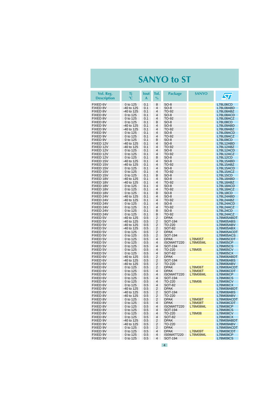#### **SANYO to ST**

| Vol. Reg.<br><b>Description</b> | Τi<br>$\rm ^{\circ}C$    | lout<br>A  | Tol.<br>$\%$                     | <b>Package</b>               | <b>SANYO</b>                      | $\bm{\mathcal{S}}$                 |
|---------------------------------|--------------------------|------------|----------------------------------|------------------------------|-----------------------------------|------------------------------------|
| FIXED 6V                        | 0 to 125                 | 0.1        | 8                                | $SO-8$                       |                                   | <b>L78L06CD</b>                    |
| FIXED 8V                        | -40 to 125               | 0.1        | 4                                | SO-8                         |                                   | L78L08ABD                          |
| <b>FIXED 8V</b>                 | -40 to 125               | 0.1        | 4                                | TO-92                        |                                   | L78L08ABZ                          |
| FIXED 8V                        | 0 to 125                 | 0.1        | 4                                | SO-8                         |                                   | L78L08ACD                          |
| <b>FIXED 8V</b>                 | 0 to 125                 | 0.1        | 4                                | TO-92                        |                                   | L78L08ACZ                          |
| FIXED 8V                        | 0 to 125                 | 0.1        | 8<br>4                           | SO-8                         |                                   | <b>L78L08CD</b>                    |
| FIXED 9V<br>FIXED 9V            | -40 to 125<br>-40 to 125 | 0.1<br>0.1 | 4                                | SO-8<br>TO-92                |                                   | L78L09ABD<br>L78L09ABZ             |
| FIXED 9V                        | 0 to 125                 | 0.1        | 4                                | $SO-8$                       |                                   | L78L09ACD                          |
| FIXED 9V                        | 0 to 125                 | 0.1        | 4                                | TO-92                        |                                   | L78L09ACZ                          |
| FIXED 9V                        | 0 to 125                 | 0.1        | 8                                | SO-8                         |                                   | L78L09CD                           |
| FIXED 12V                       | -40 to 125               | 0.1        | 4                                | SO-8                         |                                   | L78L12ABD                          |
| FIXED 12V                       | -40 to 125               | 0.1        | 4                                | TO-92                        |                                   | L78L12ABZ                          |
| FIXED 12V                       | 0 to 125                 | 0.1        | 4                                | SO-8                         |                                   | L78L12ACD                          |
| FIXED 12V<br>FIXED 12V          | 0 to 125<br>0 to 125     | 0.1<br>0.1 | 4<br>8                           | TO-92<br>SO-8                |                                   | L78L12ACZ<br><b>L78L12CD</b>       |
| FIXED 15V                       | -40 to 125               | 0.1        | 4                                | SO-8                         |                                   | L78L15ABD                          |
| FIXED 15V                       | -40 to 125               | 0.1        | 4                                | TO-92                        |                                   | L78L15ABZ                          |
| FIXED 15V                       | 0 to 125                 | 0.1        | $\overline{4}$                   | SO-8                         |                                   | L78L15ACD                          |
| FIXED 15V                       | 0 to 125                 | 0.1        | $\overline{4}$                   | TO-92                        |                                   | L78L15ACZ                          |
| FIXED 15V                       | 0 to 125                 | 0.1        | 8                                | SO-8                         |                                   | L78L15CD                           |
| FIXED 18V                       | -40 to 125               | 0.1        | 4                                | SO-8                         |                                   | L78L18ABD                          |
| FIXED 18V<br>FIXED 18V          | -40 to 125               | 0.1        | $\overline{4}$<br>$\overline{4}$ | TO-92                        |                                   | L78L18ABZ                          |
| FIXED 18V                       | 0 to 125<br>0 to 125     | 0.1<br>0.1 | $\overline{4}$                   | $SO-8$<br><b>TO-92</b>       |                                   | L78L18ACD<br>L78L18ACZ             |
| FIXED 18V                       | 0 to 125                 | 0.1        | 8                                | $SO-8$                       |                                   | <b>L78L18CD</b>                    |
| FIXED 24V                       | -40 to 125               | 0.1        | 4                                | SO-8                         |                                   | L78L24ABD                          |
| FIXED 24V                       | -40 to 125               | 0.1        | 4                                | TO-92                        |                                   | L78L24ABZ                          |
| FIXED 24V                       | 0 to 125                 | 0.1        | $\overline{4}$                   | SO-8                         |                                   | L78L24ACD                          |
| FIXED 24V                       | 0 to 125                 | 0.1        | 4                                | TO-92                        |                                   | L78L24ACZ                          |
| FIXED 24V                       | 0 to 125                 | 0.1        | 8                                | SO-8                         |                                   | L78L24CD                           |
| FIXED 24V<br>FIXED 5V           | 0 to 125                 | 0.1<br>0.5 | 8<br>$\overline{2}$              | TO-92<br><b>DPAK</b>         |                                   | L78L24ACZ                          |
| <b>FIXED 5V</b>                 | -40 to 125<br>-40 to 125 | 0.5        | 2                                | SOT-194                      |                                   | L78M05ABDT<br>L78M05ABS            |
| <b>FIXED 5V</b>                 | -40 to 125               | 0.5        | 2                                | TO-220                       |                                   | L78M05ABV                          |
| <b>FIXED 5V</b>                 | -40 to 125               | 0.5        | 2                                | SOT-82                       |                                   | L78M05ABX                          |
| <b>FIXED 5V</b>                 | 0 to 125                 | 0.5        | 2                                | <b>DPAK</b>                  |                                   | L78M05ACDT                         |
| <b>FIXED 5V</b>                 | 0 to 125                 | 0.5        | 2                                | SOT-194                      |                                   | L78M05ACS                          |
| <b>FIXED 5V</b>                 | 0 to 125                 | 0.5        | 4                                | <b>DPAK</b>                  | L78M05T                           | L78M05CDT                          |
| <b>FIXED 5V</b><br>FIXED 5V     | 0 to 125                 | 0.5        | 4<br>4                           | ISOWATT220                   | L78M05ML                          | <b>L78M05CP</b>                    |
| <b>FIXED 5V</b>                 | 0 to 125<br>0 to 125     | 0.5<br>0.5 | 4                                | SOT-194<br>TO-220            | L78M05                            | <b>L78M05CS</b><br>L78M05CV        |
| <b>FIXED 5V</b>                 | 0 to 125                 | 0.5        | $\overline{4}$                   | SOT-82                       |                                   | L78M05CX                           |
| FIXED 6V                        | -40 to 125               | 0.5        | 2                                | DPAK                         |                                   | L78M06ABDT                         |
| FIXED 6V                        | -40 to 125               | 0.5        | 2                                | SOT-194                      |                                   | L78M06ABS                          |
| FIXED 6V                        | -40 to 125               | 0.5        | 2                                | TO-220                       |                                   | L78M06ABV                          |
| FIXED 6V                        | 0 to 125                 | 0.5        | 2                                | <b>DPAK</b>                  | L78M06T                           | L78M06ACDT                         |
| FIXED 6V                        | 0 to 125                 | 0.5        | $\overline{4}$                   | <b>DPAK</b>                  | L78M06T                           | L78M06CDT                          |
| FIXED 6V<br>FIXED 6V            | 0 to 125<br>0 to 125     | 0.5<br>0.5 | $\overline{4}$<br>4              | ISOWATT220<br>SOT-194        | L78M06ML                          | L78M06CP<br><b>L78M06CS</b>        |
| FIXED 6V                        | 0 to 125                 | 0.5        | $\overline{4}$                   | TO-220                       | L78M06                            | <b>L78M06CV</b>                    |
| FIXED 6V                        | 0 to 125                 | 0.5        | $\overline{4}$                   | SOT-82                       |                                   | L78M06CX                           |
| FIXED 8V                        | -40 to 125               | 0.5        | 2                                | <b>DPAK</b>                  |                                   | L78M08ABDT                         |
| FIXED 8V                        | -40 to 125               | 0.5        | 2                                | SOT-194                      |                                   | L78M08ABS                          |
| <b>FIXED 8V</b>                 | -40 to 125               | 0.5        | 2                                | TO-220                       |                                   | L78M08ABV                          |
| FIXED 8V                        | 0 to 125                 | 0.5        | 2                                | DPAK                         | L78M08T                           | L78M08ACDT                         |
| FIXED 8V<br>FIXED 8V            | 0 to 125<br>0 to 125     | 0.5<br>0.5 | 4<br>4                           | <b>DPAK</b><br>ISOWATT220    | <b>L78M08T</b><br><b>L78M08ML</b> | L78M08CDT<br><b>L78M08CP</b>       |
| FIXED 8V                        | 0 to 125                 | 0.5        | 4                                | SOT-194                      |                                   | <b>L78M08CS</b>                    |
| FIXED 8V                        | 0 to 125                 | 0.5        | $\overline{4}$                   | TO-220                       | L78M08                            | <b>L78M08CV</b>                    |
| FIXED 8V                        | 0 to 125                 | 0.5        | 4                                | <b>SOT-82</b>                |                                   | <b>L78M08CX</b>                    |
| FIXED 9V                        | -40 to 125               | 0.5        | 2                                | <b>DPAK</b>                  |                                   | L78M09ABDT                         |
| FIXED 9V                        | -40 to 125               | 0.5        | 2                                | TO-220                       |                                   | L78M09ABV                          |
| FIXED 9V                        | 0 to 125                 | 0.5        | 2                                | <b>DPAK</b>                  |                                   | L78M09ACDT                         |
| FIXED 9V                        | 0 to 125                 | 0.5        | 4                                | <b>DPAK</b>                  | <b>L78M09T</b>                    | L78M09CDT                          |
| FIXED 9V                        | 0 to 125                 | 0.5        | 4<br>$\overline{4}$              | IS0WATT220<br><b>SOT-194</b> | <b>L78M09ML</b>                   | <b>L78M09CP</b><br><b>L78M09CS</b> |
| FIXED 9V                        | 0 to 125                 | 0.5        |                                  |                              |                                   |                                    |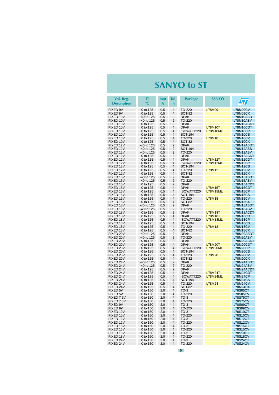#### **SANYO to ST**

| Vol. Reg.<br><b>Description</b> | Τj<br>$\circ$ C      | <b>lout</b><br>A | Tol.<br>$\%$                     | <b>Package</b>             | <b>SANYO</b>                      | $\sqrt{\pi}$                       |
|---------------------------------|----------------------|------------------|----------------------------------|----------------------------|-----------------------------------|------------------------------------|
| FIXED 9V                        | 0 to 125             | 0.5              | $\overline{4}$                   | TO-220                     | L78M09                            | <b>L78M09CV</b>                    |
| FIXED 9V                        | 0 to 125             | 0.5              | 4                                | <b>SOT-82</b>              |                                   | L78M09CX                           |
| FIXED 10V                       | -40 to 125           | 0.5              | $\overline{2}$                   | <b>DPAK</b>                |                                   | L78M10ABDT                         |
| FIXED 10V                       | -40 to 125           | 0.5              | $\overline{2}$                   | TO-220                     |                                   | L78M10ABV                          |
| FIXED 10V                       | 0 to 125             | 0.5              | 2                                | <b>DPAK</b>                |                                   | L78M10ACDT                         |
| FIXED 10V                       | 0 to 125             | 0.5              | 4<br>4                           | <b>DPAK</b>                | <b>L78M10T</b><br><b>L78M10ML</b> | L78M10CDT                          |
| FIXED 10V<br>FIXED 10V          | 0 to 125<br>0 to 125 | 0.5<br>0.5       | 4                                | ISOWATT220<br>SOT-194      |                                   | L78M10CP<br><b>L78M10CS</b>        |
| FIXED 10V                       | 0 to 125             | 0.5              | 4                                | TO-220                     | L78M10                            | <b>L78M10CV</b>                    |
| FIXED 10V                       | 0 to 125             | 0.5              | 4                                | <b>SOT-82</b>              |                                   | <b>L78M10CX</b>                    |
| FIXED 12V                       | $-40$ to 125         | 0.5              | $\overline{2}$                   | <b>DPAK</b>                |                                   | L78M12ABDT                         |
| FIXED 12V                       | -40 to 125           | 0.5              | $\overline{2}$                   | SOT-194                    |                                   | L78M12ABS                          |
| FIXED 12V                       | $-40$ to 125         | 0.5              | $\overline{2}$                   | TO-220                     |                                   | L78M12ABV                          |
| FIXED 12V                       | 0 to 125             | 0.5              | $\overline{2}$<br>$\overline{4}$ | <b>DPAK</b>                |                                   | L78M12ACDT                         |
| FIXED 12V<br>FIXED 12V          | 0 to 125<br>0 to 125 | 0.5<br>0.5       | 4                                | <b>DPAK</b><br>ISOWATT220  | <b>L78M12T</b><br>L78M12ML        | L78M12CDT<br><b>L78M12CP</b>       |
| FIXED 12V                       | 0 to 125             | 0.5              | 4                                | SOT-194                    |                                   | <b>L78M12CS</b>                    |
| FIXED 12V                       | 0 to 125             | 0.5              | 4                                | TO-220                     | L78M12                            | <b>L78M12CV</b>                    |
| FIXED 12V                       | 0 to 125             | 0.5              | 4                                | SOT-82                     |                                   | L78M12CX                           |
| FIXED 15V                       | -40 to 125           | 0.5              | $\overline{2}$                   | <b>DPAK</b>                |                                   | L78M15ABDT                         |
| FIXED 15V                       | -40 to 125           | 0.5              | $\overline{2}$                   | TO-220                     |                                   | L78M15ABV                          |
| FIXED 15V                       | 0 to 125             | 0.5              | $\overline{2}$                   | <b>DPAK</b>                |                                   | L78M15ACDT                         |
| FIXED 15V<br>FIXED 15V          | 0 to 125<br>0 to 125 | 0.5<br>0.5       | $\overline{4}$<br>4              | <b>DPAK</b><br>ISOWATT220  | <b>L78M15T</b><br>L78M15ML        | L78M15CDT<br><b>L78M15CP</b>       |
| FIXED 15V                       | 0 to 125             | 0.5              | 4                                | SOT-194                    |                                   | <b>L78M15CS</b>                    |
| FIXED 15V                       | 0 to 125             | 0.5              | 4                                | TO-220                     | L78M15                            | <b>L78M15CV</b>                    |
| FIXED 15V                       | 0 to 125             | 0.5              | 4                                | SOT-82                     |                                   | <b>L78M15CX</b>                    |
| FIXED 18V                       | -40 to 125           | 0.5              | $\overline{2}$                   | <b>DPAK</b>                |                                   | L78M18ABDT                         |
| FIXED 18V                       | -40 to 125           | 0.5              | $\overline{2}$                   | TO-220                     |                                   | L78M18ABV                          |
| FIXED 18V                       | 0 to 125             | 0.5              | $\overline{2}$                   | <b>DPAK</b>                | <b>L78M18T</b>                    | L78M18ACDT                         |
| FIXED 18V<br>FIXED 18V          | 0 to 125<br>0 to 125 | 0.5<br>0.5       | $\overline{4}$<br>4              | <b>DPAK</b><br>ISOWATT220  | <b>L78M18T</b><br>L78M18ML        | L78M18CDT<br><b>L78M18CP</b>       |
| FIXED 18V                       | 0 to 125             | 0.5              | 4                                | SOT-194                    |                                   | <b>L78M18CS</b>                    |
| FIXED 18V                       | 0 to 125             | 0.5              | 4                                | TO-220                     | L78M18                            | L78M18CV                           |
| FIXED 18V                       | 0 to 125             | 0.5              | 4                                | <b>SOT-82</b>              |                                   | <b>L78M18CX</b>                    |
| FIXED 20V                       | -40 to 125           | 0.5              | $\overline{2}$                   | <b>DPAK</b>                |                                   | L78M20ABDT                         |
| FIXED 20V                       | -40 to 125           | 0.5              | $\overline{2}$                   | TO-220                     |                                   | L78M20ABV                          |
| FIXED 20V                       | 0 to 125             | 0.5              | $\overline{2}$                   | <b>DPAK</b>                |                                   | L78M20ACDT                         |
| FIXED 20V<br>FIXED 20V          | 0 to 125<br>0 to 125 | 0.5<br>0.5       | 4<br>4                           | <b>DPAK</b><br>ISOWATT220  | <b>L78M20T</b><br><b>L78M20ML</b> | L78M20CDT<br><b>L78M20CP</b>       |
| FIXED 20V                       | 0 to 125             | 0.5              | 4                                | SOT-194                    |                                   | <b>L78M20CS</b>                    |
| FIXED 20V                       | 0 to 125             | 0.5              | 4                                | TO-220                     | L78M20                            | <b>L78M20CV</b>                    |
| FIXED 20V                       | 0 to 125             | 0.5              | 4                                | SOT-82                     |                                   | <b>L78M20CX</b>                    |
| FIXED 24V                       | -40 to 125           | 0.5              | 2                                | <b>DPAK</b>                |                                   | L78M24ABDT                         |
| FIXED 24V                       | -40 to 125           | 0.5              | $\overline{2}$                   | TO-220                     |                                   | L78M24ABV                          |
| FIXED 24V<br>FIXED 24V          | 0 to 125             | 0.5              | $\overline{2}$<br>4              | <b>DPAK</b><br><b>DPAK</b> | <b>L78M24T</b>                    | L78M24ACDT                         |
| FIXED 24V                       | 0 to 125<br>0 to 125 | 0.5<br>0.5       | 4                                | ISOWATT220                 | L78M24ML                          | L78M24CDT<br>L78M24CP              |
| FIXED 24V                       | 0 to 125             | 0.5              | $\overline{4}$                   | SOT-194                    |                                   | <b>L78M24CS</b>                    |
| FIXED 24V                       | 0 to 125             | 0.5              | $\overline{4}$                   | TO-220                     | L78M24                            | <b>L78M24CV</b>                    |
| FIXED 24V                       | 0 to 125             | 0.5              | 4                                | <b>SOT-82</b>              |                                   | L78M24CX                           |
| FIXED 5V                        | 0 to 150             | 2.0              | 4                                | $TO-3$                     |                                   | L78S05CT                           |
| FIXED 5V                        | 0 to 150             | 2.0              | 4                                | TO-220                     |                                   | <b>L78S05CV</b>                    |
| FIXED 7.5V<br>FIXED 7.5V        | 0 to 150<br>0 to 150 | 2.0<br>2.0       | 4<br>4                           | TO-3<br>TO-220             |                                   | <b>L78S75CT</b><br><b>L78S75CV</b> |
| FIXED 9V                        | 0 to 150             | 2.0              | $\overline{\mathbf{4}}$          | $TO-3$                     |                                   | <b>L78S09CT</b>                    |
| FIXED 9V                        | 0 to 150             | 2.0              | 4                                | TO-220                     |                                   | <b>L78S09CV</b>                    |
| FIXED 10V                       | 0 to 150             | 2.0              | 4                                | $TO-3$                     |                                   | <b>L78S10CT</b>                    |
| FIXED 10V                       | 0 to 150             | 2.0              | 4                                | TO-220                     |                                   | <b>L78S10CV</b>                    |
| FIXED 12V                       | 0 to 150             | 2.0              | 4                                | $TO-3$                     |                                   | <b>L78S12CT</b>                    |
| FIXED 12V                       | 0 to 150             | 2.0              | 4                                | TO-220                     |                                   | <b>L78S12CV</b>                    |
| FIXED 15V<br>FIXED 15V          | 0 to 150<br>0 to 150 | 2.0<br>2.0       | 4<br>4                           | $TO-3$<br>TO-220           |                                   | <b>L78S15CT</b><br><b>L78S15CV</b> |
| FIXED 18V                       | 0 to 150             | 2.0              | 4                                | $TO-3$                     |                                   | <b>L78S18CT</b>                    |
| FIXED 18V                       | 0 to 150             | 2.0              | 4                                | TO-220                     |                                   | <b>L78S18CV</b>                    |
| FIXED 24V                       | 0 to 150             | 2.0              | 4                                | $TO-3$                     |                                   | <b>L78S24CT</b>                    |
| FIXED 24V                       | 0 to 150             | 2.0              | 4                                | TO-220                     |                                   | <b>L78S24CV</b>                    |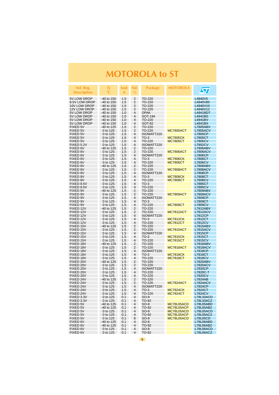<span id="page-5-0"></span>

| Vol. Reg.<br><b>Description</b> | Τi<br>°C                   | Iout<br>A  | Tol.<br>$\%$                 | Package                 | <b>MOTOROLA</b>          | $\bm{\mathcal{S}}$                |
|---------------------------------|----------------------------|------------|------------------------------|-------------------------|--------------------------|-----------------------------------|
| 5V LOW DROP                     | $-40$ to 150               | 1.5        | $\overline{2}$               | TO-220                  |                          | L4940V5                           |
| 8.5V LOW DROP                   | -40 to 150                 | 1.5        | 2                            | TO-220                  |                          | L4940V85                          |
| 10V LOW DROP                    | -40 to 150                 | 1.5        | 2                            | TO-220                  |                          | L4940V10                          |
| 12V LOW DROP                    | $-40$ to 150               | 1.5        | $\overline{2}$               | TO-220                  |                          | L4940V12                          |
| 5V LOW DROP                     | $-40$ to 150               | 1.0        | $\overline{\mathbf{4}}$      | <b>DPAK</b>             |                          | L4941BDT                          |
| 5V LOW DROP                     | $-40$ to 150               | 1.0        | $\overline{\mathbf{4}}$      | SOT-194                 |                          | L4941BS                           |
| 5V LOW DROP<br>5V LOW DROP      | $-40$ to 150               | 1.0<br>1.0 | 4<br>4                       | TO-220<br><b>SOT-82</b> |                          | L4941BV<br>L4941BX                |
| FIXED 5V                        | $-40$ to 150<br>-40 to 125 | 1.5        | 2                            | TO-220                  |                          | <b>L7805ABV</b>                   |
| FIXED 5V                        | 0 to 125                   | 1.5        | 2                            | TO-220                  | <b>MC7805ACT</b>         | <b>L7805ACV</b>                   |
| FIXED 5V                        | 0 to 125                   | 1.5        | 4                            | ISOWATT220              |                          | <b>L7805CP</b>                    |
| FIXED 5V                        | 0 to 125                   | 1.5        | 4                            | $TO-3$                  | <b>MC7805CK</b>          | L7805CT                           |
| FIXED 5V                        | 0 to 125                   | 1.5        | 4                            | TO-220                  | <b>MC7805CT</b>          | <b>L7805CV</b>                    |
| FIXED 5.2V                      | 0 to 125                   | 1.5        | 4                            | ISOWATT220              |                          | <b>L7852CV</b>                    |
| FIXED 6V                        | -40 to 125                 | 1.5        | $\overline{2}$               | TO-220                  |                          | <b>L7806ABV</b>                   |
| FIXED 6V<br>FIXED 6V            | 0 to 125<br>0 to 125       | 1.5<br>1.5 | 2<br>4                       | TO-220<br>ISOWATT220    | <b>MC7806ACT</b>         | <b>L7806ACV</b><br><b>L7806CP</b> |
| FIXED 6V                        | 0 to 125                   | 1.5        | 4                            | $TO-3$                  | <b>MC7806CK</b>          | L7806CT                           |
| FIXED 6V                        | 0 to 125                   | 1.5        | 4                            | TO-220                  | <b>MC7806CT</b>          | <b>L7806CV</b>                    |
| FIXED 8V                        | -40 to 125                 | 1.5        | 2                            | TO-220                  |                          | <b>L7808ABV</b>                   |
| FIXED 8V                        | 0 to 125                   | 1.5        | $\overline{2}$               | TO-220                  | MC7808ACT                | <b>L7808ACV</b>                   |
| FIXED 8V                        | 0 to 125                   | 1.5        | 4                            | ISOWATT220              |                          | <b>L7808CP</b>                    |
| FIXED 8V                        | 0 to 125                   | 1.5        | 4                            | $TO-3$                  | <b>MC7808CK</b>          | L7808CT                           |
| FIXED 8V                        | 0 to 125                   | 1.5        | 4                            | TO-220                  | <b>MC7808CT</b>          | <b>L7808CV</b>                    |
| FIXED 8.5V<br>FIXED 8.5V        | 0 to 125<br>0 to 125       | 1.5<br>1.5 | $\overline{\mathbf{4}}$<br>4 | $TO-3$<br>TO-220        |                          | L7885CT                           |
| FIXED 9V                        | -40 to 125                 | 1.5        | $\overline{2}$               | TO-220                  |                          | <b>L7885CV</b><br>L7809ABV        |
| FIXED 9V                        | 0 to 125                   | 1.5        | 2                            | TO-220                  | <b>MC7809ACT</b>         | <b>L7809ACV</b>                   |
| FIXED 9V                        | 0 to 125                   | 1.5        | 4                            | ISOWATT220              |                          | L7809CP                           |
| FIXED 9V                        | 0 to 125                   | 1.5        | 4                            | $TO-3$                  |                          | L7809CT                           |
| FIXED 9V                        | 0 to 125                   | 1.5        | 4                            | TO-220                  | <b>MC7809CT</b>          | <b>L7809CV</b>                    |
| FIXED 12V                       | -40 to 125                 | 1.5        | $\overline{2}$               | TO-220                  |                          | <b>L7812ABV</b>                   |
| FIXED 12V                       | 0 to 125                   | 1.5        | $\overline{2}$               | TO-220                  | <b>MC7812ACT</b>         | L7812ACV                          |
| FIXED 12V<br>FIXED 12V          | 0 to 125<br>0 to 125       | 1.5<br>1.5 | $\overline{\mathbf{4}}$<br>4 | ISOWATT220<br>$TO-3$    | <b>MC7812CK</b>          | L7812CP<br>L7812CT                |
| FIXED 12V                       | 0 to 125                   | 1.5        | 4                            | TO-220                  | <b>MC7812CT</b>          | <b>L7812CV</b>                    |
| FIXED 15V                       | -40 to 125                 | 1.5        | $\overline{2}$               | TO-220                  |                          | L7815ABV                          |
| FIXED 15V                       | 0 to 125                   | 1.5        | 2                            | TO-220                  | <b>MC7815ACT</b>         | <b>L7815ACV</b>                   |
| FIXED 15V                       | 0 to 125                   | 1.5        | $\overline{4}$               | ISOWATT220              |                          | L7815CP                           |
| FIXED 15V                       | 0 to 125                   | 1.5        | 4                            | $TO-3$                  | <b>MC7815CK</b>          | L7815CT                           |
| FIXED 15V                       | 0 to 125                   | 1.5        | 4                            | TO-220                  | <b>MC7815CT</b>          | L7815CV                           |
| FIXED 18V                       | -40 to 125                 | 1.5<br>1.5 | $\overline{2}$<br>2          | TO-220                  | <b>MC7818ACT</b>         | <b>L7818ABV</b>                   |
| FIXED 18V<br>FIXED 18V          | 0 to 125<br>0 to 125       | 1.5        | 4                            | TO-220<br>ISOWATT220    |                          | <b>L7818ACV</b><br>L7818CP        |
| FIXED 18V                       | 0 to 125                   | 1.5        | 4                            | $TO-3$                  | <b>MC7818CK</b>          | L7818CT                           |
| FIXED 18V                       | 0 to 125                   | 1.5        | 4                            | TO-220                  | <b>MC7818CT</b>          | <b>L7818CV</b>                    |
| FIXED 20V                       | -40 to 125                 | 1.5        | 2                            | TO-220                  |                          | <b>L7820ABV</b>                   |
| FIXED 20V                       | 0 to 125                   | 1.5        | $\overline{2}$               | TO-220                  |                          | <b>L7820ACV</b>                   |
| FIXED 20V                       | 0 to 125                   | 1.5        | 4                            | ISOWATT220              |                          | <b>L7820CP</b>                    |
| FIXED 20V                       | 0 to 125                   | 1.5        | 4                            | TO-220                  |                          | L7820C-T                          |
| FIXED 20V<br>FIXED 24V          | 0 to 125                   | 1.5<br>1.5 | 4<br>$\overline{2}$          | TO-220<br>TO-220        |                          | <b>L7820CV</b><br>L7824AB         |
| FIXED 24V                       | -40 to 125<br>0 to 125     | 1.5        | 2                            | TO-220                  | <b>MC7824ACT</b>         | <b>L7824ACV</b>                   |
| FIXED 24V                       | 0 to 125                   | 1.5        | 4                            | ISOWATT220              |                          | L7824CP                           |
| FIXED 24V                       | 0 to 125                   | 1.5        | 4                            | $TO-3$                  | <b>MC7824CK</b>          | L7824CT                           |
| FIXED 24V                       | 0 to 125                   | 1.5        | 4                            | TO-220                  | <b>MC7824CT</b>          | L7824CV                           |
| FIXED 3.3V                      | 0 to 125                   | 0.1        | 4                            | $SO-8$                  |                          | L78L33ACD                         |
| FIXED 3.3V                      | 0 to 125                   | 0.1        | 4                            | TO-92                   |                          | L78L33ACZ                         |
| FIXED 5V                        | -40 to 125                 | 0.1        | 4                            | SO-8                    | MC78L05ACD               | L78L05ABD                         |
| FIXED 5V                        | -40 to 125                 | 0.1        | 4                            | TO-92                   | MC78L05ACP<br>MC78L05ACD | L78L05ABZ                         |
| FIXED 5V<br>FIXED 5V            | 0 to 125<br>0 to 125       | 0.1<br>0.1 | 4<br>4                       | $SO-8$<br>TO-92         | MC78L05ACP               | L78L05ACD<br>L78L05ACZ            |
| FIXED 5V                        | 0 to 125                   | 0.1        | 8                            | $SO-8$                  | MC78L05ACD               | <b>L78L05CD</b>                   |
| FIXED 6V                        | -40 to 125                 | 0.1        | 4                            | $SO-8$                  |                          | L78L06ABD                         |
| FIXED 6V                        | -40 to 125                 | 0.1        | 4                            | TO-92                   |                          | L78L06ABZ                         |
| FIXED 6V                        | 0 to 125                   | 0.1        | 4                            | $SO-8$                  |                          | L78L06ACD                         |
| FIXED 6V                        | 0 to 125                   | 0.1        | 4                            | TO-92                   |                          | L78L06ACZ                         |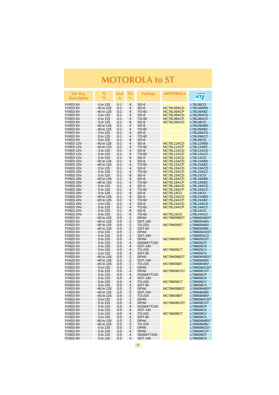| Vol. Reg.<br><b>Description</b> | Τi<br>°C                 | lout<br>A  | Tol.<br>$\%$                     | <b>Package</b>         | <b>MOTOROLA</b>          | $\bm{\mathcal{S}}$                 |
|---------------------------------|--------------------------|------------|----------------------------------|------------------------|--------------------------|------------------------------------|
| FIXED 6V                        | 0 to 125                 | 0.1        | 8                                | $SO-8$                 |                          | L78L06CD                           |
| FIXED 8V                        | -40 to 125               | 0.1        | 4                                | $SO-8$                 | MC78L08ACD               | L78L08ABD                          |
| FIXED 8V                        | -40 to 125               | 0.1        | 4                                | TO-92                  | MC78L08ACP               | L78L08ABZ                          |
| FIXED 8V                        | 0 to 125                 | 0.1        | $\overline{4}$                   | $SO-8$                 | MC78L08ACD               | L78L08ACD                          |
| FIXED 8V                        | 0 to 125                 | 0.1        | $\overline{4}$                   | TO-92                  | MC78L08ACP               | L78L08ACZ                          |
| FIXED 8V                        | 0 to 125                 | 0.1        | 8                                | SO-8                   | MC78L08ACD               | <b>L78L08CD</b>                    |
| FIXED 9V<br>FIXED 9V            | -40 to 125<br>-40 to 125 | 0.1<br>0.1 | 4<br>$\overline{4}$              | $SO-8$<br>TO-92        |                          | L78L09ABD<br>L78L09ABZ             |
| FIXED 9V                        | 0 to 125                 | 0.1        | 4                                | $SO-8$                 |                          | L78L09ACD                          |
| FIXED 9V                        | 0 to 125                 | 0.1        | $\overline{4}$                   | TO-92                  |                          | L78L09ACZ                          |
| FIXED 9V                        | 0 to 125                 | 0.1        | 8                                | $SO-8$                 |                          | L78L09CD                           |
| FIXED 12V                       | -40 to 125               | 0.1        | $\overline{4}$                   | $SO-8$                 | MC78L12ACD               | L78L12ABD                          |
| FIXED 12V                       | -40 to 125               | 0.1        | 4                                | TO-92                  | MC78L12ACP               | L78L12ABZ                          |
| FIXED 12V                       | 0 to 125                 | 0.1        | 4                                | $SO-8$                 | MC78L12ACD               | L78L12ACD                          |
| FIXED 12V<br>FIXED 12V          | 0 to 125                 | 0.1        | 4<br>8                           | TO-92                  | MC78L12ACP               | L78L12ACZ                          |
| FIXED 15V                       | 0 to 125<br>-40 to 125   | 0.1<br>0.1 | 4                                | $SO-8$<br>$SO-8$       | MC78L12ACD<br>MC78L15ACD | L78L12CD<br>L78L15ABD              |
| FIXED 15V                       | -40 to 125               | 0.1        | 4                                | TO-92                  | MC78L15ACP               | L78L15ABZ                          |
| FIXED 15V                       | 0 to 125                 | 0.1        | 4                                | SO-8                   | MC78L15ACD               | L78L15ACD                          |
| FIXED 15V                       | 0 to 125                 | 0.1        | 4                                | TO-92                  | MC78L15ACP               | L78L15ACZ                          |
| FIXED 15V                       | 0 to 125                 | 0.1        | 8                                | $SO-8$                 | MC78L15ACD               | L78L15CD                           |
| FIXED 18V                       | -40 to 125               | 0.1        | 4                                | SO-8                   | MC78L18ACD               | L78L18ABD                          |
| FIXED 18V                       | -40 to 125               | 0.1        | $\overline{4}$                   | TO-92                  | MC78L18ACP               | L78L18ABZ                          |
| FIXED 18V                       | 0 to 125                 | 0.1<br>0.1 | $\overline{4}$<br>$\overline{4}$ | $SO-8$                 | MC78L18ACD<br>MC78L18ACP | L78L18ACD                          |
| FIXED 18V<br>FIXED 18V          | 0 to 125<br>0 to 125     | 0.1        | 8                                | TO-92<br>$SO-8$        | MC78L18CD                | L78L18ACZ<br><b>L78L18CD</b>       |
| FIXED 24V                       | -40 to 125               | 0.1        | 4                                | $SO-8$                 | MC78L24ACD               | L78L24ABD                          |
| FIXED 24V                       | -40 to 125               | 0.1        | 4                                | TO-92                  | MC78L24ACP               | L78L24ABZ                          |
| FIXED 24V                       | 0 to 125                 | 0.1        | 4                                | $SO-8$                 | MC78L24ACD               | L78L24ACD                          |
| FIXED 24V                       | 0 to 125                 | 0.1        | 4                                | TO-92                  | MC78L24ACP               | L78L24ACZ                          |
| FIXED 24V                       | 0 to 125                 | 0.1        | 8                                | $SO-8$                 |                          | <b>L78L24CD</b>                    |
| FIXED 24V                       | 0 to 125                 | 0.1        | 8                                | TO-92                  | MC78L24CD                | L78L24ACZ                          |
| FIXED 5V<br>FIXED 5V            | -40 to 125<br>-40 to 125 | 0.5<br>0.5 | 2<br>2                           | <b>DPAK</b><br>SOT-194 | MC78M05BDT               | L78M05ABDT<br>L78M05ABS            |
| FIXED 5V                        | -40 to 125               | 0.5        | 2                                | TO-220                 | MC78M05BT                | L78M05ABV                          |
| FIXED 5V                        | -40 to 125               | 0.5        | $\overline{2}$                   | SOT-82                 |                          | L78M05ABX                          |
| FIXED 5V                        | 0 to 125                 | 0.5        | 2                                | <b>DPAK</b>            |                          | L78M05ACDT                         |
| FIXED 5V                        | 0 to 125                 | 0.5        | 2                                | SOT-194                |                          | L78M05ACS                          |
| FIXED 5V                        | 0 to 125                 | 0.5        | $\overline{4}$                   | <b>DPAK</b>            | MC78M05CDT               | L78M05CDT                          |
| FIXED 5V                        | 0 to 125                 | 0.5        | 4                                | ISOWATT220             |                          | <b>L78M05CP</b>                    |
| FIXED 5V<br>FIXED 5V            | 0 to 125<br>0 to 125     | 0.5<br>0.5 | 4<br>4                           | SOT-194<br>TO-220      | MC78M05CT                | L78M05CS<br><b>L78M05CV</b>        |
| FIXED 5V                        | 0 to 125                 | 0.5        | 4                                | SOT-82                 |                          | L78M05CX                           |
| FIXED 6V                        | $-40$ to 125             | 0.5        | $\overline{2}$                   | <b>DPAK</b>            | MC78M06BDT               | L78M06ABDT                         |
| FIXED 6V                        | -40 to 125               | 0.5        | 2                                | SOT-194                |                          | L78M06ABS                          |
| FIXED 6V                        | -40 to 125               | 0.5        | 2                                | TO-220                 | MC78M06BT                | L78M06ABV                          |
| FIXED 6V                        | 0 to 125                 | 0.5        | 2                                | <b>DPAK</b>            |                          | L78M06ACDT                         |
| FIXED 6V                        | 0 to 125                 | 0.5        | $\overline{4}$                   | <b>DPAK</b>            | MC78M06CDT               | L78M06CDT                          |
| FIXED 6V<br>FIXED 6V            | 0 to 125<br>0 to 125     | 0.5<br>0.5 | 4<br>4                           | ISOWATT220             |                          | L78M06CP<br><b>L78M06CS</b>        |
| FIXED 6V                        | 0 to 125                 | 0.5        | 4                                | SOT-194<br>TO-220      | MC78M06CT                | <b>L78M06CV</b>                    |
| FIXED 6V                        | 0 to 125                 | 0.5        | 4                                | SOT-82                 |                          | L78M06CX                           |
| <b>FIXED 8V</b>                 | -40 to 125               | 0.5        | 2                                | <b>DPAK</b>            | MC78M08BDT               | L78M08ABDT                         |
| <b>FIXED 8V</b>                 | -40 to 125               | 0.5        | 2                                | SOT-194                |                          | L78M08ABS                          |
| FIXED 8V                        | -40 to 125               | 0.5        | $\overline{2}$                   | TO-220                 | MC78M08BT                | L78M08ABV                          |
| FIXED 8V                        | 0 to 125                 | 0.5        | 2                                | DPAK                   |                          | L78M08ACDT                         |
| FIXED 8V                        | 0 to 125                 | 0.5        | 4                                | <b>DPAK</b>            | MC78M08CDT               | L78M08CDT                          |
| FIXED 8V<br>FIXED 8V            | 0 to 125<br>0 to 125     | 0.5<br>0.5 | 4<br>4                           | ISOWATT220<br>SOT-194  |                          | <b>L78M08CP</b><br><b>L78M08CS</b> |
| FIXED 8V                        | 0 to 125                 | 0.5        | 4                                | TO-220                 | MC78M08CT                | <b>L78M08CV</b>                    |
| FIXED 8V                        | 0 to 125                 | 0.5        | 4                                | <b>SOT-82</b>          |                          | <b>L78M08CX</b>                    |
| FIXED 9V                        | -40 to 125               | 0.5        | $\overline{2}$                   | <b>DPAK</b>            |                          | L78M09ABDT                         |
| FIXED 9V                        | -40 to 125               | 0.5        | 2                                | TO-220                 |                          | L78M09ABV                          |
| FIXED 9V                        | 0 to 125                 | 0.5        | $\overline{2}$                   | <b>DPAK</b>            |                          | L78M09ACDT                         |
| FIXED 9V                        | 0 to 125                 | 0.5        | 4                                | <b>DPAK</b>            |                          | L78M09CDT                          |
| FIXED 9V<br>FIXED 9V            | 0 to 125<br>0 to 125     | 0.5<br>0.5 | 4<br>$\overline{4}$              | IS0WATT220<br>SOT-194  |                          | L78M09CP<br><b>L78M09CS</b>        |
|                                 |                          |            |                                  |                        |                          |                                    |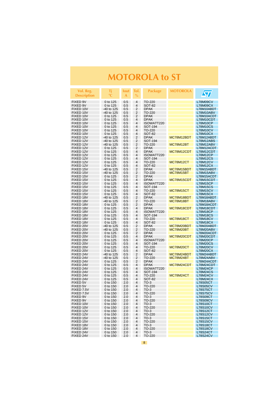| Vol. Reg.<br><b>Description</b> | Τi<br>°C                 | lout<br>A  | Tol.<br>$\%$        | <b>Package</b>        | <b>MOTOROLA</b>         | <b>ST</b>                          |
|---------------------------------|--------------------------|------------|---------------------|-----------------------|-------------------------|------------------------------------|
| <b>FIXED 9V</b>                 | 0 to 125                 | 0.5        | 4                   | TO-220                |                         | L78M09CV                           |
| FIXED 9V                        | 0 to 125                 | 0.5        | 4                   | SOT-82                |                         | L78M09CX                           |
| FIXED 10V                       | -40 to 125               | 0.5        | 2                   | <b>DPAK</b>           |                         | L78M10ABDT                         |
| FIXED 10V                       | -40 to 125               | 0.5        | 2                   | TO-220                |                         | L78M10ABV                          |
| FIXED 10V                       | 0 to 125                 | 0.5        | 2                   | <b>DPAK</b>           |                         | L78M10ACDT                         |
| FIXED 10V<br>FIXED 10V          | 0 to 125                 | 0.5        | 4<br>4              | <b>DPAK</b>           |                         | L78M10CDT                          |
| FIXED 10V                       | 0 to 125<br>0 to 125     | 0.5<br>0.5 | 4                   | ISOWATT220<br>SOT-194 |                         | L78M10CP<br><b>L78M10CS</b>        |
| FIXED 10V                       | 0 to 125                 | 0.5        | 4                   | TO-220                |                         | L78M10CV                           |
| FIXED 10V                       | 0 to 125                 | 0.5        | 4                   | <b>SOT-82</b>         |                         | L78M10CX                           |
| FIXED 12V                       | -40 to 125               | 0.5        | 2                   | <b>DPAK</b>           | MC78M12BDT              | L78M12ABDT                         |
| FIXED 12V                       | -40 to 125               | 0.5        | 2                   | SOT-194               |                         | L78M12ABS                          |
| FIXED 12V                       | -40 to 125               | 0.5        | 2                   | TO-220                | MC78M12BT               | L78M12ABV                          |
| FIXED 12V                       | 0 to 125                 | 0.5        | 2                   | <b>DPAK</b>           |                         | L78M12ACDT                         |
| FIXED 12V                       | 0 to 125                 | 0.5        | 4<br>4              | <b>DPAK</b>           | MC78M12CDT              | L78M12CDT<br><b>L78M12CP</b>       |
| FIXED 12V<br>FIXED 12V          | 0 to 125<br>0 to 125     | 0.5<br>0.5 | 4                   | ISOWATT220<br>SOT-194 |                         | <b>L78M12CS</b>                    |
| FIXED 12V                       | 0 to 125                 | 0.5        | 4                   | TO-220                | MC78M12CT               | <b>L78M12CV</b>                    |
| FIXED 12V                       | 0 to 125                 | 0.5        | 4                   | SOT-82                |                         | L78M12CX                           |
| FIXED 15V                       | -40 to 125               | 0.5        | 2                   | <b>DPAK</b>           | MC78M15BDT              | L78M15ABDT                         |
| FIXED 15V                       | -40 to 125               | 0.5        | 2                   | TO-220                | MC78M15BT               | L78M15ABV                          |
| FIXED 15V                       | 0 to 125                 | 0.5        | 2                   | <b>DPAK</b>           |                         | L78M15ACDT                         |
| FIXED 15V                       | 0 to 125                 | 0.5        | 4                   | <b>DPAK</b>           | MC78M15CDT              | L78M15CDT                          |
| FIXED 15V                       | 0 to 125                 | 0.5        | 4                   | ISOWATT220            |                         | <b>L78M15CP</b>                    |
| FIXED 15V<br>FIXED 15V          | 0 to 125                 | 0.5        | 4<br>4              | SOT-194               |                         | <b>L78M15CS</b>                    |
| FIXED 15V                       | 0 to 125<br>0 to 125     | 0.5<br>0.5 | 4                   | TO-220<br>SOT-82      | MC78M15CT               | L78M15CV<br>L78M15CX               |
| FIXED 18V                       | -40 to 125               | 0.5        | 2                   | <b>DPAK</b>           | MC78M18BDT              | L78M18ABDT                         |
| FIXED 18V                       | -40 to 125               | 0.5        | 2                   | TO-220                | MC78M18BT               | L78M18ABV                          |
| FIXED 18V                       | 0 to 125                 | 0.5        | 2                   | <b>DPAK</b>           |                         | L78M18ACDT                         |
| FIXED 18V                       | 0 to 125                 | 0.5        | 4                   | <b>DPAK</b>           | MC78M18CDT              | L78M18CDT                          |
| FIXED 18V                       | 0 to 125                 | 0.5        | 4                   | ISOWATT220            |                         | <b>L78M18CP</b>                    |
| FIXED 18V                       | 0 to 125                 | 0.5        | 4                   | SOT-194               |                         | L78M18CS                           |
| FIXED 18V                       | 0 to 125                 | 0.5        | 4<br>4              | TO-220                | MC78M18CT               | <b>L78M18CV</b>                    |
| FIXED 18V<br>FIXED 20V          | 0 to 125<br>-40 to 125   | 0.5<br>0.5 | 2                   | SOT-82<br><b>DPAK</b> | MC78M20BDT              | L78M18CX<br>L78M20ABDT             |
| FIXED 20V                       | -40 to 125               | 0.5        | 2                   | TO-220                | MC78M20BT               | L78M20ABV                          |
| FIXED 20V                       | 0 to 125                 | 0.5        | 2                   | <b>DPAK</b>           |                         | L78M20ACDT                         |
| FIXED 20V                       | 0 to 125                 | 0.5        | 4                   | <b>DPAK</b>           | MC78M20CDT              | L78M20CDT                          |
| FIXED 20V                       | 0 to 125                 | 0.5        | 4                   | ISOWATT220            |                         | L78M20CP                           |
| FIXED 20V                       | 0 to 125                 | 0.5        | 4                   | SOT-194               |                         | <b>L78M20CS</b>                    |
| FIXED 20V                       | 0 to 125                 | 0.5        | 4                   | TO-220                | MC78M20CT               | <b>L78M20CV</b>                    |
| FIXED 20V                       | 0 to 125                 | 0.5        | 4<br>$\overline{2}$ | SOT-82                |                         | L78M20CX                           |
| FIXED 24V<br>FIXED 24V          | -40 to 125<br>-40 to 125 | 0.5<br>0.5 | 2                   | <b>DPAK</b><br>TO-220 | MC78M24BDT<br>MC78M24BT | L78M24ABDT<br>L78M24ABV            |
| FIXED 24V                       | 0 to 125                 | 0.5        | 2                   | <b>DPAK</b>           |                         | L78M24ACDT                         |
| FIXED 24V                       | 0 to 125                 | 0.5        | 4                   | <b>DPAK</b>           | MC78M24CDT              | L78M24CDT                          |
| FIXED 24V                       | 0 to 125                 | 0.5        | 4                   | ISOWATT220            |                         | L78M24CP                           |
| FIXED 24V                       | 0 to 125                 | 0.5        | 4                   | SOT-194               |                         | L78M24CS                           |
| FIXED 24V                       | 0 to 125                 | 0.5        | 4                   | TO-220                | MC78M24CT               | <b>L78M24CV</b>                    |
| FIXED 24V                       | 0 to 125                 | 0.5        | 4                   | SOT-82                |                         | <b>L78M24CX</b>                    |
| <b>FIXED 5V</b>                 | 0 to 150                 | 2.0        | 4                   | $TO-3$                |                         | L78S05CT                           |
| <b>FIXED 5V</b><br>FIXED 7.5V   | 0 to 150<br>0 to 150     | 2.0<br>2.0 | 4<br>4              | TO-220<br>$TO-3$      |                         | <b>L78S05CV</b><br>L78S75CT        |
| FIXED 7.5V                      | 0 to 150                 | 2.0        | 4                   | TO-220                |                         | <b>L78S75CV</b>                    |
| FIXED 9V                        | 0 to 150                 | 2.0        | 4                   | TO-3                  |                         | L78S09CT                           |
| FIXED 9V                        | 0 to 150                 | 2.0        | 4                   | TO-220                |                         | <b>L78S09CV</b>                    |
| FIXED 10V                       | 0 to 150                 | 2.0        | 4                   | $TO-3$                |                         | <b>L78S10CT</b>                    |
| FIXED 10V                       | 0 to 150                 | 2.0        | 4                   | TO-220                |                         | <b>L78S10CV</b>                    |
| FIXED 12V                       | 0 to 150                 | 2.0        | 4                   | $TO-3$                |                         | <b>L78S12CT</b>                    |
| FIXED 12V                       | 0 to 150                 | 2.0        | 4                   | TO-220                |                         | <b>L78S12CV</b>                    |
| FIXED 15V<br>FIXED 15V          | 0 to 150<br>0 to 150     | 2.0        | 4<br>4              | $TO-3$<br>TO-220      |                         | <b>L78S15CT</b><br><b>L78S15CV</b> |
| FIXED 18V                       | 0 to 150                 | 2.0<br>2.0 | 4                   | $TO-3$                |                         | <b>L78S18CT</b>                    |
| FIXED 18V                       | 0 to 150                 | 2.0        | 4                   | TO-220                |                         | <b>L78S18CV</b>                    |
| FIXED 24V                       | 0 to 150                 | 2.0        | 4                   | $TO-3$                |                         | <b>L78S24CT</b>                    |
| FIXED 24V                       | 0 to 150                 | 2.0        | 4                   | TO-220                |                         | <b>L78S24CV</b>                    |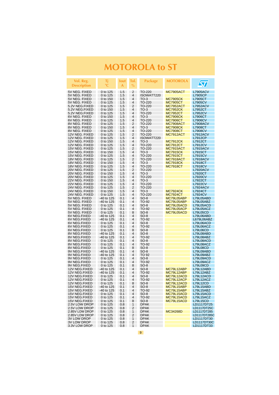| Vol. Reg.<br><b>Description</b>  | Τi<br>°C             | lout<br>A  | Tol.<br>$\%$   | Package               | <b>MOTOROLA</b> | <b>ST</b>                    |
|----------------------------------|----------------------|------------|----------------|-----------------------|-----------------|------------------------------|
| 5V NEG. FIXED                    | 0 to 125             | 1.5        | 2              | TO-220                | MC7905ACT       | <b>L7905ACV</b>              |
| 5V NEG. FIXED                    | 0 to 125             | 1.5        | 4              | ISOWATT220            |                 | L7905CP                      |
| 5V NEG. FIXED                    | 0 to 150             | 1.5        | 4              | $TO-3$                | <b>MC7905CK</b> | L7905CT                      |
| 5V NEG. FIXED                    | 0 to 125             | 1.5        | 4              | TO-220                | <b>MC7905CT</b> | <b>L7905CV</b>               |
| 5.2V NEG.FIXED                   | 0 to 125             | 1.5        | 2              | TO-220                | MC7952ACT       | <b>L7952ACV</b>              |
| 5.2V NEG.FIXED                   | 0 to 150             | 1.5        | 4              | $TO-3$                | <b>MC7952CK</b> | L7952CT                      |
| 5.2V NEG.FIXED                   | 0 to 125             | 1.5        | 4              | TO-220                | MC7952CT        | L7952CV                      |
| 6V NEG. FIXED                    | 0 to 150             | 1.5        | 4              | $TO-3$                | <b>MC7906CK</b> | L7906CT                      |
| 6V NEG. FIXED                    | 0 to 125             | 1.5        | $\overline{4}$ | TO-220                | MC7906CT        | L7906CV                      |
| 8V NEG. FIXED                    | 0 to 125             | 1.5        | $\overline{2}$ | TO-220                | MC7908ACT       | <b>L7908ACV</b>              |
| 8V NEG. FIXED                    | 0 to 150             | 1.5        | $\overline{4}$ | $TO-3$                | <b>MC7908CK</b> | L7908CT                      |
| 8V NEG. FIXED                    | 0 to 125             | 1.5        | 4              | TO-220                | <b>MC7908CT</b> | <b>L7908CV</b>               |
| 12V NEG. FIXED                   | 0 to 125             | 1.5        | 2              | TO-220                | MC7912ACT       | <b>L7912ACV</b>              |
| 12V NEG. FIXED                   | 0 to 125             | 1.5        | 4              | ISOWATT220            |                 | L7912CP                      |
| 12V NEG. FIXED                   | 0 to 150             | 1.5        | 4              | $TO-3$                | <b>MC7912CK</b> | <b>L7912CT</b>               |
| 12V NEG. FIXED                   | 0 to 125             | 1.5        | 4              | TO-220                | MC7912CT        | <b>L7912CV</b>               |
| 15V NEG. FIXED                   | 0 to 125             | 1.5        | 2              | TO-220                | MC7915ACT       | <b>L7915ACV</b>              |
| 15V NEG. FIXED                   | 0 to 150             | 1.5        | 4              | $TO-3$                | <b>MC7915CK</b> | L7915CT                      |
| 15V NEG. FIXED                   | 0 to 125             | 1.5        | 4              | TO-220                | MC7915CT        | <b>L7915CV</b>               |
| 18V NEG. FIXED                   | 0 to 125             | 1.5        | 2              | TO-220                | MC7918ACT       | L7918ACV                     |
| 18V NEG. FIXED                   | 0 to 150             | 1.5        | 4              | $TO-3$                | <b>MC7918CK</b> | L7918CT                      |
| 18V NEG. FIXED                   | 0 to 125             | 1.5        | 4              | TO-220                | MC7918CT        | <b>L7918CV</b>               |
| 20V NEG. FIXED                   | 0 to 125             | 1.5        | 2              | TO-220                |                 | <b>L7920ACV</b>              |
| 20V NEG. FIXED                   | 0 to 150             | 1.5        | $\overline{4}$ | $TO-3$                |                 | L7920CT                      |
| 20V NEG. FIXED                   | 0 to 125             | 1.5        | 4              | TO-220                |                 | <b>L7920CV</b>               |
| 22V NEG. FIXED<br>22V NEG. FIXED | 0 to 150             | 1.5        | $\overline{4}$ | $TO-3$                |                 | L7922CT<br><b>L7922CV</b>    |
|                                  | 0 to 125             | 1.5<br>1.5 | 4<br>2         | TO-220<br>TO-220      |                 | <b>L7924ACV</b>              |
| 24V NEG. FIXED<br>24V NEG. FIXED | 0 to 125<br>0 to 150 | 1.5        | 4              | $TO-3$                | <b>MC7924CK</b> | L7924CT                      |
| 24V NEG. FIXED                   | 0 to 125             | 1.5        | $\overline{4}$ | TO-220                | <b>MC7924CT</b> | <b>L7924CV</b>               |
| 5V NEG. FIXED                    | -40 to 125           | 0.1        | 4              | $SO-8$                | MC79L05ABP      | L79L05ABD                    |
| 5V NEG. FIXED                    | -40 to 125           | 0.1        | $\overline{4}$ | TO-92                 | MC79L05ABP      | L79L05ABZ                    |
| 5V NEG. FIXED                    | 0 to 125             | 0.1        | 4              | $SO-8$                | MC79L05ACD      | L79L05ACD                    |
| 5V NEG. FIXED                    | 0 to 125             | 0.1        | 4              | TO-92                 | MC79L05ACP      | L79L05ACZ                    |
| 5V NEG. FIXED                    | 0 to 125             | 0.1        | 8              | SO-8                  | MC79L05ACD      | <b>L79L05CD</b>              |
| 6V NEG.FIXED                     | -40 to 125           | 0.1        | 4              | SO-8                  |                 | L79L06ABD                    |
| 6V NEG.FIXED                     | -40 to 125           | 0.1        | $\overline{4}$ | TO-92                 |                 | L679L06ABZ                   |
| 6V NEG.FIXED                     | 0 to 125             | 0.1        | 4              | SO-8                  |                 | L79L06ACD                    |
| 6V NEG.FIXED                     | 0 to 125             | 0.1        | $\overline{4}$ | TO-92                 |                 | L79L06ACZ                    |
| 6V NEG.FIXED                     | 0 to 125             | 0.1        | 8              | $SO-8$                |                 | L79L06CD                     |
| 8V NEG.FIXED                     | -40 to 125           | 0.1        | 4              | $SO-8$                |                 | L79L08ABD                    |
| 8V NEG.FIXED                     | -40 to 125           | 0.1        | 4              | TO-92                 |                 | L79L08ABZ                    |
| 8V NEG.FIXED                     | 0 to 125             | 0.1        | 4              | $SO-8$                |                 | L79L08ACD                    |
| 8V NEG.FIXED                     | 0 to 125             | 0.1        | 4              | TO-92                 |                 | L79L08ACZ                    |
| 8V NEG.FIXED                     | 0 to 125             | 0.1        | 8              | $SO-8$                |                 | L79L08CD                     |
| 9V NEG.FIXED                     | -40 to 125           | 0.1        | 4              | SO-8                  |                 | L79L09ABD                    |
| 9V NEG.FIXED                     | -40 to 125           | 0.1        | $\overline{4}$ | TO 92                 |                 | L79L09ABZ                    |
| 9V NEG.FIXED                     | 0 to 125             | 0.1        | 4              | $SO-8$                |                 | L79L09ACD                    |
| 9V NEG.FIXED                     | 0 to 125             | 0.1        | 4              | TO-92                 |                 | L79L09ACZ                    |
| 9V NEG.FIXED                     | 0 to 125             | 0.1        | 8              | $SO-8$                |                 | L79L09CD                     |
| 12V NEG.FIXED                    | -40 to 125           | 0.1        | $\overline{4}$ | $SO-8$                | MC79L12ABP      | L79L12ABD                    |
| 12V NEG.FIXED                    | -40 to 125           | 0.1        | 4              | TO-92                 | MC79L12ABP      | L79L12ABZ                    |
| 12V NEG.FIXED                    | 0 to 125             | 0.1        | $\overline{4}$ | $SO-8$                | MC79L12ACD      | L79L12ACD                    |
| 12V NEG.FIXED                    | 0 to 125             | 0.1        | 4              | TO-92                 | MC79L12ACP      | L79L12ACZ                    |
| 12V NEG.FIXED                    | 0 to 125             | 0.1        | 8              | $SO-8$                | MC79L12ACD      | L79L12CD                     |
| 15V NEG.FIXED                    | -40 to 125           | 0.1        | 4              | SO-8                  | MC79L15ABP      | L79L15ABD                    |
| 15V NEG.FIXED                    | -40 to 125           | 0.1        | 4              | TO-92                 | MC79L15ABP      | <b>L79L15ABZ</b>             |
| 15V NEG.FIXED<br>15V NEG.FIXED   | 0 to 125             | 0.1<br>0.1 | 4<br>4         | $SO-8$                | MC79L15ACD      | L79L15ACD                    |
| 15V NEG.FIXED                    | 0 to 125             |            |                | TO-92                 | MC79L15ACD      | L79L15ACZ<br><b>L79L15CD</b> |
| 2.5V LOW DROP                    | 0 to 125<br>0 to 125 | 0.1<br>0.8 | 8<br>1         | $SO-8$<br><b>DPAK</b> | MC79L15ACD      | LD1117DT25                   |
| 2.5V LOW DROP                    | 0 to 125             | 0.8        | 2              | <b>DPAK</b>           |                 | LD1117DT25C                  |
| 2.85V LOW DROP                   | 0 to 125             | 0.8        | $\mathbf{1}$   | <b>DPAK</b>           | MC34268D        | LD1117DT285                  |
| 2.85V LOW DROP                   | 0 to 125             | 0.8        | 2              | <b>DPAK</b>           |                 | LD1117DT285C                 |
| <b>3V LOW DROP</b>               | 0 to 125             | 0.8        | 1              | <b>DPAK</b>           |                 | LD1117DT30                   |
| 3V LOW DROP                      | 0 to 125             | 0.8        | 2              | <b>DPAK</b>           |                 | LD1117DT30C                  |
| 3.3V LOW DROP                    | 0 to 125             | 0.8        | $\mathbf{1}$   | <b>DPAK</b>           |                 | LD1117DT33                   |
|                                  |                      |            |                |                       |                 |                              |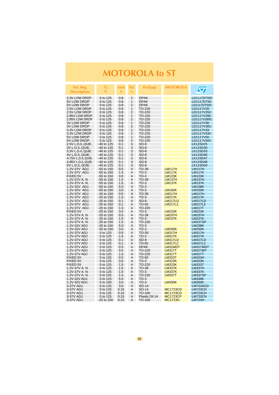| Vol. Reg.<br><b>Description</b>      | Τi<br>$^{\circ}C$            | lout<br>A  | Tol.<br>$\%$                   | <b>Package</b>   | <b>MOTOROLA</b>                 | $\sqrt{\sqrt{2}}$               |
|--------------------------------------|------------------------------|------------|--------------------------------|------------------|---------------------------------|---------------------------------|
| 3.3V LOW DROP                        | 0 to 125                     | 0.8        | $\overline{2}$                 | <b>DPAK</b>      |                                 | LD1117DT33C                     |
| 5V LOW DROP                          | 0 to 125                     | 0.8        | 1                              | <b>DPAK</b>      |                                 | LD1117DT50                      |
| 5V LOW DROP                          | 0 to 125                     | 0.8        | 2                              | <b>DPAK</b>      |                                 | LD1117DT50C                     |
| 2.5V LOW DROP                        | 0 to 125                     | 0.8        | 1                              | TO-220           |                                 | LD1117V25                       |
| 2.5V LOW DROP                        | 0 to 125                     | 0.8        | 2                              | TO-220           |                                 | LD1117V25C                      |
| 2.85V LOW DROP                       | 0 to 125                     | 0.8        | 1                              | TO-220           |                                 | LD1117V285                      |
| 2.85V LOW DROP<br><b>3V LOW DROP</b> | 0 to 125                     | 0.8<br>0.8 | $\overline{2}$<br>$\mathbf{1}$ | TO-220<br>TO-220 |                                 | LD1117V285C<br>LD1117V30        |
| <b>3V LOW DROP</b>                   | 0 to 125<br>0 to 125         | 0.8        | $\overline{2}$                 | TO-220           |                                 | LD1117V30C                      |
| 3.3V LOW DROP                        | 0 to 125                     | 0.8        | 1                              | TO-220           |                                 | LD1117V33                       |
| 3.3V LOW DROP                        | 0 to 125                     | 0.8        | $\overline{2}$                 | TO-220           |                                 | LD1117V33C                      |
| 5V LOW DROP                          | 0 to 125                     | 0.8        | $\mathbf{1}$                   | TO-220           |                                 | LD1117V50                       |
| 5V LOW DROP                          | 0 to 125                     | 0.8        | 2                              | TO-220           |                                 | LD1117V50C                      |
| 2.5V L.D./L.QUIE.                    | -40 to 125                   | 0.1        | 3                              | $SO-8$           |                                 | LK115D25                        |
| 3V L.D./L.QUIE.                      | -40 to 125                   | 0.1        | 3                              | $SO-8$           |                                 | LK115D30                        |
| 3.3V L.D./L.QUIE.                    | -40 to 125                   | 0.1        | 3                              | $SO-8$           |                                 | LK115D33                        |
| 4V L.D./L.QUIE.                      | -40 to 125                   | 0.1        | 3                              | $SO-8$           |                                 | LK115D40                        |
| 4.75V L.D./L.QUIE.                   | -40 to 125                   | 0.1        | 3                              | $SO-8$           |                                 | LK115D47                        |
| 4.85V L.D./L.QUIE.                   | -40 to 125                   | 0.1        | 3                              | $SO-8$           |                                 | LK115D48                        |
| 5V L.D./L.QUIE.                      | -40 to 125                   | 0.1        | 3                              | $SO-8$           |                                 | LK115D50                        |
| 1.2V-37V ADJ.                        | -55 to 150                   | 0.5        | 4                              | TO-39            | <b>LM117H</b>                   | <b>LM117H</b>                   |
| 1.2V-37V ADJ.                        | -55 to 150                   | 1.5        | 4                              | $TO-3$           | <b>LM117K</b>                   | <b>LM117K</b>                   |
| FIXED 5V                             | -55 to 150                   | 3.0        | 4                              | $TO-3$           | <b>LM123K</b>                   | <b>LM123K</b>                   |
| 1.2V-37V A. N.                       | $-55$ to 150                 | 1.5        | 4                              | TO-39            | <b>LM137H</b>                   | <b>LM137H</b>                   |
| 1.2V-37V A.N.                        | -55 to 150                   | 1.5        | 4                              | $TO-3$           | <b>LM137K</b>                   | <b>LM137K</b>                   |
| 1.2V-32V ADJ.                        | -55 to 150                   | 5.0        | 4                              | $TO-3$           |                                 | <b>LM138K</b>                   |
| 1.2V-32V ADJ.                        | -55 to 150                   | 3.0        | 4                              | $TO-3$           | <b>LM150K</b>                   | <b>LM150K</b>                   |
| 1.2V-37V ADJ.                        | $-25$ to 150                 | 0.5        | 4<br>4                         | TO-39            | <b>LM217H</b>                   | <b>LM217H</b>                   |
| 1.2V-37V ADJ.<br>1.2V-37V ADJ.       | $-25$ to 150<br>$-25$ to 150 | 1.5<br>0.1 | 4                              | $TO-3$<br>$SO-8$ | <b>LM217K</b><br><b>LM217LD</b> | <b>LM217K</b><br><b>LM217LD</b> |
| 1.2V-37V ADJ.                        | $-25$ to 150                 | 0.1        | 4                              | TO-92            | <b>LM217LZ</b>                  | <b>LM217LZ</b>                  |
| 1.2V-37V ADJ.                        | $-25$ to 150                 | 1.5        | 4                              | TO-220           |                                 | LM217T                          |
| <b>FIXED 5V</b>                      | $-25$ to 150                 | 3.0        | 4                              | $TO-3$           | <b>LM223K</b>                   | <b>LM223K</b>                   |
| 1.2V-37V A. N.                       | $-25$ to 150                 | 0.5        | 4                              | TO-39            | <b>LM237H</b>                   | <b>LM237H</b>                   |
| 1.2V-37V A. N.                       | $-25$ to $150$               | 1.5        | 4                              | $TO-3$           | <b>LM237K</b>                   | <b>LM237K</b>                   |
| 1.2V-37V A.N.                        | -25 to 150                   | 1.5        | 4                              | TO-220           |                                 | <b>LM237SP</b>                  |
| 1.2V-32V ADJ                         | $-25$ to 150                 | 5.0        | 4                              | $TO-3$           |                                 | <b>LM238K</b>                   |
| 1.2V-32V ADJ                         | -25 to 150                   | 3.0        | 4                              | $TO-3$           | <b>LM250K</b>                   | <b>LM250K</b>                   |
| 1.2V-37V ADJ                         | 0 to 125                     | 0.5        | 4                              | TO-39            | <b>LM317H</b>                   | <b>LM317H</b>                   |
| 1.2V-37V ADJ                         | 0 to 125                     | 1.5        | 4                              | $TO-3$           | <b>LM317K</b>                   | <b>LM317K</b>                   |
| 1.2V-37V ADJ                         | 0 to 125                     | 0.1        | 4                              | $SO-8$           | <b>LM317LD</b>                  | LM317LD                         |
| 1.2V-37V ADJ                         | 0 to 125                     | 0.1        | 4                              | TO-92            | <b>LM317LZ</b>                  | LM317LZ                         |
| 1.2V-37V ADJ                         | 0 to 125                     | 0.5        | 4                              | <b>DPAK</b>      | LM31MDT                         | LM317MDT                        |
| 1.2V-37V ADJ                         | 0 to 125                     | 0.5        | 4                              | TO-220           | <b>LM317T</b>                   | LM317MT                         |
| 1.2V-37V ADJ                         | 0 to 125                     | 1.5        | 4                              | TO-220           | <b>LM317T</b>                   | <b>LM317T</b>                   |
| <b>FIXED 5V</b>                      | 0 to 125                     | 0.5        | 4                              | TO-92            | <b>LM323T</b>                   | <b>LM323H</b>                   |
| <b>FIXED 5V</b>                      | 0 to 125                     | 3.0        | 4                              | $TO-3$           | <b>LM323K</b>                   | <b>LM323K</b>                   |
| FIXED 5V                             | 0 to 125                     | 1.5        | 4                              | TO-220           | <b>LM323K</b>                   | LM323T                          |
| 1.2V-37V A.N.                        | 0 to 125                     | 1.5        | 4<br>4                         | TO-39            | <b>LM337K</b>                   | <b>LM337H</b>                   |
| 1.2V-37V A. N.<br>1.2V-37V A.N.      | 0 to 125                     | 1.5<br>1.5 | 4                              | $TO-3$           | <b>LM337K</b>                   | LM337K                          |
| 1.2V-32V ADJ.                        | 0 to 125<br>0 to 125         | 5.0        | 4                              | TO-220<br>$TO-3$ | <b>LM337T</b>                   | <b>LM337SP</b><br><b>LM338K</b> |
| 1.2V-32V ADJ.                        | 0 to 150                     | 3.0        | 4                              | $TO-3$           | <b>LM350K</b>                   | <b>LM350K</b>                   |
| 3-37V ADJ.                           | 0 to 125                     | 3.0        | 4                              | SO-14            |                                 | LM723ACD                        |
| 3-37V ADJ.                           | 0 to 125                     | 0.15       | 4                              | SO-14            | <b>MC1723CD</b>                 | <b>LM723CD</b>                  |
| 3-37V ADJ.                           | 0 to 125                     | 0.15       | 4                              | TO-100           | <b>MC1723CG</b>                 | LM723CH                         |
| 3-37V ADJ.                           | 0 to 125                     | 0.15       | 4                              | Plastic Dil 14   | <b>MC1723CP</b>                 | <b>LM723CN</b>                  |
| 3-37V ADJ.                           | $-25$ to 150                 | 0.15       | 4                              | TO-100           | <b>MC1723G</b>                  | <b>LM723H</b>                   |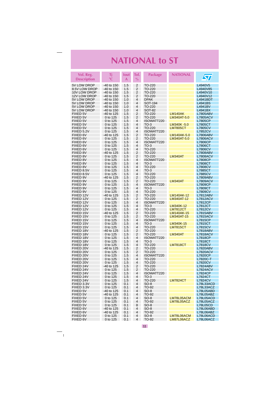<span id="page-10-0"></span>

| Vol. Reg.<br><b>Description</b> | Τi<br>$^{\circ}C$      | lout<br>A  | Tol.<br>$\frac{0}{0}$            | <b>Package</b>       | <b>NATIONAL</b>        | $\bm{\varpi}$                      |
|---------------------------------|------------------------|------------|----------------------------------|----------------------|------------------------|------------------------------------|
| 5V LOW DROP                     | $-40$ to 150           | 1.5        | 2                                | TO-220               |                        | L4940V5                            |
| 8.5V LOW DROP                   | -40 to 150             | 1.5        | 2                                | TO-220               |                        | L4940V85                           |
| 10V LOW DROP                    | -40 to 150             | 1.5        | 2                                | TO-220               |                        | L4940V10                           |
| 12V LOW DROP                    | -40 to 150             | 1.5        | 2                                | TO-220               |                        | L4940V12                           |
| 5V LOW DROP                     | -40 to 150             | 1.0        | $\overline{4}$                   | <b>DPAK</b>          |                        | L4941BDT                           |
| 5V LOW DROP                     | -40 to 150             | 1.0        | 4                                | SOT-194              |                        | L4941BS                            |
| 5V LOW DROP                     | -40 to 150             | 1.0        | $\overline{4}$                   | TO-220               |                        | L4941BV                            |
| 5V LOW DROP                     | -40 to 150             | 1.0        | $\overline{4}$<br>$\overline{2}$ | <b>SOT-82</b>        |                        | L4941BX                            |
| FIXED 5V<br>FIXED 5V            | -40 to 125<br>0 to 125 | 1.5<br>1.5 | $\overline{2}$                   | TO-220<br>TO-220     | LM140AK<br>LM340AT-5.0 | <b>L7805ABV</b><br><b>L7805ACV</b> |
| FIXED 5V                        | 0 to 125               | 1.5        | 4                                | ISOWATT220           |                        | <b>L7805CP</b>                     |
| FIXED 5V                        | 0 to 125               | 1.5        | 4                                | $TO-3$               | LM340K-5.0             | L7805CT                            |
| FIXED 5V                        | 0 to 125               | 1.5        | 4                                | TO-220               | <b>LM7805CT</b>        | <b>L7805CV</b>                     |
| FIXED 5.2V                      | 0 to 125               | 1.5        | 4                                | ISOWATT220           |                        | <b>L7852CV</b>                     |
| FIXED 6V                        | -40 to 125             | 1.5        | $\overline{2}$                   | TO-220               | LM140AK-5.0            | <b>L7806ABV</b>                    |
| FIXED 6V                        | 0 to 125               | 1.5        | $\overline{2}$                   | TO-220               | LM340AT-5.0            | <b>L7806ACV</b>                    |
| FIXED 6V                        | 0 to 125               | 1.5        | $\overline{4}$                   | ISOWATT220           |                        | L7806CP                            |
| FIXED 6V                        | 0 to 125               | 1.5        | 4                                | $TO-3$               |                        | <b>L7806CT</b>                     |
| FIXED 6V<br>FIXED 8V            | 0 to 125<br>-40 to 125 | 1.5<br>1.5 | 4<br>2                           | TO-220<br>TO-220     |                        | <b>L7806CV</b><br><b>L7808ABV</b>  |
| FIXED 8V                        | 0 to 125               | 1.5        | $\overline{2}$                   | TO-220               | <b>LM340AT</b>         | <b>L7808ACV</b>                    |
| FIXED 8V                        | 0 to 125               | 1.5        | 4                                | ISOWATT220           |                        | <b>L7808CP</b>                     |
| FIXED 8V                        | 0 to 125               | 1.5        | 4                                | $TO-3$               |                        | L7808CT                            |
| FIXED 8V                        | 0 to 125               | 1.5        | 4                                | TO-220               |                        | <b>L7808CV</b>                     |
| FIXED 8.5V                      | 0 to 125               | 1.5        | 4                                | $TO-3$               |                        | L7885CT                            |
| FIXED 8.5V                      | 0 to 125               | 1.5        | 4                                | TO-220               |                        | <b>L7885CV</b>                     |
| FIXED 9V                        | -40 to 125             | 1.5        | $\overline{2}$                   | TO-220               |                        | <b>L7809ABV</b>                    |
| FIXED 9V                        | 0 to 125               | 1.5        | $\overline{2}$                   | TO-220               | LM340AT                | <b>L7809ACV</b>                    |
| FIXED 9V<br>FIXED 9V            | 0 to 125<br>0 to 125   | 1.5<br>1.5 | $\overline{4}$<br>4              | ISOWATT220<br>$TO-3$ |                        | L7809CP<br>L7809CT                 |
| FIXED 9V                        | 0 to 125               | 1.5        | 4                                | TO-220               |                        | L7809CV                            |
| FIXED 12V                       | -40 to 125             | 1.5        | $\overline{2}$                   | TO-220               | LM140AK-12             | <b>L7812ABV</b>                    |
| FIXED 12V                       | 0 to 125               | 1.5        | 2                                | TO-220               | LM340AT-12             | L7812ACV                           |
| FIXED 12V                       | 0 to 125               | 1.5        | 4                                | ISOWATT220           |                        | L7812CP                            |
| FIXED 12V                       | 0 to 125               | 1.5        | 4                                | $TO-3$               | LM340K-12              | L7812CT                            |
| FIXED 12V                       | 0 to 125               | 1.5        | $\overline{4}$                   | TO-220               | <b>LM7812CT</b>        | <b>L7812CV</b>                     |
| FIXED 15V                       | -40 to 125             | 1.5        | $\overline{2}$                   | TO-220               | LM140AK-15             | <b>L7815ABV</b>                    |
| FIXED 15V<br>FIXED 15V          | 0 to 125<br>0 to 125   | 1.5<br>1.5 | 2<br>4                           | TO-220<br>ISOWATT220 | <b>LM340AT-15</b>      | <b>L7815ACV</b><br>L7815CP         |
| FIXED 15V                       | 0 to 125               | 1.5        | 4                                | $TO-3$               | LM340K-15              | L7815CT                            |
| FIXED 15V                       | 0 to 125               | 1.5        | 4                                | TO-220               | <b>LM7815CT</b>        | <b>L7815CV</b>                     |
| FIXED 18V                       | -40 to 125             | 1.5        | $\overline{2}$                   | TO-220               |                        | L7818ABV                           |
| FIXED 18V                       | 0 to 125               | 1.5        | $\overline{2}$                   | TO-220               | <b>LM340AT</b>         | <b>L7818ACV</b>                    |
| FIXED 18V                       | 0 to 125               | 1.5        | $\overline{4}$                   | ISOWATT220           |                        | L7818CP                            |
| FIXED 18V                       | 0 to 125               | 1.5        | 4                                | $TO-3$               |                        | <b>L7818CT</b>                     |
| FIXED 18V                       | 0 to 125               | 1.5        | 4                                | TO-220               | <b>LM7818CT</b>        | <b>L7818CV</b>                     |
| FIXED 20V<br>FIXED 20V          | -40 to 125<br>0 to 125 | 1.5<br>1.5 | 2<br>$\overline{2}$              | TO-220<br>TO-220     |                        | <b>L7820ABV</b><br><b>L7820ACV</b> |
| FIXED 20V                       | 0 to 125               | 1.5        | 4                                | ISOWATT220           |                        | <b>L7820CP</b>                     |
| FIXED 20V                       | 0 to 125               | 1.5        | 4                                | TO-220               |                        | L7820C-T                           |
| FIXED 20V                       | 0 to 125               | 1.5        | $\overline{4}$                   | TO-220               |                        | <b>L7820CV</b>                     |
| FIXED 24V                       | -40 to 125             | 1.5        | $\overline{2}$                   | TO-220               |                        | <b>L7824ABV</b>                    |
| FIXED 24V                       | 0 to 125               | 1.5        | $\overline{2}$                   | TO-220               |                        | <b>L7824ACV</b>                    |
| FIXED 24V                       | 0 to 125               | 1.5        | 4                                | ISOWATT220           |                        | <b>L7824CP</b>                     |
| FIXED 24V                       | 0 to 125               | 1.5        | 4                                | TO-3                 |                        | L7824CT                            |
| FIXED 24V                       | 0 to 125               | 1.5        | 4                                | TO-220               | <b>LM7824CT</b>        | <b>L7824CV</b>                     |
| FIXED 3.3V<br>FIXED 3.3V        | 0 to 125<br>0 to 125   | 0.1<br>0.1 | 4<br>4                           | SO-8<br>TO-92        |                        | L78L33ACD<br>L78L33ACZ             |
| FIXED 5V                        | -40 to 125             | 0.1        | 4                                | SO-8                 |                        | L78L05ABD                          |
| FIXED 5V                        | -40 to 125             | 0.1        | 4                                | TO-92                |                        | L78L05ABZ                          |
| FIXED 5V                        | 0 to 125               | 0.1        | 4                                | SO-8                 | LM78L05ACM             | L78L05ACD                          |
| FIXED 5V                        | 0 to 125               | 0.1        | 4                                | TO-92                | LM78L05ACZ             | L78L05ACZ                          |
| FIXED 5V                        | 0 to 125               | 0.1        | 8                                | $SO-8$               |                        | <b>L78L05CD</b>                    |
| FIXED 6V                        | -40 to 125             | 0.1        | 4                                | SO-8                 |                        | L78L06ABD                          |
| FIXED 6V<br>FIXED 6V            | -40 to 125<br>0 to 125 | 0.1<br>0.1 | 4<br>4                           | TO-92<br>SO-8        | LM78L06ACM             | L78L06ABZ<br>L78L06ACD             |
| FIXED 6V                        | 0 to 125               | 0.1        | 4                                | TO-92                | LM87L06ACZ             | L78L06ACZ                          |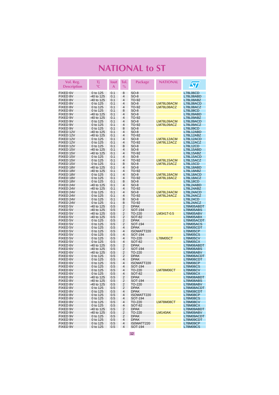| Vol. Reg.                          | Τi                       | lout       | Tol.                | <b>Package</b>             | <b>NATIONAL</b>          |                              |
|------------------------------------|--------------------------|------------|---------------------|----------------------------|--------------------------|------------------------------|
| <b>Description</b>                 | $^{\circ}{\mathbb C}$    | A          | $\frac{0}{0}$       |                            |                          | ST                           |
| FIXED 6V                           | 0 to 125                 | 0.1        | 8                   | $SO-8$                     |                          | L78L06CD                     |
| FIXED 8V                           | -40 to 125               | 0.1        | 4                   | $SO-8$                     |                          | L78L08ABD                    |
| <b>FIXED 8V</b>                    | -40 to 125               | 0.1        | 4<br>4              | TO-92                      |                          | L78L08ABZ                    |
| FIXED 8V<br><b>FIXED 8V</b>        | 0 to 125<br>0 to 125     | 0.1<br>0.1 | 4                   | $SO-8$<br>TO-92            | LM78L08ACM<br>LM78L08ACZ | L78L08ACD<br>L78L08ACZ       |
| FIXED 8V                           | 0 to 125                 | 0.1        | 8                   | $SO-8$                     |                          | L78L08CD                     |
| FIXED 9V                           | -40 to 125               | 0.1        | 4                   | $SO-8$                     |                          | L78L09ABD                    |
| FIXED 9V                           | -40 to 125               | 0.1        | 4                   | TO-92                      |                          | L78L09ABZ                    |
| FIXED 9V                           | 0 to 125                 | 0.1        | 4                   | SO-8                       | LM78L09ACM               | L78L09ACD                    |
| FIXED 9V                           | 0 to 125                 | 0.1        | 4                   | TO-92                      | LM78L09ACZ               | L78L09ACZ                    |
| FIXED 9V<br>FIXED 12V              | 0 to 125<br>-40 to 125   | 0.1<br>0.1 | 8<br>4              | $SO-8$<br>$SO-8$           |                          | <b>L78L09CD</b><br>L78L12ABD |
| FIXED 12V                          | -40 to 125               | 0.1        | 4                   | TO-92                      |                          | L78L12ABZ                    |
| FIXED 12V                          | 0 to 125                 | 0.1        | 4                   | SO-8                       | LM78L12ACM               | L78L12ACD                    |
| FIXED 12V                          | 0 to 125                 | 0.1        | 4                   | TO-92                      | LM78L12ACZ               | L78L12ACZ                    |
| FIXED 12V                          | 0 to 125                 | 0.1        | 8                   | $SO-8$                     |                          | L78L12CD                     |
| FIXED 15V                          | -40 to 125               | 0.1        | 4                   | $SO-8$                     |                          | L78L15ABD                    |
| FIXED 15V                          | -40 to 125               | 0.1        | 4<br>4              | TO-92                      |                          | L78L15ABZ                    |
| FIXED 15V<br>FIXED 15V             | 0 to 125<br>0 to 125     | 0.1<br>0.1 | $\overline{4}$      | $SO-8$<br>TO-92            | LM78L15ACM               | L78L15ACD<br>L78L15ACZ       |
| FIXED 15V                          | 0 to 125                 | 0.1        | 8                   | $SO-8$                     | LM78L15ACZ               | <b>L78L15CD</b>              |
| FIXED 18V                          | -40 to 125               | 0.1        | 4                   | $SO-8$                     |                          | L78L18ABD                    |
| FIXED 18V                          | -40 to 125               | 0.1        | 4                   | TO-92                      |                          | L78L18ABZ                    |
| FIXED 18V                          | 0 to 125                 | 0.1        | $\overline{4}$      | $SO-8$                     | LM78L18ACM               | L78L18ACD                    |
| FIXED 18V                          | 0 to 125                 | 0.1        | 4                   | TO-92                      | LM78L18ACZ               | L78L18ACZ                    |
| FIXED 18V<br>FIXED 24V             | 0 to 125<br>-40 to 125   | 0.1<br>0.1 | 8<br>4              | $SO-8$<br>$SO-8$           |                          | <b>L78L18CD</b><br>L78L24ABD |
| FIXED 24V                          | -40 to 125               | 0.1        | $\overline{4}$      | TO-92                      |                          | L78L24ABZ                    |
| FIXED 24V                          | 0 to 125                 | 0.1        | 4                   | SO-8                       | LM78L24ACM               | L78L24ACD                    |
| FIXED 24V                          | 0 to 125                 | 0.1        | 4                   | TO-92                      | LM78L24ACZ               | L78L24ACZ                    |
| FIXED 24V                          | 0 to 125                 | 0.1        | 8                   | $SO-8$                     |                          | L78L24CD                     |
| FIXED 24V                          | 0 to 125                 | 0.1        | 8                   | TO-92                      |                          | L78L24ACZ                    |
| <b>FIXED 5V</b>                    | -40 to 125               | 0.5        | 2<br>2              | <b>DPAK</b>                |                          | L78M05ABDT                   |
| <b>FIXED 5V</b><br><b>FIXED 5V</b> | -40 to 125<br>-40 to 125 | 0.5<br>0.5 | 2                   | SOT-194<br>TO-220          | LM341T-0.5               | L78M05ABS<br>L78M05ABV       |
| <b>FIXED 5V</b>                    | -40 to 125               | 0.5        | 2                   | SOT-82                     |                          | L78M05ABX                    |
| <b>FIXED 5V</b>                    | 0 to 125                 | 0.5        | 2                   | <b>DPAK</b>                |                          | L78M05ACDT                   |
| FIXED 5V                           | 0 to 125                 | 0.5        | 2                   | SOT-194                    |                          | L78M05ACS                    |
| <b>FIXED 5V</b>                    | 0 to 125                 | 0.5        | 4                   | <b>DPAK</b>                |                          | L78M05CDT                    |
| FIXED 5V<br>FIXED 5V               | 0 to 125                 | 0.5        | 4<br>4              | ISOWATT220                 |                          | <b>L78M05CP</b>              |
| FIXED 5V                           | 0 to 125<br>0 to 125     | 0.5<br>0.5 | 4                   | SOT-194<br>TO-220          | <b>L78M05CT</b>          | <b>L78M05CS</b><br>L78M05CV  |
| FIXED 5V                           | 0 to 125                 | 0.5        | 4                   | <b>SOT-82</b>              |                          | <b>L78M05CX</b>              |
| FIXED 6V                           | -40 to 125               | 0.5        | 2                   | <b>DPAK</b>                |                          | L78M06ABDT                   |
| FIXED 6V                           | -40 to 125               | 0.5        | 2                   | SOT-194                    |                          | L78M06ABS                    |
| FIXED 6V                           | -40 to 125               | 0.5        | 2                   | TO-220                     |                          | L78M06ABV                    |
| FIXED 6V<br>FIXED 6V               | 0 to 125                 | 0.5        | 2<br>4              | <b>DPAK</b><br><b>DPAK</b> |                          | L78M06ACDT                   |
| FIXED 6V                           | 0 to 125<br>0 to 125     | 0.5<br>0.5 | 4                   | ISOWATT220                 |                          | L78M06CDT<br><b>L78M06CP</b> |
| FIXED 6V                           | 0 to 125                 | 0.5        | 4                   | SOT-194                    |                          | <b>L78M06CS</b>              |
| FIXED 6V                           | 0 to 125                 | 0.5        | $\overline{4}$      | TO-220                     | LM78M06CT                | L78M06CV                     |
| FIXED 6V                           | 0 to 125                 | 0.5        | 4                   | SOT-82                     |                          | L78M06CX                     |
| <b>FIXED 8V</b>                    | -40 to 125               | 0.5        | $\overline{2}$      | <b>DPAK</b>                |                          | L78M08ABDT                   |
| FIXED 8V                           | -40 to 125<br>-40 to 125 | 0.5        | 2<br>$\overline{2}$ | SOT-194                    |                          | L78M08ABS                    |
| <b>FIXED 8V</b><br>FIXED 8V        | 0 to 125                 | 0.5<br>0.5 | 2                   | TO-220<br><b>DPAK</b>      |                          | L78M08ABV<br>L78M08ACDT      |
| FIXED 8V                           | 0 to 125                 | 0.5        | 4                   | <b>DPAK</b>                |                          | L78M08CDT                    |
| FIXED 8V                           | 0 to 125                 | 0.5        | 4                   | ISOWATT220                 |                          | L78M08CP                     |
| FIXED 8V                           | 0 to 125                 | 0.5        | 4                   | SOT-194                    |                          | <b>L78M08CS</b>              |
| FIXED 8V                           | 0 to 125                 | 0.5        | 4                   | TO-220                     | LM78M08CT                | <b>L78M08CV</b>              |
| FIXED 8V                           | 0 to 125                 | 0.5        | 4                   | SOT-82                     |                          | <b>L78M08CX</b>              |
| FIXED 9V<br>FIXED 9V               | -40 to 125<br>-40 to 125 | 0.5<br>0.5 | 2<br>2              | <b>DPAK</b><br>TO-220      | <b>LM140AK</b>           | L78M09ABDT<br>L78M09ABV      |
| FIXED 9V                           | 0 to 125                 | 0.5        | 2                   | <b>DPAK</b>                |                          | L78M09ACDT                   |
| FIXED 9V                           | 0 to 125                 | 0.5        | 4                   | <b>DPAK</b>                |                          | L78M09CDT                    |
| FIXED 9V                           | 0 to 125                 | 0.5        | 4                   | ISOWATT220                 |                          | L78M09CP                     |
| FIXED 9V                           | 0 to 125                 | 0.5        | 4                   | SOT-194                    |                          | <b>L78M09CS</b>              |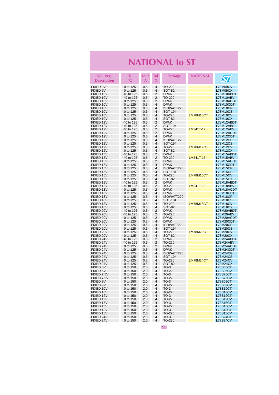| Vol. Reg.<br><b>Description</b> | Τi<br>$\rm ^{\circ}C$  | lout:<br>A | Tol.<br>$\frac{0}{0}$ | <b>Package</b>               | <b>NATIONAL</b> | $\sqrt{\pi}$                       |
|---------------------------------|------------------------|------------|-----------------------|------------------------------|-----------------|------------------------------------|
|                                 |                        |            |                       |                              |                 |                                    |
| FIXED 9V<br>FIXED 9V            | 0 to 125               | 0.5        | 4<br>4                | TO-220                       |                 | L78M09CV                           |
| FIXED 10V                       | 0 to 125<br>-40 to 125 | 0.5<br>0.5 | 2                     | SOT-82<br><b>DPAK</b>        |                 | L78M09CX<br>L78M10ABDT             |
| FIXED 10V                       | -40 to 125             | 0.5        | 2                     | TO-220                       |                 | L78M10ABV                          |
| FIXED 10V                       | 0 to 125               | 0.5        | 2                     | <b>DPAK</b>                  |                 | L78M10ACDT                         |
| FIXED 10V                       | 0 to 125               | 0.5        | 4                     | <b>DPAK</b>                  |                 | L78M10CDT                          |
| FIXED 10V                       | 0 to 125               | 0.5        | 4                     | ISOWATT220                   |                 | <b>L78M10CP</b>                    |
| FIXED 10V                       | 0 to 125               | 0.5        | 4                     | SOT-194                      |                 | <b>L78M10CS</b>                    |
| FIXED 10V                       | 0 to 125               | 0.5        | 4                     | TO-220                       | LM78M10CT       | <b>L78M10CV</b>                    |
| FIXED 10V<br>FIXED 12V          | 0 to 125<br>-40 to 125 | 0.5<br>0.5 | 4<br>2                | SOT-82<br><b>DPAK</b>        |                 | <b>L78M10CX</b><br>L78M12ABDT      |
| FIXED 12V                       | -40 to 125             | 0.5        | 2                     | SOT-194                      |                 | L78M12ABS                          |
| FIXED 12V                       | $-40$ to 125           | 0.5        | 2                     | TO-220                       | LM341T-12       | L78M12ABV                          |
| FIXED 12V                       | 0 to 125               | 0.5        | 2                     | <b>DPAK</b>                  |                 | L78M12ACDT                         |
| FIXED 12V                       | 0 to 125               | 0.5        | 4                     | <b>DPAK</b>                  |                 | L78M12CDT                          |
| FIXED 12V                       | 0 to 125               | 0.5        | 4                     | ISOWATT220                   |                 | <b>L78M12CP</b>                    |
| FIXED 12V                       | 0 to 125               | 0.5        | 4                     | SOT-194                      |                 | <b>L78M12CS</b>                    |
| FIXED 12V                       | 0 to 125               | 0.5        | 4                     | TO-220                       | LM78M12CT       | <b>L78M12CV</b>                    |
| FIXED 12V<br>FIXED 15V          | 0 to 125<br>-40 to 125 | 0.5<br>0.5 | 4<br>2                | <b>SOT-82</b><br><b>DPAK</b> |                 | L78M12CX<br>L78M15ABDT             |
| FIXED 15V                       | -40 to 125             | 0.5        | 2                     | TO-220                       | LM341T-15       | L78M15ABV                          |
| FIXED 15V                       | 0 to 125               | 0.5        | 2                     | <b>DPAK</b>                  |                 | L78M15ACDT                         |
| FIXED 15V                       | 0 to 125               | 0.5        | 4                     | <b>DPAK</b>                  |                 | L78M15CDT                          |
| FIXED 15V                       | 0 to 125               | 0.5        | 4                     | ISOWATT220                   |                 | <b>L78M15CP</b>                    |
| FIXED 15V                       | 0 to 125               | 0.5        | 4                     | SOT-194                      |                 | <b>L78M15CS</b>                    |
| FIXED 15V                       | 0 to 125               | 0.5        | 4                     | TO-220                       | LM78M15CT       | <b>L78M15CV</b>                    |
| FIXED 15V<br>FIXED 18V          | 0 to 125<br>-40 to 125 | 0.5<br>0.5 | 4<br>2                | SOT-82<br><b>DPAK</b>        |                 | <b>L78M15CX</b><br>L78M18ABDT      |
| FIXED 18V                       | -40 to 125             | 0.5        | $\overline{2}$        | TO-220                       | LM341T-18       | L78M18ABV                          |
| FIXED 18V                       | 0 to 125               | 0.5        | 2                     | <b>DPAK</b>                  |                 | L78M18ACDT                         |
| FIXED 18V                       | 0 to 125               | 0.5        | 4                     | <b>DPAK</b>                  |                 | L78M18CDT                          |
| FIXED 18V                       | 0 to 125               | 0.5        | 4                     | ISOWATT220                   |                 | <b>L78M18CP</b>                    |
| FIXED 18V                       | 0 to 125               | 0.5        | $\overline{4}$        | SOT-194                      |                 | <b>L78M18CS</b>                    |
| FIXED 18V                       | 0 to 125               | 0.5        | 4                     | TO-220                       | LM78M18CT       | <b>L78M18CV</b>                    |
| FIXED 18V<br>FIXED 20V          | 0 to 125<br>-40 to 125 | 0.5<br>0.5 | 4<br>2                | SOT-82<br><b>DPAK</b>        |                 | L78M18CX                           |
| FIXED 20V                       | -40 to 125             | 0.5        | 2                     | TO-220                       |                 | L78M20ABDT<br>L78M20ABV            |
| FIXED 20V                       | 0 to 125               | 0.5        | 2                     | <b>DPAK</b>                  |                 | L78M20ACDT                         |
| FIXED 20V                       | 0 to 125               | 0.5        | 4                     | <b>DPAK</b>                  |                 | L78M20CDT                          |
| FIXED 20V                       | 0 to 125               | 0.5        | 4                     | ISOWATT220                   |                 | <b>L78M20CP</b>                    |
| FIXED 20V                       | 0 to 125               | 0.5        | 4                     | SOT-194                      |                 | <b>L78M20CS</b>                    |
| FIXED 20V                       | 0 to 125               | 0.5        | 4                     | TO-220                       | LM78M20CT       | <b>L78M20CV</b>                    |
| FIXED 20V<br>FIXED 24V          | 0 to 125<br>-40 to 125 | 0.5<br>0.5 | 4<br>2                | <b>SOT-82</b><br><b>DPAK</b> |                 | L78M20CX<br>L78M24ABDT             |
| FIXED 24V                       | -40 to 125             | 0.5        | 2                     | TO-220                       |                 | L78M24ABV                          |
| FIXED 24V                       | 0 to 125               | 0.5        | 2                     | <b>DPAK</b>                  |                 | L78M24ACDT                         |
| FIXED 24V                       | 0 to 125               | 0.5        | 4                     | <b>DPAK</b>                  |                 | L78M24CDT                          |
| FIXED 24V                       | 0 to 125               | 0.5        | 4                     | ISOWATT220                   |                 | L78M24CP                           |
| FIXED 24V                       | 0 to 125               | 0.5        | 4                     | SOT-194                      |                 | <b>L78M24CS</b>                    |
| FIXED 24V                       | 0 to 125               | 0.5        | 4                     | TO-220                       | LM78M24CT       | <b>L78M24CV</b>                    |
| FIXED 24V                       | 0 to 125               | 0.5        | 4<br>4                | <b>SOT-82</b>                |                 | <b>L78M24CX</b>                    |
| FIXED 5V<br>FIXED 5V            | 0 to 150<br>0 to 150   | 2.0<br>2.0 | 4                     | $TO-3$<br>TO-220             |                 | <b>L78S05CT</b><br><b>L78S05CV</b> |
| FIXED 7.5V                      | 0 to 150               | 2.0        | 4                     | $TO-3$                       |                 | <b>L78S75CT</b>                    |
| FIXED 7.5V                      | 0 to 150               | 2.0        | 4                     | TO-220                       |                 | <b>L78S75CV</b>                    |
| FIXED 9V                        | 0 to 150               | 2.0        | 4                     | $TO-3$                       |                 | L78S09CT                           |
| FIXED 9V                        | 0 to 150               | 2.0        | 4                     | TO-220                       |                 | <b>L78S09CV</b>                    |
| FIXED 10V                       | 0 to 150               | 2.0        | 4                     | $TO-3$                       |                 | <b>L78S10CT</b>                    |
| FIXED 10V                       | 0 to 150               | 2.0        | 4                     | TO-220                       |                 | <b>L78S10CV</b>                    |
| FIXED 12V<br>FIXED 12V          | 0 to 150<br>0 to 150   | 2.0<br>2.0 | 4<br>4                | $TO-3$<br>TO-220             |                 | L78S12CT<br><b>L78S12CV</b>        |
| FIXED 15V                       | 0 to 150               | 2.0        | 4                     | $TO-3$                       |                 | L78S15CT                           |
| FIXED 15V                       | 0 to 150               | 2.0        | 4                     | TO-220                       |                 | <b>L78S15CV</b>                    |
| FIXED 18V                       | 0 to 150               | 2.0        | 4                     | $TO-3$                       |                 | L78S18CT                           |
| FIXED 18V                       | 0 to 150               | 2.0        | 4                     | TO-220                       |                 | <b>L78S18CV</b>                    |
| FIXED 24V                       | 0 to 150               | 2.0        | 4                     | $TO-3$                       |                 | <b>L78S24CT</b>                    |
| FIXED 24V                       | 0 to 150               | 2.0        | 4                     | TO-220                       |                 | <b>L78S24CV</b>                    |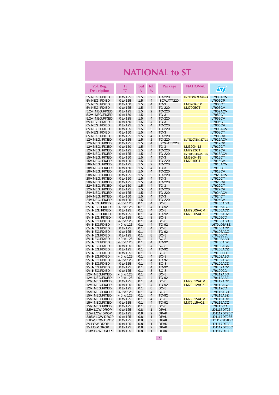| Vol. Reg.<br><b>Description</b>  | Τj<br>°C                 | lout<br>A  | Tol.<br>$\%$   | Package              | <b>NATIONAL</b>     | <b>S7</b>                    |
|----------------------------------|--------------------------|------------|----------------|----------------------|---------------------|------------------------------|
| 5V NEG. FIXED                    | 0 to 125                 | 1.5        | 2              | TO-220               | LM7905CT/LM320T-5.0 | <b>L7905ACV</b>              |
| 5V NEG. FIXED                    | 0 to 125                 | 1.5        | $\overline{4}$ | ISOWATT220           |                     | <b>L7905CP</b>               |
| 5V NEG. FIXED                    | 0 to 150                 | 1.5        | 4              | $TO-3$               | LM320K-5.0          | L7905CT                      |
| 5V NEG. FIXED                    | 0 to 125                 | 1.5        | 4              | TO-220               | <u>LM7905CT</u>     | <b>L7905CV</b>               |
| 5.2V NEG.FIXED                   | 0 to 125                 | 1.5        | 2              | TO-220               |                     | L7952ACV                     |
| 5.2V NEG.FIXED                   | 0 to 150                 | 1.5        | 4              | $TO-3$               |                     | L7952CT                      |
| 5.2V NEG.FIXED                   | 0 to 125                 | 1.5        | 4              | TO-220               |                     | <b>L7952CV</b>               |
| 6V NEG. FIXED                    | 0 to 150                 | 1.5        | 4              | $TO-3$               |                     | L7906CT                      |
| 6V NEG. FIXED                    | 0 to 125                 | 1.5        | 4              | TO-220               |                     | <b>L7906CV</b>               |
| 8V NEG. FIXED                    | 0 to 125                 | 1.5        | $\overline{2}$ | TO-220               |                     | <b>L7908ACV</b>              |
| 8V NEG. FIXED                    | 0 to 150                 | 1.5        | $\overline{4}$ | $TO-3$               |                     | <b>L7908CT</b>               |
| 8V NEG. FIXED                    | 0 to 125                 | 1.5        | 4              | TO-220               |                     | <b>L7908CV</b>               |
| 12V NEG. FIXED                   | 0 to 125                 | 1.5<br>1.5 | 2<br>4         | TO-220<br>ISOWATT220 | LM7912CT/LM320T-12  | L7912ACV<br>L7912CP          |
| 12V NEG. FIXED<br>12V NEG. FIXED | 0 to 125<br>0 to 150     | 1.5        | 4              | $TO-3$               | LM320K-12           | L7912CT                      |
| 12V NEG. FIXED                   | 0 to 125                 | 1.5        | 4              | TO-220               | LM7912CT            | <b>L7912CV</b>               |
| 15V NEG. FIXED                   | 0 to 125                 | 1.5        | 2              | TO-220               | LM7915CT/LM320T-15  | <b>L7915ACV</b>              |
| 15V NEG. FIXED                   | 0 to 150                 | 1.5        | $\overline{4}$ | $TO-3$               | LM320K-15           | L7915CT                      |
| 15V NEG. FIXED                   | 0 to 125                 | 1.5        | 4              | TO-220               | LM7915CT            | <b>L7915CV</b>               |
| 18V NEG. FIXED                   | 0 to 125                 | 1.5        | 2              | TO-220               |                     | L7918ACV                     |
| 18V NEG. FIXED                   | 0 to 150                 | 1.5        | 4              | $TO-3$               |                     | L7918CT                      |
| 18V NEG. FIXED                   | 0 to 125                 | 1.5        | 4              | TO-220               |                     | <b>L7918CV</b>               |
| 20V NEG. FIXED                   | 0 to 125                 | 1.5        | 2              | TO-220               |                     | <b>L7920ACV</b>              |
| 20V NEG. FIXED                   | 0 to 150                 | 1.5        | $\overline{4}$ | $TO-3$               |                     | L7920CT                      |
| 20V NEG. FIXED                   | 0 to 125                 | 1.5        | 4              | TO-220               |                     | <b>L7920CV</b>               |
| 22V NEG. FIXED                   | 0 to 150                 | 1.5        | $\overline{4}$ | $TO-3$               |                     | L7922CT                      |
| 22V NEG. FIXED                   | 0 to 125                 | 1.5        | 4              | TO-220               |                     | <b>L7922CV</b>               |
| 24V NEG. FIXED                   | 0 to 125                 | 1.5        | 2<br>4         | TO-220               |                     | <b>L7924ACV</b>              |
| 24V NEG. FIXED                   | 0 to 150                 | 1.5        | $\overline{4}$ | $TO-3$               |                     | L7924CT                      |
| 24V NEG. FIXED<br>5V NEG. FIXED  | 0 to 125<br>-40 to 125   | 1.5<br>0.1 | 4              | TO-220<br>$SO-8$     |                     | <b>L7924CV</b><br>L79L05ABD  |
| 5V NEG. FIXED                    | -40 to 125               | 0.1        | $\overline{4}$ | TO-92                |                     | L79L05ABZ                    |
| 5V NEG. FIXED                    | 0 to 125                 | 0.1        | 4              | $SO-8$               | LM79L05ACM          | L79L05ACD                    |
| 5V NEG. FIXED                    | 0 to 125                 | 0.1        | 4              | TO-92                | LM79L05ACZ          | L79L05ACZ                    |
| 5V NEG. FIXED                    | 0 to 125                 | 0.1        | 8              | SO-8                 |                     | <b>L79L05CD</b>              |
| 6V NEG.FIXED                     | -40 to 125               | 0.1        | $\overline{4}$ | $SO-8$               |                     | L79L06ABD                    |
| 6V NEG.FIXED                     | -40 to 125               | 0.1        | 4              | TO-92                |                     | L679L06ABZ                   |
| 6V NEG.FIXED                     | 0 to 125                 | 0.1        | 4              | SO-8                 |                     | L79L06ACD                    |
| 6V NEG.FIXED                     | 0 to 125                 | 0.1        | 4              | TO-92                |                     | L79L06ACZ                    |
| 6V NEG.FIXED                     | 0 to 125                 | 0.1        | 8              | $SO-8$               |                     | L79L06CD                     |
| 8V NEG.FIXED                     | -40 to 125               | 0.1        | 4<br>4         | $SO-8$               |                     | L79L08ABD                    |
| 8V NEG.FIXED<br>8V NEG.FIXED     | -40 to 125<br>0 to 125   | 0.1<br>0.1 | 4              | TO-92<br>$SO-8$      |                     | L79L08ABZ<br>L79L08ACD       |
| 8V NEG.FIXED                     | 0 to 125                 | 0.1        | 4              | TO-92                |                     | L79L08ACZ                    |
| 8V NEG.FIXED                     | 0 to 125                 | 0.1        | 8              | $SO-8$               |                     | <b>L79L08CD</b>              |
| 9V NEG.FIXED                     | -40 to 125               | 0.1        | 4              | SO-8                 |                     | L79L09ABD                    |
| 9V NEG.FIXED                     | -40 to 125               | 0.1        | $\overline{4}$ | TO 92                |                     | L79L09ABZ                    |
| 9V NEG.FIXED                     | 0 to 125                 | 0.1        | 4              | $SO-8$               |                     | L79L09ACD                    |
| 9V NEG.FIXED                     | 0 to 125                 | 0.1        | 4              | TO-92                |                     | L79L09ACZ                    |
| 9V NEG.FIXED                     | 0 to 125                 | 0.1        | 8              | SO-8                 |                     | <b>L79L09CD</b>              |
| 12V NEG.FIXED                    | -40 to 125               | 0.1        | 4              | $SO-8$               |                     | L79L12ABD                    |
| 12V NEG.FIXED                    | -40 to 125               | 0.1        | 4              | TO-92                |                     | L79L12ABZ                    |
| 12V NEG.FIXED                    | 0 to 125                 | 0.1        | $\overline{4}$ | $SO-8$               | LM79L12ACM          | L79L12ACD                    |
| 12V NEG.FIXED                    | 0 to 125                 | 0.1        | 4<br>8         | TO-92                | LM79L12ACZ          | L79L12ACZ<br><b>L79L12CD</b> |
| 12V NEG.FIXED                    | 0 to 125                 | 0.1<br>0.1 | 4              | $SO-8$               |                     |                              |
| 15V NEG.FIXED<br>15V NEG.FIXED   | -40 to 125<br>-40 to 125 | 0.1        | 4              | SO-8<br>TO-92        |                     | L79L15ABD<br>L79L15ABZ       |
| 15V NEG.FIXED                    | 0 to 125                 | 0.1        | 4              | $SO-8$               | LM79L15ACM          | L79L15ACD                    |
| 15V NEG.FIXED                    | 0 to 125                 | 0.1        | 4              | TO-92                | LM79L15ACZ          | L79L15ACZ                    |
| 15V NEG.FIXED                    | 0 to 125                 | 0.1        | 8              | $SO-8$               |                     | <b>L79L15CD</b>              |
| 2.5V LOW DROP                    | 0 to 125                 | 0.8        | 1              | <b>DPAK</b>          |                     | LD1117DT25                   |
| 2.5V LOW DROP                    | 0 to 125                 | 0.8        | 2              | <b>DPAK</b>          |                     | LD1117DT25C                  |
| 2.85V LOW DROP                   | 0 to 125                 | 0.8        | 1              | <b>DPAK</b>          |                     | LD1117DT285                  |
| 2.85V LOW DROP                   | 0 to 125                 | 0.8        | 2              | <b>DPAK</b>          |                     | LD1117DT285C                 |
| 3V LOW DROP                      | 0 to 125                 | 0.8        | 1              | <b>DPAK</b>          |                     | LD1117DT30                   |
| 3V LOW DROP                      | 0 to 125                 | 0.8        | 2              | <b>DPAK</b>          |                     | LD1117DT30C                  |
| 3.3V LOW DROP                    | 0 to 125                 | 0.8        | $\mathbf{1}$   | <b>DPAK</b>          |                     | LD1117DT33                   |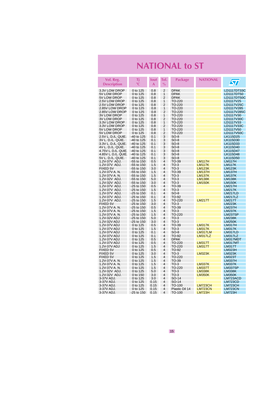| Vol. Reg.<br><b>Description</b>      | Τj<br>$^{\circ}$ C           | lout<br>A  | Tol.<br>$\frac{0}{0}$                     | Package          | <b>NATIONAL</b> | $\sqrt{\pi}$                   |
|--------------------------------------|------------------------------|------------|-------------------------------------------|------------------|-----------------|--------------------------------|
| 3.3V LOW DROP                        | 0 to 125                     | 0.8        | $\overline{2}$                            | <b>DPAK</b>      |                 | LD1117DT33C                    |
| 5V LOW DROP                          | 0 to 125                     | 0.8        | 1                                         | <b>DPAK</b>      |                 | LD1117DT50                     |
| 5V LOW DROP                          | 0 to 125                     | 0.8        | $\overline{2}$                            | <b>DPAK</b>      |                 | LD1117DT50C                    |
| 2.5V LOW DROP                        | 0 to 125                     | 0.8        | 1                                         | TO-220           |                 | LD1117V25                      |
| 2.5V LOW DROP                        | 0 to 125                     | 0.8        | $\overline{2}$                            | TO-220           |                 | LD1117V25C                     |
| 2.85V LOW DROP                       | 0 to 125                     | 0.8        | 1<br>$\overline{2}$                       | TO-220           |                 | LD1117V285                     |
| 2.85V LOW DROP<br><b>3V LOW DROP</b> | 0 to 125<br>0 to 125         | 0.8<br>0.8 | 1                                         | TO-220<br>TO-220 |                 | LD1117V285C<br>LD1117V30       |
| <b>3V LOW DROP</b>                   | 0 to 125                     | 0.8        | $\overline{2}$                            | TO-220           |                 | LD1117V30C                     |
| 3.3V LOW DROP                        | 0 to 125                     | 0.8        | 1                                         | TO-220           |                 | LD1117V33                      |
| 3.3V LOW DROP                        | 0 to 125                     | 0.8        | $\overline{2}$                            | TO-220           |                 | LD1117V33C                     |
| 5V LOW DROP                          | 0 to 125                     | 0.8        | $\overline{1}$                            | TO-220           |                 | LD1117V50                      |
| 5V LOW DROP                          | 0 to 125                     | 0.8        | $\overline{2}$                            | TO-220           |                 | LD1117V50C                     |
| 2.5V L. D./L. QUIE.                  | -40 to 125                   | 0.1        | 3                                         | $SO-8$           |                 | LK115D25                       |
| 3V L. D./L. QUIE.                    | -40 to 125                   | 0.1        | 3                                         | $SO-8$           |                 | LK115D30                       |
| 3.3V L. D./L. QUIE.                  | -40 to 125                   | 0.1        | 3                                         | $SO-8$           |                 | LK115D33                       |
| 4V L. D./L. QUIE.                    | $-40$ to 125                 | 0.1        | 3                                         | $SO-8$           |                 | LK115D40                       |
| 4.75V L. D./L. QUIE.                 | -40 to 125                   | 0.1        | 3                                         | $SO-8$           |                 | LK115D47                       |
| 4.85V L. D./L. QUIE.                 | -40 to 125                   | 0.1        | 3                                         | $SO-8$           |                 | LK115D48                       |
| 5V L. D./L. QUIE.                    | $-40$ to 125                 | 0.1        | 3                                         | $SO-8$           |                 | LK115D50                       |
| 1.2V-37V ADJ.                        | $-55$ to 150                 | 0.5        | 4                                         | TO-39            | <b>LM117H</b>   | <b>LM117H</b>                  |
| 1.2V-37V ADJ.                        | $-55$ to 150                 | 1.5        | $\overline{4}$                            | $TO-3$           | <b>LM117K</b>   | <b>LM117K</b>                  |
| <b>FIXED 5V</b>                      | -55 to 150                   | 3.0        | $\overline{4}$                            | $TO-3$           | <b>LM123K</b>   | <b>LM123K</b>                  |
| 1.2V-37V A.N.                        | $-55$ to 150                 | 1.5        | $\overline{4}$                            | TO-39            | <b>LM137H</b>   | <b>LM137H</b>                  |
| 1.2V-37V A.N.                        | -55 to 150                   | 1.5        | $\overline{4}$                            | $TO-3$           | <b>LM137K</b>   | <b>LM137K</b>                  |
| 1.2V-32V ADJ.                        | -55 to 150                   | 5.0        | $\overline{\mathbf{4}}$                   | $TO-3$           | <b>LM138K</b>   | <b>LM138K</b>                  |
| 1.2V-32V ADJ.<br>1.2V-37V ADJ.       | $-55$ to 150                 | 3.0        | $\overline{4}$<br>4                       | $TO-3$           | <b>LM150K</b>   | <b>LM150K</b>                  |
| 1.2V-37V ADJ.                        | $-25$ to 150<br>$-25$ to 150 | 0.5<br>1.5 | $\overline{4}$                            | TO-39<br>$TO-3$  |                 | <b>LM217H</b><br><b>LM217K</b> |
| 1.2V-37V ADJ.                        | $-25$ to 150                 | 0.1        | $\overline{\mathbf{4}}$                   | $SO-8$           |                 | <b>LM217LD</b>                 |
| 1.2V-37V ADJ.                        | $-25$ to 150                 | 0.1        | $\overline{4}$                            | TO-92            |                 | <b>LM217LZ</b>                 |
| 1.2V-37V ADJ.                        | $-25$ to 150                 | 1.5        | $\overline{\mathbf{4}}$                   | TO-220           | <b>LM217T</b>   | <b>LM217T</b>                  |
| FIXED 5V                             | $-25$ to 150                 | 3.0        | $\overline{\mathbf{4}}$                   | $TO-3$           |                 | <b>LM223K</b>                  |
| 1.2V-37V A. N.                       | $-25$ to 150                 | 0.5        | $\overline{4}$                            | TO-39            |                 | <b>LM237H</b>                  |
| 1.2V-37V A. N.                       | $-25$ to 150                 | 1.5        | 4                                         | $TO-3$           |                 | <b>LM237K</b>                  |
| 1.2V-37V A.N.                        | -25 to 150                   | 1.5        | $\overline{4}$                            | TO-220           |                 | <b>LM237SP</b>                 |
| 1.2V-32V ADJ                         | $-25$ to 150                 | 5.0        | $\overline{4}$                            | $TO-3$           |                 | <b>LM238K</b>                  |
| 1.2V-32V ADJ                         | $-25$ to 150                 | 3.0        | 4                                         | $TO-3$           |                 | <b>LM250K</b>                  |
| 1.2V-37V ADJ                         | 0 to 125                     | 0.5        | $\overline{\mathbf{4}}$                   | TO-39            | <b>LM317K</b>   | <b>LM317H</b>                  |
| 1.2V-37V ADJ                         | 0 to 125                     | 1.5        | $\overline{\mathbf{4}}$                   | $TO-3$           | <b>LM317K</b>   | <b>LM317K</b>                  |
| 1.2V-37V ADJ                         | 0 to 125                     | 0.1        | $\overline{4}$                            | $SO-8$           | LM317LM         | LM317LD                        |
| 1.2V-37V ADJ                         | 0 to 125                     | 0.1        | $\overline{4}$                            | <b>TO-92</b>     | LM317LZ         | LM317LZ                        |
| 1.2V-37V ADJ                         | 0 to 125                     | 0.5        | $\overline{4}$                            | <b>DPAK</b>      |                 | LM317MDT                       |
| 1.2V-37V ADJ                         | 0 to 125                     | 0.5        | $\overline{\mathbf{4}}$                   | TO-220           | <b>LM317T</b>   | LM317MT                        |
| 1.2V-37V ADJ                         | 0 to 125                     | 1.5        | $\overline{4}$<br>$\overline{\mathbf{4}}$ | TO-220           | <b>LM317T</b>   | <b>LM317T</b>                  |
| FIXED 5V<br><b>FIXED 5V</b>          | 0 to 125<br>0 to 125         | 0.5<br>3.0 | $\overline{\mathbf{4}}$                   | TO-92<br>$TO-3$  | <b>LM323K</b>   | <b>LM323H</b><br><b>LM323K</b> |
| <b>FIXED 5V</b>                      | 0 to 125                     | 1.5        | $\overline{4}$                            | TO-220           |                 | LM323T                         |
| 1.2V-37V A. N.                       | 0 to 125                     | 1.5        | $\overline{4}$                            | TO-39            |                 | <b>LM337H</b>                  |
| 1.2V-37V A.N.                        | 0 to 125                     | 1.5        | $\overline{4}$                            | $TO-3$           | <b>LM337K</b>   | <b>LM337K</b>                  |
| 1.2V-37V A.N.                        | 0 to 125                     | 1.5        | $\overline{4}$                            | TO-220           | <b>LM337T</b>   | <b>LM337SP</b>                 |
| 1.2V-32V ADJ.                        | 0 to 125                     | 5.0        | $\overline{\mathbf{4}}$                   | $TO-3$           | <b>LM338K</b>   | <b>LM338K</b>                  |
| 1.2V-32V ADJ.                        | 0 to 150                     | 3.0        | $\overline{\mathbf{4}}$                   | $TO-3$           | <b>LM350K</b>   | <b>LM350K</b>                  |
| 3-37V ADJ.                           | 0 to 125                     | 3.0        | $\overline{\mathbf{4}}$                   | SO-14            |                 | LM723ACD                       |
| 3-37V ADJ.                           | 0 to 125                     | 0.15       | 4                                         | SO-14            |                 | LM723CD                        |
| 3-37V ADJ.                           | 0 to 125                     | 0.15       | $\overline{4}$                            | TO-100           | <b>LM723CH</b>  | <b>LM723CH</b>                 |
| 3-37V ADJ.                           | 0 to 125                     | 0.15       | $\overline{4}$                            | Plastic Dil 14   | <b>LM723CN</b>  | <b>LM723CN</b>                 |
| 3-37V ADJ.                           | $-25$ to 150                 | 0.15       | $\overline{4}$                            | TO-100           | <b>LM723H</b>   | <b>LM723H</b>                  |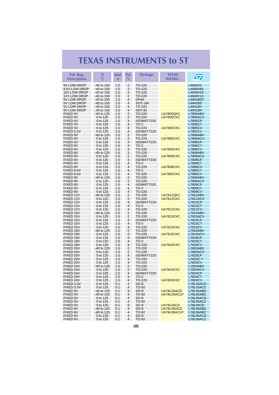<span id="page-15-0"></span>

| Vol. Reg.                   | Τj                       | lout       | Tol.                | <b>Package</b>          | <b>TEXAS</b>                         | $\sqrt{\mathbf{V}}$               |
|-----------------------------|--------------------------|------------|---------------------|-------------------------|--------------------------------------|-----------------------------------|
| <b>Description</b>          | $^{\circ}$ C             | A          | $\%$                |                         | <b>INSTRU.</b>                       |                                   |
| 5V LOW DROP                 | -40 to 150               | 1.5        | $\overline{2}$      | TO-220                  |                                      | L4940V5                           |
| 8.5V LOW DROP               | -40 to 150               | 1.5        | 2                   | TO-220                  |                                      | L4940V85                          |
| 10V LOW DROP                | -40 to 150               | 1.5        | 2                   | TO-220                  |                                      | L4940V10                          |
| 12V LOW DROP                | -40 to 150               | 1.5        | 2                   | TO-220                  |                                      | L4940V12                          |
| 5V LOW DROP                 | -40 to 150               | 1.0        | 4                   | <b>DPAK</b>             |                                      | <b>L4941BDT</b>                   |
| 5V LOW DROP                 | -40 to 150               | 1.0        | $\overline{4}$      | SOT-194                 |                                      | L4941BS                           |
| 5V LOW DROP<br>5V LOW DROP  | -40 to 150<br>-40 to 150 | 1.0<br>1.0 | 4<br>4              | TO-220<br><b>SOT-82</b> |                                      | L4941BV<br>L4941BX                |
| FIXED 5V                    | -40 to 125               | 1.5        | 2                   | TO-220                  | <b>UA7805QKC</b>                     | <b>L7805ABV</b>                   |
| FIXED 5V                    | 0 to 125                 | 1.5        | 2                   | TO-220                  | <b>UA7805CKC</b>                     | <b>L7805ACV</b>                   |
| <b>FIXED 5V</b>             | 0 to 125                 | 1.5        | 4                   | ISOWATT220              |                                      | <b>L7805CP</b>                    |
| <b>FIXED 5V</b>             | 0 to 125                 | 1.5        | 4                   | $TO-3$                  |                                      | L7805CT                           |
| <b>FIXED 5V</b>             | 0 to 125                 | 1.5        | 4                   | TO-220                  | <b>UA7805CKC</b>                     | <b>L7805CV</b>                    |
| FIXED 5.2V                  | 0 to 125                 | 1.5        | $\overline{4}$      | ISOWATT220              |                                      | <b>L7852CV</b>                    |
| FIXED 6V                    | -40 to 125               | 1.5        | 2                   | TO-220                  |                                      | <b>L7806ABV</b>                   |
| FIXED 6V                    | 0 to 125                 | 1.5        | 2                   | TO-220                  | <b>UA7806CKC</b>                     | <b>L7806ACV</b>                   |
| FIXED 6V                    | 0 to 125                 | 1.5        | 4                   | ISOWATT220              |                                      | <b>L7806CP</b>                    |
| FIXED 6V                    | 0 to 125                 | 1.5        | $\overline{4}$<br>4 | $TO-3$                  |                                      | L7806CT                           |
| FIXED 6V<br><b>FIXED 8V</b> | 0 to 125<br>-40 to 125   | 1.5<br>1.5 | 2                   | TO-220<br>TO-220        | <b>UA7806CKC</b>                     | <b>L7806CV</b><br><b>L7808ABV</b> |
| FIXED 8V                    | 0 to 125                 | 1.5        | $\overline{2}$      | TO-220                  | <b>UA7808CKC</b>                     | <b>L7808ACV</b>                   |
| FIXED 8V                    | 0 to 125                 | 1.5        | 4                   | ISOWATT220              |                                      | <b>L7808CP</b>                    |
| <b>FIXED 8V</b>             | 0 to 125                 | 1.5        | 4                   | $TO-3$                  |                                      | L7808CT                           |
| <b>FIXED 8V</b>             | 0 to 125                 | 1.5        | 4                   | <b>TO-220</b>           | <b>UA7808CKC</b>                     | <b>L7808CV</b>                    |
| FIXED 8.5V                  | 0 to 125                 | 1.5        | 4                   | $TO-3$                  |                                      | L7885CT                           |
| FIXED 8.5V                  | 0 to 125                 | 1.5        | 4                   | TO-220                  | <b>UA7885CKC</b>                     | <b>L7885CV</b>                    |
| FIXED 9V                    | -40 to 125               | 1.5        | 2                   | TO-220                  |                                      | <b>L7809ABV</b>                   |
| FIXED 9V                    | 0 to 125                 | 1.5        | 2                   | TO-220                  |                                      | <b>L7809ACV</b>                   |
| FIXED 9V                    | 0 to 125                 | 1.5        | 4                   | ISOWATT220              |                                      | L7809CP                           |
| FIXED 9V                    | 0 to 125                 | 1.5        | 4                   | $TO-3$                  |                                      | L7809CT                           |
| FIXED 9V<br>FIXED 12V       | 0 to 125                 | 1.5<br>1.5 | 4<br>2              | TO-220<br>TO-220        |                                      | <b>L7809CV</b>                    |
| FIXED 12V                   | -40 to 125<br>0 to 125   | 1.5        | 2                   | TO-220                  | <b>UA7812QKC</b><br><b>UA7812CKC</b> | <b>L7812ABV</b><br>L7812ACV       |
| FIXED 12V                   | 0 to 125                 | 1.5        | 4                   | ISOWATT220              |                                      | L7812CP                           |
| FIXED 12V                   | 0 to 125                 | 1.5        | $\overline{4}$      | $TO-3$                  |                                      | <b>L7812CT</b>                    |
| FIXED 12V                   | 0 to 125                 | 1.5        | 4                   | TO-220                  | <b>UA7812CKC</b>                     | <b>L7812CV</b>                    |
| FIXED 15V                   | -40 to 125               | 1.5        | 2                   | TO-220                  |                                      | <b>L7815ABV</b>                   |
| FIXED 15V                   | 0 to 125                 | 1.5        | 2                   | TO-220                  | <b>UA7815CKC</b>                     | <b>L7815ACV</b>                   |
| FIXED 15V                   | 0 to 125                 | 1.5        | 4                   | ISOWATT220              |                                      | <b>L7815CP</b>                    |
| FIXED 15V                   | 0 to 125                 | 1.5        | 4                   | $TO-3$                  |                                      | L7815CT                           |
| FIXED 15V                   | 0 to 125                 | 1.5        | 4                   | TO-220                  | <b>UA7815CKC</b>                     | <b>L7815CV</b>                    |
| FIXED 18V                   | -40 to 125               | 1.5        | 2                   | TO-220                  |                                      | <b>L7818ABV</b>                   |
| FIXED 18V<br>FIXED 18V      | 0 to 125<br>0 to 125     | 1.5<br>1.5 | 2<br>4              | TO-220<br>ISOWATT220    | <b>UA7818CKC</b>                     | <b>L7818ACV</b><br><b>L7818CP</b> |
| FIXED 18V                   | 0 to 125                 | 1.5        | $\overline{4}$      | $TO-3$                  |                                      | <b>L7818CT</b>                    |
| FIXED 18V                   | 0 to 125                 | 1.5        | 4                   | TO-220                  | <b>UA7818CKC</b>                     | <b>L7818CV</b>                    |
| FIXED 20V                   | -40 to 125               | 1.5        | 2                   | TO-220                  |                                      | <b>L7820ABV</b>                   |
| FIXED 20V                   | 0 to 125                 | 1.5        | $\overline{2}$      | TO-220                  |                                      | <b>L7820ACV</b>                   |
| FIXED 20V                   | 0 to 125                 | 1.5        | 4                   | ISOWATT220              |                                      | <b>L7820CP</b>                    |
| FIXED 20V                   | 0 to 125                 | 1.5        | 4                   | TO-220                  |                                      | L7820C-T                          |
| FIXED 20V                   | 0 to 125                 | 1.5        | 4                   | TO-220                  |                                      | <b>L7820CV</b>                    |
| FIXED 24V                   | -40 to 125               | 1.5        | 2                   | TO-220                  |                                      | <b>L7824ABV</b>                   |
| FIXED 24V                   | 0 to 125                 | 1.5        | 2                   | TO-220                  | <b>UA7824CKC</b>                     | <b>L7824ACV</b>                   |
| FIXED 24V<br>FIXED 24V      | 0 to 125<br>0 to 125     | 1.5<br>1.5 | 4<br>4              | ISOWATT220<br>$TO-3$    |                                      | <b>L7824CP</b><br><b>L7824CT</b>  |
| FIXED 24V                   | 0 to 125                 | 1.5        | $\overline{4}$      | TO-220                  | <b>UA7824CKC</b>                     | <b>L7824CV</b>                    |
| FIXED 3.3V                  | 0 to 125                 | 0.1        | 4                   | SO-8                    |                                      | L78L33ACD                         |
| FIXED 3.3V                  | 0 to 125                 | 0.1        | 4                   | TO-92                   |                                      | L78L33ACZ                         |
| <b>FIXED 5V</b>             | -40 to 125               | 0.1        | 4                   | $SO-8$                  | UA78L05ACD                           | L78L05ABD                         |
| <b>FIXED 5V</b>             | -40 to 125               | 0.1        | 4                   | <b>TO-92</b>            | UA78L05ACLP                          | L78L05ABZ                         |
| FIXED 5V                    | 0 to 125                 | 0.1        | 4                   | $SO-8$                  |                                      | L78L05ACD                         |
| FIXED 5V                    | 0 to 125                 | 0.1        | 4                   | TO-92                   |                                      | L78L05ACZ                         |
| FIXED 5V                    | 0 to 125                 | 0.1        | 8                   | $SO-8$                  | <b>UA78L05CD</b>                     | <b>L78L05CD</b>                   |
| FIXED 6V                    | -40 to 125               | 0.1        | 4                   | $SO-8$                  | UA78L06ACD                           | L78L06ABD                         |
| FIXED 6V                    | -40 to 125               | 0.1        | 4                   | TO-92                   | UA78L06ACLP                          | L78L06ABZ                         |
| FIXED 6V<br>FIXED 6V        | 0 to 125<br>0 to 125     | 0.1        | 4<br>4              | $SO-8$<br>TO-92         |                                      | L78L06ACD<br>L78L06ACZ            |
|                             |                          | 0.1        |                     |                         |                                      |                                   |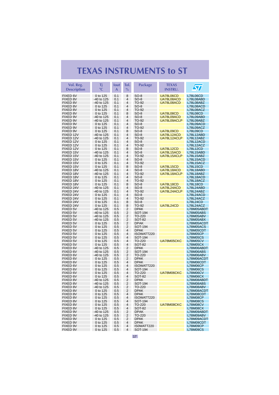| Vol. Reg.<br><b>Description</b> | Τi<br>$^{\circ}C$        | <b>lout</b><br>A | Tol.<br>$\frac{0}{0}$ | Package                | <b>TEXAS</b><br><b>INSTRU.</b> | $\boldsymbol{\varPi}$              |
|---------------------------------|--------------------------|------------------|-----------------------|------------------------|--------------------------------|------------------------------------|
| FIXED 6V                        | 0 to 125                 | 0.1              | 8                     | $SO-8$                 | <b>UA78L06CD</b>               | L78L06CD                           |
| FIXED 8V                        | -40 to 125               | 0.1              | 4                     | $SO-8$                 | UA78L08ACD                     | L78L08ABD                          |
| FIXED 8V                        | -40 to 125               | 0.1              | 4                     | TO-92                  | UA78L08ACD                     | L78L08ABZ                          |
| FIXED 8V                        | 0 to 125                 | 0.1              | 4                     | $SO-8$                 |                                | L78L08ACD                          |
| FIXED 8V                        | 0 to 125                 | 0.1              | 4                     | TO-92                  |                                | L78L08ACZ                          |
| <b>FIXED 8V</b><br>FIXED 9V     | 0 to 125<br>-40 to 125   | 0.1              | 8<br>4                | $SO-8$<br>$SO-8$       | <b>UA78L08CD</b><br>UA78L09ACD | <b>L78L08CD</b><br>L78L09ABD       |
| FIXED 9V                        | -40 to 125               | 0.1<br>0.1       | 4                     | TO-92                  | UA78L09ACLP                    | L78L09ABZ                          |
| FIXED 9V                        | 0 to 125                 | 0.1              | 4                     | $SO-8$                 |                                | L78L09ACD                          |
| FIXED 9V                        | 0 to 125                 | 0.1              | 4                     | TO-92                  |                                | L78L09ACZ                          |
| FIXED 9V                        | 0 to 125                 | 0.1              | 8                     | $SO-8$                 | UA78L09CD                      | <b>L78L09CD</b>                    |
| FIXED 12V                       | -40 to 125               | 0.1              | 4                     | $SO-8$                 | UA78L12ACD                     | L78L12ABD                          |
| FIXED 12V                       | -40 to 125               | 0.1              | 4                     | TO-92                  | UA78L12ACLP                    | L78L12ABZ                          |
| FIXED 12V<br>FIXED 12V          | 0 to 125                 | 0.1              | 4                     | $SO-8$                 |                                | L78L12ACD                          |
| FIXED 12V                       | 0 to 125<br>0 to 125     | 0.1<br>0.1       | 4<br>8                | TO-92<br>$SO-8$        | UA78L12CD                      | L78L12ACZ<br>L78L12CD              |
| FIXED 15V                       | -40 to 125               | 0.1              | 4                     | $SO-8$                 | UA78L15ACD                     | L78L15ABD                          |
| FIXED 15V                       | -40 to 125               | 0.1              | 4                     | TO-92                  | UA78L15ACLP                    | L78L15ABZ                          |
| FIXED 15V                       | 0 to 125                 | 0.1              | 4                     | $SO-8$                 |                                | L78L15ACD                          |
| FIXED 15V                       | 0 to 125                 | 0.1              | 4                     | TO-92                  |                                | L78L15ACZ                          |
| FIXED 15V                       | 0 to 125                 | 0.1              | 8                     | $SO-8$                 | <b>UA78L15CD</b>               | <b>L78L15CD</b>                    |
| FIXED 18V                       | -40 to 125               | 0.1              | 4                     | SO-8                   | UA78L18ACD                     | L78L18ABD                          |
| FIXED 18V<br>FIXED 18V          | -40 to 125               | 0.1              | 4                     | TO-92                  | UA78L18ACLP                    | L78L18ABZ                          |
| FIXED 18V                       | 0 to 125<br>0 to 125     | 0.1<br>0.1       | 4<br>4                | SO-8<br>TO-92          |                                | L78L18ACD<br>L78L18ACZ             |
| FIXED 18V                       | 0 to 125                 | 0.1              | 8                     | $SO-8$                 | <b>UA78L18CD</b>               | <b>L78L18CD</b>                    |
| FIXED 24V                       | -40 to 125               | 0.1              | 4                     | $SO-8$                 | UA78L24ACD                     | L78L24ABD                          |
| FIXED 24V                       | -40 to 125               | 0.1              | 4                     | TO-92                  | UA78L24ACLP                    | L78L24ABZ                          |
| FIXED 24V                       | 0 to 125                 | 0.1              | 4                     | $SO-8$                 |                                | L78L24ACD                          |
| FIXED 24V                       | 0 to 125                 | 0.1              | 4                     | TO-92                  |                                | L78L24ACZ                          |
| FIXED 24V                       | 0 to 125                 | 0.1              | 8                     | $SO-8$                 |                                | <b>L78L24CD</b>                    |
| FIXED 24V                       | 0 to 125                 | 0.1              | 8                     | TO-92                  | <b>UA78L24CD</b>               | L78L24ACZ                          |
| FIXED 5V<br>FIXED 5V            | -40 to 125<br>-40 to 125 | 0.5<br>0.5       | 2<br>2                | <b>DPAK</b><br>SOT-194 |                                | L78M05ABDT<br>L78M05ABS            |
| FIXED 5V                        | -40 to 125               | 0.5              | 2                     | TO-220                 |                                | L78M05ABV                          |
| FIXED 5V                        | -40 to 125               | 0.5              | 2                     | <b>SOT-82</b>          |                                | L78M05ABX                          |
| FIXED 5V                        | 0 to 125                 | 0.5              | 2                     | <b>DPAK</b>            |                                | L78M05ACDT                         |
| FIXED 5V                        | 0 to 125                 | 0.5              | 2                     | SOT-194                |                                | L78M05ACS                          |
| FIXED 5V                        | 0 to 125                 | 0.5              | 4                     | <b>DPAK</b>            |                                | L78M05CDT                          |
| <b>FIXED 5V</b>                 | 0 to 125                 | 0.5              | 4                     | ISOWATT220             |                                | <b>L78M05CP</b>                    |
| FIXED 5V<br>FIXED 5V            | 0 to 125<br>0 to 125     | 0.5<br>0.5       | 4<br>4                | SOT-194<br>TO-220      | UA78M05CKC                     | <b>L78M05CS</b><br><b>L78M05CV</b> |
| FIXED 5V                        | 0 to 125                 | 0.5              | 4                     | SOT-82                 |                                | L78M05CX                           |
| FIXED 6V                        | -40 to 125               | 0.5              | $\overline{2}$        | <b>DPAK</b>            |                                | L78M06ABDT                         |
| FIXED 6V                        | -40 to 125               | 0.5              | 2                     | SOT-194                |                                | L78M06ABS                          |
| FIXED 6V                        | -40 to 125               | 0.5              | 2                     | TO-220                 |                                | L78M06ABV                          |
| FIXED 6V                        | 0 to 125                 | 0.5              | 2                     | <b>DPAK</b>            |                                | L78M06ACDT                         |
| FIXED 6V                        | 0 to 125                 | 0.5              | 4                     | <b>DPAK</b>            |                                | L78M06CDT                          |
| FIXED 6V<br>FIXED 6V            | 0 to 125<br>0 to 125     | 0.5<br>0.5       | 4<br>4                | ISOWATT220<br>SOT-194  |                                | <b>L78M06CP</b><br><b>L78M06CS</b> |
| FIXED 6V                        | 0 to 125                 | 0.5              | 4                     | TO-220                 | UA78M06CKC                     | <b>L78M06CV</b>                    |
| FIXED 6V                        | 0 to 125                 | 0.5              | 4                     | SOT-82                 |                                | L78M06CX                           |
| FIXED 8V                        | -40 to 125               | 0.5              | 2                     | <b>DPAK</b>            |                                | L78M08ABDT                         |
| FIXED 8V                        | -40 to 125               | 0.5              | 2                     | SOT-194                |                                | L78M08ABS                          |
| FIXED 8V                        | -40 to 125               | 0.5              | 2                     | TO-220                 |                                | L78M08ABV                          |
| FIXED 8V                        | 0 to 125                 | 0.5              | 2                     | <b>DPAK</b>            |                                | L78M08ACDT                         |
| FIXED 8V                        | 0 to 125                 | 0.5              | 4                     | <b>DPAK</b>            |                                | L78M08CDT                          |
| FIXED 8V<br>FIXED 8V            | 0 to 125<br>0 to 125     | 0.5<br>0.5       | 4<br>4                | ISOWATT220<br>SOT-194  |                                | <b>L78M08CP</b><br><b>L78M08CS</b> |
| FIXED 8V                        | 0 to 125                 | 0.5              | 4                     | TO-220                 | UA78M08CKC                     | <b>L78M08CV</b>                    |
| FIXED 8V                        | 0 to 125                 | 0.5              | 4                     | <b>SOT-82</b>          |                                | L78M08CX                           |
| FIXED 9V                        | -40 to 125               | 0.5              | 2                     | <b>DPAK</b>            |                                | L78M09ABDT                         |
| FIXED 9V                        | -40 to 125               | 0.5              | 2                     | TO-220                 |                                | L78M09ABV                          |
| FIXED 9V                        | 0 to 125                 | 0.5              | 2                     | <b>DPAK</b>            |                                | L78M09ACDT                         |
| FIXED 9V                        | 0 to 125                 | 0.5              | 4                     | <b>DPAK</b>            |                                | L78M09CDT                          |
| FIXED 9V<br>FIXED 9V            | 0 to 125                 | 0.5              | 4<br>4                | IS0WATT220             |                                | L78M09CP<br><b>L78M09CS</b>        |
|                                 | 0 to 125                 | 0.5              |                       | SOT-194                |                                |                                    |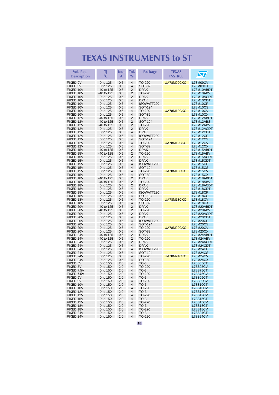| Vol. Reg.<br><b>Description</b> | Τj<br>$\rm ^{\circ}C$    | lout<br>A  | Tol.<br>$\%$        | <b>Package</b>               | <b>TEXAS</b><br><b>INSTRU.</b> | $\bm \Omega$                       |
|---------------------------------|--------------------------|------------|---------------------|------------------------------|--------------------------------|------------------------------------|
| FIXED 9V                        | 0 to 125                 | 0.5        | 4                   | TO-220                       | UA78M09CKC                     | <b>L78M09CV</b>                    |
| FIXED 9V                        | 0 to 125                 | 0.5        | 4                   | <b>SOT-82</b>                |                                | <b>L78M09CX</b>                    |
| FIXED 10V                       | -40 to 125               | 0.5        | 2                   | <b>DPAK</b>                  |                                | L78M10ABDT                         |
| FIXED 10V<br>FIXED 10V          | -40 to 125<br>0 to 125   | 0.5<br>0.5 | 2<br>2              | TO-220<br><b>DPAK</b>        |                                | L78M10ABV<br>L78M10ACDT            |
| FIXED 10V                       | 0 to 125                 | 0.5        | 4                   | <b>DPAK</b>                  |                                | L78M10CDT                          |
| FIXED 10V                       | 0 to 125                 | 0.5        | 4                   | ISOWATT220                   |                                | <b>L78M10CP</b>                    |
| FIXED 10V                       | 0 to 125                 | 0.5        | 4                   | SOT-194                      |                                | <b>L78M10CS</b>                    |
| FIXED 10V                       | 0 to 125                 | 0.5        | 4                   | TO-220                       | UA78M10CKC                     | <b>L78M10CV</b>                    |
| FIXED 10V<br>FIXED 12V          | 0 to 125<br>-40 to 125   | 0.5<br>0.5 | 4<br>2              | <b>SOT-82</b><br><b>DPAK</b> |                                | L78M10CX<br>L78M12ABDT             |
| FIXED 12V                       | -40 to 125               | 0.5        | 2                   | SOT-194                      |                                | L78M12ABS                          |
| FIXED 12V                       | -40 to 125               | 0.5        | 2                   | TO-220                       |                                | L78M12ABV                          |
| FIXED 12V                       | 0 to 125                 | 0.5        | 2                   | <b>DPAK</b>                  |                                | L78M12ACDT                         |
| FIXED 12V                       | 0 to 125                 | 0.5        | 4                   | <b>DPAK</b>                  |                                | L78M12CDT                          |
| FIXED 12V<br>FIXED 12V          | 0 to 125<br>0 to 125     | 0.5<br>0.5 | 4<br>4              | ISOWATT220<br>SOT-194        |                                | <b>L78M12CP</b><br><b>L78M12CS</b> |
| FIXED 12V                       | 0 to 125                 | 0.5        | 4                   | TO-220                       | UA78M12CKC                     | <b>L78M12CV</b>                    |
| FIXED 12V                       | 0 to 125                 | 0.5        | 4                   | SOT-82                       |                                | <b>L78M12CX</b>                    |
| FIXED 15V                       | -40 to 125               | 0.5        | 2                   | <b>DPAK</b>                  |                                | L78M15ABDT                         |
| FIXED 15V                       | -40 to 125               | 0.5        | $\overline{2}$      | TO-220                       |                                | L78M15ABV                          |
| FIXED 15V                       | 0 to 125                 | 0.5        | 2                   | <b>DPAK</b>                  |                                | L78M15ACDT                         |
| FIXED 15V<br>FIXED 15V          | 0 to 125<br>0 to 125     | 0.5<br>0.5 | 4<br>4              | <b>DPAK</b><br>ISOWATT220    |                                | L78M15CDT<br><b>L78M15CP</b>       |
| FIXED 15V                       | 0 to 125                 | 0.5        | 4                   | SOT-194                      |                                | <b>L78M15CS</b>                    |
| FIXED 15V                       | 0 to 125                 | 0.5        | 4                   | TO-220                       | UA78M15CKC                     | <b>L78M15CV</b>                    |
| FIXED 15V                       | 0 to 125                 | 0.5        | 4                   | SOT-82                       |                                | L78M15CX                           |
| FIXED 18V                       | -40 to 125               | 0.5        | 2                   | <b>DPAK</b>                  |                                | L78M18ABDT                         |
| FIXED 18V                       | -40 to 125               | 0.5        | 2                   | TO-220                       |                                | L78M18ABV                          |
| FIXED 18V<br>FIXED 18V          | 0 to 125<br>0 to 125     | 0.5<br>0.5 | 2<br>4              | <b>DPAK</b><br><b>DPAK</b>   |                                | L78M18ACDT<br>L78M18CDT            |
| FIXED 18V                       | 0 to 125                 | 0.5        | 4                   | ISOWATT220                   |                                | <b>L78M18CP</b>                    |
| FIXED 18V                       | 0 to 125                 | 0.5        | 4                   | SOT-194                      |                                | L78M18CS                           |
| FIXED 18V                       | 0 to 125                 | 0.5        | 4                   | TO-220                       | UA78M18CKC                     | L78M18CV                           |
| FIXED 18V                       | 0 to 125                 | 0.5        | 4                   | <b>SOT-82</b>                |                                | <b>L78M18CX</b>                    |
| FIXED 20V<br>FIXED 20V          | -40 to 125<br>-40 to 125 | 0.5<br>0.5 | 2<br>$\overline{2}$ | <b>DPAK</b><br>TO-220        |                                | L78M20ABDT<br>L78M20ABV            |
| FIXED 20V                       | 0 to 125                 | 0.5        | 2                   | <b>DPAK</b>                  |                                | L78M20ACDT                         |
| FIXED 20V                       | 0 to 125                 | 0.5        | 4                   | <b>DPAK</b>                  |                                | L78M20CDT                          |
| FIXED 20V                       | 0 to 125                 | 0.5        | 4                   | ISOWATT220                   |                                | <b>L78M20CP</b>                    |
| FIXED 20V                       | 0 to 125                 | 0.5        | 4                   | SOT-194                      |                                | <b>L78M20CS</b>                    |
| FIXED 20V<br>FIXED 20V          | 0 to 125<br>0 to 125     | 0.5<br>0.5 | 4<br>4              | TO-220<br><b>SOT-82</b>      | UA78M20CKC                     | <b>L78M20CV</b><br>L78M20CX        |
| FIXED 24V                       | -40 to 125               | 0.5        | 2                   | <b>DPAK</b>                  |                                | L78M24ABDT                         |
| FIXED 24V                       | -40 to 125               | 0.5        | 2                   | TO-220                       |                                | L78M24ABV                          |
| FIXED 24V                       | 0 to 125                 | 0.5        | 2                   | <b>DPAK</b>                  |                                | L78M24ACDT                         |
| FIXED 24V                       | 0 to 125                 | 0.5        | 4                   | <b>DPAK</b>                  |                                | L78M24CDT                          |
| FIXED 24V<br>FIXED 24V          | 0 to 125<br>0 to 125     | 0.5<br>0.5 | 4<br>4              | ISOWATT220<br>SOT-194        |                                | <b>L78M24CP</b><br><b>L78M24CS</b> |
| FIXED 24V                       | 0 to 125                 | 0.5        | 4                   | TO-220                       | UA78M24CKC                     | <b>L78M24CV</b>                    |
| FIXED 24V                       | 0 to 125                 | 0.5        | 4                   | SOT-82                       |                                | L78M24CX                           |
| FIXED 5V                        | 0 to 150                 | 2.0        | 4                   | $TO-3$                       |                                | <b>L78S05CT</b>                    |
| <b>FIXED 5V</b>                 | 0 to 150                 | 2.0        | 4                   | TO-220                       |                                | <b>L78S05CV</b>                    |
| FIXED 7.5V<br>FIXED 7.5V        | 0 to 150                 | 2.0<br>2.0 | 4<br>4              | $TO-3$<br>TO-220             |                                | L78S75CT<br><b>L78S75CV</b>        |
| FIXED 9V                        | 0 to 150<br>0 to 150     | 2.0        | 4                   | $TO-3$                       |                                | L78S09CT                           |
| FIXED 9V                        | 0 to 150                 | 2.0        | 4                   | TO-220                       |                                | <b>L78S09CV</b>                    |
| FIXED 10V                       | 0 to 150                 | 2.0        | 4                   | $TO-3$                       |                                | <b>L78S10CT</b>                    |
| FIXED 10V                       | 0 to 150                 | 2.0        | 4                   | TO-220                       |                                | <b>L78S10CV</b>                    |
| FIXED 12V                       | 0 to 150                 | 2.0        | 4                   | $TO-3$                       |                                | <b>L78S12CT</b>                    |
| FIXED 12V<br>FIXED 15V          | 0 to 150<br>0 to 150     | 2.0<br>2.0 | 4<br>4              | TO-220<br>$TO-3$             |                                | <b>L78S12CV</b><br><b>L78S15CT</b> |
| FIXED 15V                       | 0 to 150                 | 2.0        | 4                   | TO-220                       |                                | <b>L78S15CV</b>                    |
| FIXED 18V                       | 0 to 150                 | 2.0        | 4                   | $TO-3$                       |                                | <b>L78S18CT</b>                    |
| FIXED 18V                       | 0 to 150                 | 2.0        | 4                   | TO-220                       |                                | <b>L78S18CV</b>                    |
| FIXED 24V                       | 0 to 150                 | 2.0        | 4                   | $TO-3$                       |                                | <b>L78S24CT</b>                    |
| FIXED 24V                       | 0 to 150                 | 2.0        | 4                   | TO-220                       |                                | <b>L78S24CV</b>                    |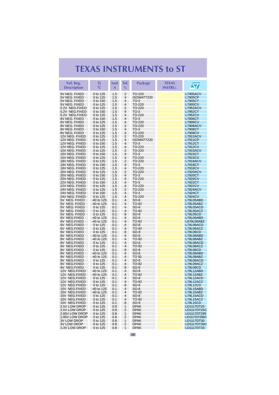| $\overline{2}$<br>5V NEG. FIXED<br>0 to 125<br>1.5<br>TO-220<br><b>L7905ACV</b><br>1.5<br>4<br>5V NEG. FIXED<br>0 to 125<br>ISOWATT220<br>L7905CP<br>1.5<br>5V NEG. FIXED<br>0 to 150<br>4<br>$TO-3$<br>L7905CT<br>1.5<br>4<br>5V NEG. FIXED<br>0 to 125<br>TO-220<br><b>L7905CV</b><br>2<br>5.2V NEG.FIXED<br>0 to 125<br>1.5<br>TO-220<br><b>L7952ACV</b><br>1.5<br>$\overline{\mathbf{4}}$<br>5.2V NEG.FIXED<br>0 to 150<br>$TO-3$<br>L7952CT<br>5.2V NEG.FIXED<br>1.5<br>$\overline{\mathbf{4}}$<br>TO-220<br><b>L7952CV</b><br>0 to 125<br>1.5<br>$\overline{4}$<br>6V NEG. FIXED<br>0 to 150<br>$TO-3$<br>L7906CT<br>6V NEG. FIXED<br>1.5<br>$\overline{\mathbf{4}}$<br>TO-220<br>0 to 125<br><b>L7906CV</b><br>1.5<br>$\overline{2}$<br>8V NEG. FIXED<br>0 to 125<br>TO-220<br><b>L7908ACV</b><br>1.5<br>8V NEG. FIXED<br>0 to 150<br>4<br>$TO-3$<br>L7908CT<br>1.5<br>4<br>TO-220<br>8V NEG. FIXED<br>0 to 125<br><b>L7908CV</b><br>12V NEG. FIXED<br>1.5<br>$\overline{2}$<br>0 to 125<br>TO-220<br>L7912ACV<br>$\overline{4}$<br>12V NEG. FIXED<br>0 to 125<br>1.5<br>ISOWATT220<br><b>L7912CP</b><br>12V NEG. FIXED<br>1.5<br>4<br>L7912CT<br>0 to 150<br>$TO-3$<br>1.5<br>4<br>12V NEG. FIXED<br>0 to 125<br>TO-220<br><b>L7912CV</b><br>15V NEG. FIXED<br>0 to 125<br>1.5<br>$\overline{2}$<br>TO-220<br><b>L7915ACV</b><br>1.5<br>4<br>15V NEG. FIXED<br>0 to 150<br>$TO-3$<br>L7915CT<br>15V NEG. FIXED<br>1.5<br>4<br><b>L7915CV</b><br>0 to 125<br>TO-220<br>1.5<br>2<br>18V NEG. FIXED<br>0 to 125<br>TO-220<br>L7918ACV<br>$\overline{\mathbf{4}}$<br>18V NEG. FIXED<br>1.5<br>$TO-3$<br><b>L7918CT</b><br>0 to 150<br>4<br>18V NEG. FIXED<br>0 to 125<br>1.5<br>TO-220<br><b>L7918CV</b><br>20V NEG. FIXED<br>1.5<br>2<br>0 to 125<br>TO-220<br><b>L7920ACV</b><br>1.5<br>4<br>20V NEG. FIXED<br>$TO-3$<br>L7920CT<br>0 to 150<br>20V NEG. FIXED<br>1.5<br>4<br>0 to 125<br>TO-220<br><b>L7920CV</b><br>22V NEG. FIXED<br>1.5<br>4<br>$TO-3$<br>0 to 150<br>L7922CT<br>1.5<br>22V NEG. FIXED<br>0 to 125<br>4<br>TO-220<br><b>L7922CV</b><br>1.5<br>$\overline{2}$<br>24V NEG. FIXED<br>0 to 125<br>TO-220<br><b>L7924ACV</b><br>$\overline{\mathbf{4}}$<br>24V NEG. FIXED<br>1.5<br>0 to 150<br>$TO-3$<br>L7924CT<br>24V NEG. FIXED<br>0 to 125<br>1.5<br>4<br>TO-220<br><b>L7924CV</b><br>$\overline{4}$<br>5V NEG. FIXED<br>-40 to 125<br>0.1<br>$SO-8$<br>L79L05ABD<br>$\overline{4}$<br>5V NEG. FIXED<br>-40 to 125<br>0.1<br>TO-92<br>L79L05ABZ<br>$\overline{4}$<br>5V NEG. FIXED<br>0 to 125<br>0.1<br>$SO-8$<br>L79L05ACD<br>5V NEG. FIXED<br>0 to 125<br>4<br>TO-92<br>L79L05ACZ<br>0.1<br>5V NEG. FIXED<br>8<br>0 to 125<br>0.1<br>$SO-8$<br><b>L79L05CD</b><br>6V NEG.FIXED<br>$\overline{4}$<br>$-40$ to 125<br>0.1<br>SO-8<br>L79L06ABD<br>$\overline{4}$<br>6V NEG.FIXED<br>$-40$ to 125<br>0.1<br>TO-92<br>L679L06ABZ<br>6V NEG.FIXED<br>0 to 125<br>0.1<br>4<br>SO-8<br>L79L06ACD<br>$\overline{4}$<br>6V NEG.FIXED<br>0 to 125<br>0.1<br>TO-92<br>L79L06ACZ<br>8<br>6V NEG.FIXED<br>0 to 125<br>0.1<br>SO-8<br>L79L06CD<br>4<br>8V NEG.FIXED<br>$-40$ to 125<br>0.1<br>SO-8<br>L79L08ABD<br>8V NEG.FIXED<br>-40 to 125<br>4<br>TO-92<br>L79L08ABZ<br>0.1<br>$\overline{4}$<br>8V NEG.FIXED<br>0 to 125<br>0.1<br>$SO-8$<br>L79L08ACD<br>8V NEG.FIXED<br>0 to 125<br>4<br>L79L08ACZ<br>0.1<br>TO-92<br>8V NEG.FIXED<br>0 to 125<br>0.1<br>8<br>$SO-8$<br><b>L79L08CD</b><br>9V NEG.FIXED<br>$-40$ to 125<br>0.1<br>4<br>SO-8<br>L79L09ABD<br>$\overline{4}$<br>9V NEG.FIXED<br>$-40$ to 125<br>0.1<br>TO 92<br>L79L09ABZ<br>4<br>9V NEG.FIXED<br>0 to 125<br>0.1<br>$SO-8$<br>L79L09ACD<br>4<br>9V NEG.FIXED<br>0.1<br>TO-92<br>L79L09ACZ<br>0 to 125<br>9V NEG.FIXED<br>0 to 125<br>8<br>$SO-8$<br>L79L09CD<br>0.1<br>4<br>12V NEG.FIXED<br>0.1<br>$SO-8$<br>L79L12ABD<br>-40 to 125<br>12V NEG.FIXED<br>4<br>L79L12ABZ<br>$-40$ to 125<br>0.1<br>TO-92<br>12V NEG.FIXED<br>4<br>SO-8<br>L79L12ACD<br>0 to 125<br>0.1<br>12V NEG.FIXED<br>4<br>TO-92<br>L79L12ACZ<br>0 to 125<br>0.1<br>12V NEG.FIXED<br>0.1<br>8<br>$SO-8$<br><b>L79L12CD</b><br>0 to 125<br>4<br>15V NEG.FIXED<br>-40 to 125<br>0.1<br>SO-8<br>L79L15ABD<br>15V NEG.FIXED<br>$-40$ to 125<br>0.1<br>4<br>TO-92<br>L79L15ABZ<br>15V NEG.FIXED<br>4<br>L79L15ACD<br>0 to 125<br>0.1<br>SO-8<br>15V NEG.FIXED<br>0 to 125<br>0.1<br>4<br>TO-92<br>L79L15ACZ<br>15V NEG.FIXED<br>0 to 125<br>$SO-8$<br><b>L79L15CD</b><br>0.1<br>8<br><b>DPAK</b><br>2.5V LOW DROP<br>0 to 125<br>0.8<br>1<br>LD1117DT25<br><b>DPAK</b><br>2.5V LOW DROP<br>0 to 125<br>0.8<br>2<br>LD1117DT25C<br>2.85V LOW DROP<br>0 to 125<br>0.8<br>1<br><b>DPAK</b><br>LD1117DT285<br>2.85V LOW DROP<br>0 to 125<br>2<br><b>DPAK</b><br>LD1117DT285C<br>0.8<br><b>3V LOW DROP</b><br>0 to 125<br><b>DPAK</b><br>LD1117DT30<br>0.8<br>1<br><b>3V LOW DROP</b><br>0 to 125<br>2<br><b>DPAK</b><br>LD1117DT30C<br>0.8<br>3.3V LOW DROP<br>0 to 125<br>0.8<br>1<br><b>DPAK</b><br>LD1117DT33 | Vol. Reg.<br><b>Description</b> | Τj<br>$\rm ^{\circ}C$ | lout<br>A | Tol.<br>$\%$ | <b>Package</b> | <b>TEXAS</b><br><b>INSTRU.</b> | $\bm{\mathcal{S}}$ |
|-------------------------------------------------------------------------------------------------------------------------------------------------------------------------------------------------------------------------------------------------------------------------------------------------------------------------------------------------------------------------------------------------------------------------------------------------------------------------------------------------------------------------------------------------------------------------------------------------------------------------------------------------------------------------------------------------------------------------------------------------------------------------------------------------------------------------------------------------------------------------------------------------------------------------------------------------------------------------------------------------------------------------------------------------------------------------------------------------------------------------------------------------------------------------------------------------------------------------------------------------------------------------------------------------------------------------------------------------------------------------------------------------------------------------------------------------------------------------------------------------------------------------------------------------------------------------------------------------------------------------------------------------------------------------------------------------------------------------------------------------------------------------------------------------------------------------------------------------------------------------------------------------------------------------------------------------------------------------------------------------------------------------------------------------------------------------------------------------------------------------------------------------------------------------------------------------------------------------------------------------------------------------------------------------------------------------------------------------------------------------------------------------------------------------------------------------------------------------------------------------------------------------------------------------------------------------------------------------------------------------------------------------------------------------------------------------------------------------------------------------------------------------------------------------------------------------------------------------------------------------------------------------------------------------------------------------------------------------------------------------------------------------------------------------------------------------------------------------------------------------------------------------------------------------------------------------------------------------------------------------------------------------------------------------------------------------------------------------------------------------------------------------------------------------------------------------------------------------------------------------------------------------------------------------------------------------------------------------------------------------------------------------------------------------------------------------------------------------------------------------------------------------------------------------------------------------------------------------------------------------------------------------------------------------------------------------------------------------------------------------------------------------------------------------------------------------------------------------------------------------------------------------------------------------------------------------------------------------------------------------------------------------------------------------------------------------------------------------------------------------------------------------------------------------------------------------------------------------------------------------------------------------------------------------------------------------------------------------------------------------------------------------------------------------------------------------------------------------------------------------------------------------------------------------------------------------------------------------------------------------------------------------------------------------------------------------------------------|---------------------------------|-----------------------|-----------|--------------|----------------|--------------------------------|--------------------|
|                                                                                                                                                                                                                                                                                                                                                                                                                                                                                                                                                                                                                                                                                                                                                                                                                                                                                                                                                                                                                                                                                                                                                                                                                                                                                                                                                                                                                                                                                                                                                                                                                                                                                                                                                                                                                                                                                                                                                                                                                                                                                                                                                                                                                                                                                                                                                                                                                                                                                                                                                                                                                                                                                                                                                                                                                                                                                                                                                                                                                                                                                                                                                                                                                                                                                                                                                                                                                                                                                                                                                                                                                                                                                                                                                                                                                                                                                                                                                                                                                                                                                                                                                                                                                                                                                                                                                                                                                                                                                                                                                                                                                                                                                                                                                                                                                                                                                                                                                                   |                                 |                       |           |              |                |                                |                    |
|                                                                                                                                                                                                                                                                                                                                                                                                                                                                                                                                                                                                                                                                                                                                                                                                                                                                                                                                                                                                                                                                                                                                                                                                                                                                                                                                                                                                                                                                                                                                                                                                                                                                                                                                                                                                                                                                                                                                                                                                                                                                                                                                                                                                                                                                                                                                                                                                                                                                                                                                                                                                                                                                                                                                                                                                                                                                                                                                                                                                                                                                                                                                                                                                                                                                                                                                                                                                                                                                                                                                                                                                                                                                                                                                                                                                                                                                                                                                                                                                                                                                                                                                                                                                                                                                                                                                                                                                                                                                                                                                                                                                                                                                                                                                                                                                                                                                                                                                                                   |                                 |                       |           |              |                |                                |                    |
|                                                                                                                                                                                                                                                                                                                                                                                                                                                                                                                                                                                                                                                                                                                                                                                                                                                                                                                                                                                                                                                                                                                                                                                                                                                                                                                                                                                                                                                                                                                                                                                                                                                                                                                                                                                                                                                                                                                                                                                                                                                                                                                                                                                                                                                                                                                                                                                                                                                                                                                                                                                                                                                                                                                                                                                                                                                                                                                                                                                                                                                                                                                                                                                                                                                                                                                                                                                                                                                                                                                                                                                                                                                                                                                                                                                                                                                                                                                                                                                                                                                                                                                                                                                                                                                                                                                                                                                                                                                                                                                                                                                                                                                                                                                                                                                                                                                                                                                                                                   |                                 |                       |           |              |                |                                |                    |
|                                                                                                                                                                                                                                                                                                                                                                                                                                                                                                                                                                                                                                                                                                                                                                                                                                                                                                                                                                                                                                                                                                                                                                                                                                                                                                                                                                                                                                                                                                                                                                                                                                                                                                                                                                                                                                                                                                                                                                                                                                                                                                                                                                                                                                                                                                                                                                                                                                                                                                                                                                                                                                                                                                                                                                                                                                                                                                                                                                                                                                                                                                                                                                                                                                                                                                                                                                                                                                                                                                                                                                                                                                                                                                                                                                                                                                                                                                                                                                                                                                                                                                                                                                                                                                                                                                                                                                                                                                                                                                                                                                                                                                                                                                                                                                                                                                                                                                                                                                   |                                 |                       |           |              |                |                                |                    |
|                                                                                                                                                                                                                                                                                                                                                                                                                                                                                                                                                                                                                                                                                                                                                                                                                                                                                                                                                                                                                                                                                                                                                                                                                                                                                                                                                                                                                                                                                                                                                                                                                                                                                                                                                                                                                                                                                                                                                                                                                                                                                                                                                                                                                                                                                                                                                                                                                                                                                                                                                                                                                                                                                                                                                                                                                                                                                                                                                                                                                                                                                                                                                                                                                                                                                                                                                                                                                                                                                                                                                                                                                                                                                                                                                                                                                                                                                                                                                                                                                                                                                                                                                                                                                                                                                                                                                                                                                                                                                                                                                                                                                                                                                                                                                                                                                                                                                                                                                                   |                                 |                       |           |              |                |                                |                    |
|                                                                                                                                                                                                                                                                                                                                                                                                                                                                                                                                                                                                                                                                                                                                                                                                                                                                                                                                                                                                                                                                                                                                                                                                                                                                                                                                                                                                                                                                                                                                                                                                                                                                                                                                                                                                                                                                                                                                                                                                                                                                                                                                                                                                                                                                                                                                                                                                                                                                                                                                                                                                                                                                                                                                                                                                                                                                                                                                                                                                                                                                                                                                                                                                                                                                                                                                                                                                                                                                                                                                                                                                                                                                                                                                                                                                                                                                                                                                                                                                                                                                                                                                                                                                                                                                                                                                                                                                                                                                                                                                                                                                                                                                                                                                                                                                                                                                                                                                                                   |                                 |                       |           |              |                |                                |                    |
|                                                                                                                                                                                                                                                                                                                                                                                                                                                                                                                                                                                                                                                                                                                                                                                                                                                                                                                                                                                                                                                                                                                                                                                                                                                                                                                                                                                                                                                                                                                                                                                                                                                                                                                                                                                                                                                                                                                                                                                                                                                                                                                                                                                                                                                                                                                                                                                                                                                                                                                                                                                                                                                                                                                                                                                                                                                                                                                                                                                                                                                                                                                                                                                                                                                                                                                                                                                                                                                                                                                                                                                                                                                                                                                                                                                                                                                                                                                                                                                                                                                                                                                                                                                                                                                                                                                                                                                                                                                                                                                                                                                                                                                                                                                                                                                                                                                                                                                                                                   |                                 |                       |           |              |                |                                |                    |
|                                                                                                                                                                                                                                                                                                                                                                                                                                                                                                                                                                                                                                                                                                                                                                                                                                                                                                                                                                                                                                                                                                                                                                                                                                                                                                                                                                                                                                                                                                                                                                                                                                                                                                                                                                                                                                                                                                                                                                                                                                                                                                                                                                                                                                                                                                                                                                                                                                                                                                                                                                                                                                                                                                                                                                                                                                                                                                                                                                                                                                                                                                                                                                                                                                                                                                                                                                                                                                                                                                                                                                                                                                                                                                                                                                                                                                                                                                                                                                                                                                                                                                                                                                                                                                                                                                                                                                                                                                                                                                                                                                                                                                                                                                                                                                                                                                                                                                                                                                   |                                 |                       |           |              |                |                                |                    |
|                                                                                                                                                                                                                                                                                                                                                                                                                                                                                                                                                                                                                                                                                                                                                                                                                                                                                                                                                                                                                                                                                                                                                                                                                                                                                                                                                                                                                                                                                                                                                                                                                                                                                                                                                                                                                                                                                                                                                                                                                                                                                                                                                                                                                                                                                                                                                                                                                                                                                                                                                                                                                                                                                                                                                                                                                                                                                                                                                                                                                                                                                                                                                                                                                                                                                                                                                                                                                                                                                                                                                                                                                                                                                                                                                                                                                                                                                                                                                                                                                                                                                                                                                                                                                                                                                                                                                                                                                                                                                                                                                                                                                                                                                                                                                                                                                                                                                                                                                                   |                                 |                       |           |              |                |                                |                    |
|                                                                                                                                                                                                                                                                                                                                                                                                                                                                                                                                                                                                                                                                                                                                                                                                                                                                                                                                                                                                                                                                                                                                                                                                                                                                                                                                                                                                                                                                                                                                                                                                                                                                                                                                                                                                                                                                                                                                                                                                                                                                                                                                                                                                                                                                                                                                                                                                                                                                                                                                                                                                                                                                                                                                                                                                                                                                                                                                                                                                                                                                                                                                                                                                                                                                                                                                                                                                                                                                                                                                                                                                                                                                                                                                                                                                                                                                                                                                                                                                                                                                                                                                                                                                                                                                                                                                                                                                                                                                                                                                                                                                                                                                                                                                                                                                                                                                                                                                                                   |                                 |                       |           |              |                |                                |                    |
|                                                                                                                                                                                                                                                                                                                                                                                                                                                                                                                                                                                                                                                                                                                                                                                                                                                                                                                                                                                                                                                                                                                                                                                                                                                                                                                                                                                                                                                                                                                                                                                                                                                                                                                                                                                                                                                                                                                                                                                                                                                                                                                                                                                                                                                                                                                                                                                                                                                                                                                                                                                                                                                                                                                                                                                                                                                                                                                                                                                                                                                                                                                                                                                                                                                                                                                                                                                                                                                                                                                                                                                                                                                                                                                                                                                                                                                                                                                                                                                                                                                                                                                                                                                                                                                                                                                                                                                                                                                                                                                                                                                                                                                                                                                                                                                                                                                                                                                                                                   |                                 |                       |           |              |                |                                |                    |
|                                                                                                                                                                                                                                                                                                                                                                                                                                                                                                                                                                                                                                                                                                                                                                                                                                                                                                                                                                                                                                                                                                                                                                                                                                                                                                                                                                                                                                                                                                                                                                                                                                                                                                                                                                                                                                                                                                                                                                                                                                                                                                                                                                                                                                                                                                                                                                                                                                                                                                                                                                                                                                                                                                                                                                                                                                                                                                                                                                                                                                                                                                                                                                                                                                                                                                                                                                                                                                                                                                                                                                                                                                                                                                                                                                                                                                                                                                                                                                                                                                                                                                                                                                                                                                                                                                                                                                                                                                                                                                                                                                                                                                                                                                                                                                                                                                                                                                                                                                   |                                 |                       |           |              |                |                                |                    |
|                                                                                                                                                                                                                                                                                                                                                                                                                                                                                                                                                                                                                                                                                                                                                                                                                                                                                                                                                                                                                                                                                                                                                                                                                                                                                                                                                                                                                                                                                                                                                                                                                                                                                                                                                                                                                                                                                                                                                                                                                                                                                                                                                                                                                                                                                                                                                                                                                                                                                                                                                                                                                                                                                                                                                                                                                                                                                                                                                                                                                                                                                                                                                                                                                                                                                                                                                                                                                                                                                                                                                                                                                                                                                                                                                                                                                                                                                                                                                                                                                                                                                                                                                                                                                                                                                                                                                                                                                                                                                                                                                                                                                                                                                                                                                                                                                                                                                                                                                                   |                                 |                       |           |              |                |                                |                    |
|                                                                                                                                                                                                                                                                                                                                                                                                                                                                                                                                                                                                                                                                                                                                                                                                                                                                                                                                                                                                                                                                                                                                                                                                                                                                                                                                                                                                                                                                                                                                                                                                                                                                                                                                                                                                                                                                                                                                                                                                                                                                                                                                                                                                                                                                                                                                                                                                                                                                                                                                                                                                                                                                                                                                                                                                                                                                                                                                                                                                                                                                                                                                                                                                                                                                                                                                                                                                                                                                                                                                                                                                                                                                                                                                                                                                                                                                                                                                                                                                                                                                                                                                                                                                                                                                                                                                                                                                                                                                                                                                                                                                                                                                                                                                                                                                                                                                                                                                                                   |                                 |                       |           |              |                |                                |                    |
|                                                                                                                                                                                                                                                                                                                                                                                                                                                                                                                                                                                                                                                                                                                                                                                                                                                                                                                                                                                                                                                                                                                                                                                                                                                                                                                                                                                                                                                                                                                                                                                                                                                                                                                                                                                                                                                                                                                                                                                                                                                                                                                                                                                                                                                                                                                                                                                                                                                                                                                                                                                                                                                                                                                                                                                                                                                                                                                                                                                                                                                                                                                                                                                                                                                                                                                                                                                                                                                                                                                                                                                                                                                                                                                                                                                                                                                                                                                                                                                                                                                                                                                                                                                                                                                                                                                                                                                                                                                                                                                                                                                                                                                                                                                                                                                                                                                                                                                                                                   |                                 |                       |           |              |                |                                |                    |
|                                                                                                                                                                                                                                                                                                                                                                                                                                                                                                                                                                                                                                                                                                                                                                                                                                                                                                                                                                                                                                                                                                                                                                                                                                                                                                                                                                                                                                                                                                                                                                                                                                                                                                                                                                                                                                                                                                                                                                                                                                                                                                                                                                                                                                                                                                                                                                                                                                                                                                                                                                                                                                                                                                                                                                                                                                                                                                                                                                                                                                                                                                                                                                                                                                                                                                                                                                                                                                                                                                                                                                                                                                                                                                                                                                                                                                                                                                                                                                                                                                                                                                                                                                                                                                                                                                                                                                                                                                                                                                                                                                                                                                                                                                                                                                                                                                                                                                                                                                   |                                 |                       |           |              |                |                                |                    |
|                                                                                                                                                                                                                                                                                                                                                                                                                                                                                                                                                                                                                                                                                                                                                                                                                                                                                                                                                                                                                                                                                                                                                                                                                                                                                                                                                                                                                                                                                                                                                                                                                                                                                                                                                                                                                                                                                                                                                                                                                                                                                                                                                                                                                                                                                                                                                                                                                                                                                                                                                                                                                                                                                                                                                                                                                                                                                                                                                                                                                                                                                                                                                                                                                                                                                                                                                                                                                                                                                                                                                                                                                                                                                                                                                                                                                                                                                                                                                                                                                                                                                                                                                                                                                                                                                                                                                                                                                                                                                                                                                                                                                                                                                                                                                                                                                                                                                                                                                                   |                                 |                       |           |              |                |                                |                    |
|                                                                                                                                                                                                                                                                                                                                                                                                                                                                                                                                                                                                                                                                                                                                                                                                                                                                                                                                                                                                                                                                                                                                                                                                                                                                                                                                                                                                                                                                                                                                                                                                                                                                                                                                                                                                                                                                                                                                                                                                                                                                                                                                                                                                                                                                                                                                                                                                                                                                                                                                                                                                                                                                                                                                                                                                                                                                                                                                                                                                                                                                                                                                                                                                                                                                                                                                                                                                                                                                                                                                                                                                                                                                                                                                                                                                                                                                                                                                                                                                                                                                                                                                                                                                                                                                                                                                                                                                                                                                                                                                                                                                                                                                                                                                                                                                                                                                                                                                                                   |                                 |                       |           |              |                |                                |                    |
|                                                                                                                                                                                                                                                                                                                                                                                                                                                                                                                                                                                                                                                                                                                                                                                                                                                                                                                                                                                                                                                                                                                                                                                                                                                                                                                                                                                                                                                                                                                                                                                                                                                                                                                                                                                                                                                                                                                                                                                                                                                                                                                                                                                                                                                                                                                                                                                                                                                                                                                                                                                                                                                                                                                                                                                                                                                                                                                                                                                                                                                                                                                                                                                                                                                                                                                                                                                                                                                                                                                                                                                                                                                                                                                                                                                                                                                                                                                                                                                                                                                                                                                                                                                                                                                                                                                                                                                                                                                                                                                                                                                                                                                                                                                                                                                                                                                                                                                                                                   |                                 |                       |           |              |                |                                |                    |
|                                                                                                                                                                                                                                                                                                                                                                                                                                                                                                                                                                                                                                                                                                                                                                                                                                                                                                                                                                                                                                                                                                                                                                                                                                                                                                                                                                                                                                                                                                                                                                                                                                                                                                                                                                                                                                                                                                                                                                                                                                                                                                                                                                                                                                                                                                                                                                                                                                                                                                                                                                                                                                                                                                                                                                                                                                                                                                                                                                                                                                                                                                                                                                                                                                                                                                                                                                                                                                                                                                                                                                                                                                                                                                                                                                                                                                                                                                                                                                                                                                                                                                                                                                                                                                                                                                                                                                                                                                                                                                                                                                                                                                                                                                                                                                                                                                                                                                                                                                   |                                 |                       |           |              |                |                                |                    |
|                                                                                                                                                                                                                                                                                                                                                                                                                                                                                                                                                                                                                                                                                                                                                                                                                                                                                                                                                                                                                                                                                                                                                                                                                                                                                                                                                                                                                                                                                                                                                                                                                                                                                                                                                                                                                                                                                                                                                                                                                                                                                                                                                                                                                                                                                                                                                                                                                                                                                                                                                                                                                                                                                                                                                                                                                                                                                                                                                                                                                                                                                                                                                                                                                                                                                                                                                                                                                                                                                                                                                                                                                                                                                                                                                                                                                                                                                                                                                                                                                                                                                                                                                                                                                                                                                                                                                                                                                                                                                                                                                                                                                                                                                                                                                                                                                                                                                                                                                                   |                                 |                       |           |              |                |                                |                    |
|                                                                                                                                                                                                                                                                                                                                                                                                                                                                                                                                                                                                                                                                                                                                                                                                                                                                                                                                                                                                                                                                                                                                                                                                                                                                                                                                                                                                                                                                                                                                                                                                                                                                                                                                                                                                                                                                                                                                                                                                                                                                                                                                                                                                                                                                                                                                                                                                                                                                                                                                                                                                                                                                                                                                                                                                                                                                                                                                                                                                                                                                                                                                                                                                                                                                                                                                                                                                                                                                                                                                                                                                                                                                                                                                                                                                                                                                                                                                                                                                                                                                                                                                                                                                                                                                                                                                                                                                                                                                                                                                                                                                                                                                                                                                                                                                                                                                                                                                                                   |                                 |                       |           |              |                |                                |                    |
|                                                                                                                                                                                                                                                                                                                                                                                                                                                                                                                                                                                                                                                                                                                                                                                                                                                                                                                                                                                                                                                                                                                                                                                                                                                                                                                                                                                                                                                                                                                                                                                                                                                                                                                                                                                                                                                                                                                                                                                                                                                                                                                                                                                                                                                                                                                                                                                                                                                                                                                                                                                                                                                                                                                                                                                                                                                                                                                                                                                                                                                                                                                                                                                                                                                                                                                                                                                                                                                                                                                                                                                                                                                                                                                                                                                                                                                                                                                                                                                                                                                                                                                                                                                                                                                                                                                                                                                                                                                                                                                                                                                                                                                                                                                                                                                                                                                                                                                                                                   |                                 |                       |           |              |                |                                |                    |
|                                                                                                                                                                                                                                                                                                                                                                                                                                                                                                                                                                                                                                                                                                                                                                                                                                                                                                                                                                                                                                                                                                                                                                                                                                                                                                                                                                                                                                                                                                                                                                                                                                                                                                                                                                                                                                                                                                                                                                                                                                                                                                                                                                                                                                                                                                                                                                                                                                                                                                                                                                                                                                                                                                                                                                                                                                                                                                                                                                                                                                                                                                                                                                                                                                                                                                                                                                                                                                                                                                                                                                                                                                                                                                                                                                                                                                                                                                                                                                                                                                                                                                                                                                                                                                                                                                                                                                                                                                                                                                                                                                                                                                                                                                                                                                                                                                                                                                                                                                   |                                 |                       |           |              |                |                                |                    |
|                                                                                                                                                                                                                                                                                                                                                                                                                                                                                                                                                                                                                                                                                                                                                                                                                                                                                                                                                                                                                                                                                                                                                                                                                                                                                                                                                                                                                                                                                                                                                                                                                                                                                                                                                                                                                                                                                                                                                                                                                                                                                                                                                                                                                                                                                                                                                                                                                                                                                                                                                                                                                                                                                                                                                                                                                                                                                                                                                                                                                                                                                                                                                                                                                                                                                                                                                                                                                                                                                                                                                                                                                                                                                                                                                                                                                                                                                                                                                                                                                                                                                                                                                                                                                                                                                                                                                                                                                                                                                                                                                                                                                                                                                                                                                                                                                                                                                                                                                                   |                                 |                       |           |              |                |                                |                    |
|                                                                                                                                                                                                                                                                                                                                                                                                                                                                                                                                                                                                                                                                                                                                                                                                                                                                                                                                                                                                                                                                                                                                                                                                                                                                                                                                                                                                                                                                                                                                                                                                                                                                                                                                                                                                                                                                                                                                                                                                                                                                                                                                                                                                                                                                                                                                                                                                                                                                                                                                                                                                                                                                                                                                                                                                                                                                                                                                                                                                                                                                                                                                                                                                                                                                                                                                                                                                                                                                                                                                                                                                                                                                                                                                                                                                                                                                                                                                                                                                                                                                                                                                                                                                                                                                                                                                                                                                                                                                                                                                                                                                                                                                                                                                                                                                                                                                                                                                                                   |                                 |                       |           |              |                |                                |                    |
|                                                                                                                                                                                                                                                                                                                                                                                                                                                                                                                                                                                                                                                                                                                                                                                                                                                                                                                                                                                                                                                                                                                                                                                                                                                                                                                                                                                                                                                                                                                                                                                                                                                                                                                                                                                                                                                                                                                                                                                                                                                                                                                                                                                                                                                                                                                                                                                                                                                                                                                                                                                                                                                                                                                                                                                                                                                                                                                                                                                                                                                                                                                                                                                                                                                                                                                                                                                                                                                                                                                                                                                                                                                                                                                                                                                                                                                                                                                                                                                                                                                                                                                                                                                                                                                                                                                                                                                                                                                                                                                                                                                                                                                                                                                                                                                                                                                                                                                                                                   |                                 |                       |           |              |                |                                |                    |
|                                                                                                                                                                                                                                                                                                                                                                                                                                                                                                                                                                                                                                                                                                                                                                                                                                                                                                                                                                                                                                                                                                                                                                                                                                                                                                                                                                                                                                                                                                                                                                                                                                                                                                                                                                                                                                                                                                                                                                                                                                                                                                                                                                                                                                                                                                                                                                                                                                                                                                                                                                                                                                                                                                                                                                                                                                                                                                                                                                                                                                                                                                                                                                                                                                                                                                                                                                                                                                                                                                                                                                                                                                                                                                                                                                                                                                                                                                                                                                                                                                                                                                                                                                                                                                                                                                                                                                                                                                                                                                                                                                                                                                                                                                                                                                                                                                                                                                                                                                   |                                 |                       |           |              |                |                                |                    |
|                                                                                                                                                                                                                                                                                                                                                                                                                                                                                                                                                                                                                                                                                                                                                                                                                                                                                                                                                                                                                                                                                                                                                                                                                                                                                                                                                                                                                                                                                                                                                                                                                                                                                                                                                                                                                                                                                                                                                                                                                                                                                                                                                                                                                                                                                                                                                                                                                                                                                                                                                                                                                                                                                                                                                                                                                                                                                                                                                                                                                                                                                                                                                                                                                                                                                                                                                                                                                                                                                                                                                                                                                                                                                                                                                                                                                                                                                                                                                                                                                                                                                                                                                                                                                                                                                                                                                                                                                                                                                                                                                                                                                                                                                                                                                                                                                                                                                                                                                                   |                                 |                       |           |              |                |                                |                    |
|                                                                                                                                                                                                                                                                                                                                                                                                                                                                                                                                                                                                                                                                                                                                                                                                                                                                                                                                                                                                                                                                                                                                                                                                                                                                                                                                                                                                                                                                                                                                                                                                                                                                                                                                                                                                                                                                                                                                                                                                                                                                                                                                                                                                                                                                                                                                                                                                                                                                                                                                                                                                                                                                                                                                                                                                                                                                                                                                                                                                                                                                                                                                                                                                                                                                                                                                                                                                                                                                                                                                                                                                                                                                                                                                                                                                                                                                                                                                                                                                                                                                                                                                                                                                                                                                                                                                                                                                                                                                                                                                                                                                                                                                                                                                                                                                                                                                                                                                                                   |                                 |                       |           |              |                |                                |                    |
|                                                                                                                                                                                                                                                                                                                                                                                                                                                                                                                                                                                                                                                                                                                                                                                                                                                                                                                                                                                                                                                                                                                                                                                                                                                                                                                                                                                                                                                                                                                                                                                                                                                                                                                                                                                                                                                                                                                                                                                                                                                                                                                                                                                                                                                                                                                                                                                                                                                                                                                                                                                                                                                                                                                                                                                                                                                                                                                                                                                                                                                                                                                                                                                                                                                                                                                                                                                                                                                                                                                                                                                                                                                                                                                                                                                                                                                                                                                                                                                                                                                                                                                                                                                                                                                                                                                                                                                                                                                                                                                                                                                                                                                                                                                                                                                                                                                                                                                                                                   |                                 |                       |           |              |                |                                |                    |
|                                                                                                                                                                                                                                                                                                                                                                                                                                                                                                                                                                                                                                                                                                                                                                                                                                                                                                                                                                                                                                                                                                                                                                                                                                                                                                                                                                                                                                                                                                                                                                                                                                                                                                                                                                                                                                                                                                                                                                                                                                                                                                                                                                                                                                                                                                                                                                                                                                                                                                                                                                                                                                                                                                                                                                                                                                                                                                                                                                                                                                                                                                                                                                                                                                                                                                                                                                                                                                                                                                                                                                                                                                                                                                                                                                                                                                                                                                                                                                                                                                                                                                                                                                                                                                                                                                                                                                                                                                                                                                                                                                                                                                                                                                                                                                                                                                                                                                                                                                   |                                 |                       |           |              |                |                                |                    |
|                                                                                                                                                                                                                                                                                                                                                                                                                                                                                                                                                                                                                                                                                                                                                                                                                                                                                                                                                                                                                                                                                                                                                                                                                                                                                                                                                                                                                                                                                                                                                                                                                                                                                                                                                                                                                                                                                                                                                                                                                                                                                                                                                                                                                                                                                                                                                                                                                                                                                                                                                                                                                                                                                                                                                                                                                                                                                                                                                                                                                                                                                                                                                                                                                                                                                                                                                                                                                                                                                                                                                                                                                                                                                                                                                                                                                                                                                                                                                                                                                                                                                                                                                                                                                                                                                                                                                                                                                                                                                                                                                                                                                                                                                                                                                                                                                                                                                                                                                                   |                                 |                       |           |              |                |                                |                    |
|                                                                                                                                                                                                                                                                                                                                                                                                                                                                                                                                                                                                                                                                                                                                                                                                                                                                                                                                                                                                                                                                                                                                                                                                                                                                                                                                                                                                                                                                                                                                                                                                                                                                                                                                                                                                                                                                                                                                                                                                                                                                                                                                                                                                                                                                                                                                                                                                                                                                                                                                                                                                                                                                                                                                                                                                                                                                                                                                                                                                                                                                                                                                                                                                                                                                                                                                                                                                                                                                                                                                                                                                                                                                                                                                                                                                                                                                                                                                                                                                                                                                                                                                                                                                                                                                                                                                                                                                                                                                                                                                                                                                                                                                                                                                                                                                                                                                                                                                                                   |                                 |                       |           |              |                |                                |                    |
|                                                                                                                                                                                                                                                                                                                                                                                                                                                                                                                                                                                                                                                                                                                                                                                                                                                                                                                                                                                                                                                                                                                                                                                                                                                                                                                                                                                                                                                                                                                                                                                                                                                                                                                                                                                                                                                                                                                                                                                                                                                                                                                                                                                                                                                                                                                                                                                                                                                                                                                                                                                                                                                                                                                                                                                                                                                                                                                                                                                                                                                                                                                                                                                                                                                                                                                                                                                                                                                                                                                                                                                                                                                                                                                                                                                                                                                                                                                                                                                                                                                                                                                                                                                                                                                                                                                                                                                                                                                                                                                                                                                                                                                                                                                                                                                                                                                                                                                                                                   |                                 |                       |           |              |                |                                |                    |
|                                                                                                                                                                                                                                                                                                                                                                                                                                                                                                                                                                                                                                                                                                                                                                                                                                                                                                                                                                                                                                                                                                                                                                                                                                                                                                                                                                                                                                                                                                                                                                                                                                                                                                                                                                                                                                                                                                                                                                                                                                                                                                                                                                                                                                                                                                                                                                                                                                                                                                                                                                                                                                                                                                                                                                                                                                                                                                                                                                                                                                                                                                                                                                                                                                                                                                                                                                                                                                                                                                                                                                                                                                                                                                                                                                                                                                                                                                                                                                                                                                                                                                                                                                                                                                                                                                                                                                                                                                                                                                                                                                                                                                                                                                                                                                                                                                                                                                                                                                   |                                 |                       |           |              |                |                                |                    |
|                                                                                                                                                                                                                                                                                                                                                                                                                                                                                                                                                                                                                                                                                                                                                                                                                                                                                                                                                                                                                                                                                                                                                                                                                                                                                                                                                                                                                                                                                                                                                                                                                                                                                                                                                                                                                                                                                                                                                                                                                                                                                                                                                                                                                                                                                                                                                                                                                                                                                                                                                                                                                                                                                                                                                                                                                                                                                                                                                                                                                                                                                                                                                                                                                                                                                                                                                                                                                                                                                                                                                                                                                                                                                                                                                                                                                                                                                                                                                                                                                                                                                                                                                                                                                                                                                                                                                                                                                                                                                                                                                                                                                                                                                                                                                                                                                                                                                                                                                                   |                                 |                       |           |              |                |                                |                    |
|                                                                                                                                                                                                                                                                                                                                                                                                                                                                                                                                                                                                                                                                                                                                                                                                                                                                                                                                                                                                                                                                                                                                                                                                                                                                                                                                                                                                                                                                                                                                                                                                                                                                                                                                                                                                                                                                                                                                                                                                                                                                                                                                                                                                                                                                                                                                                                                                                                                                                                                                                                                                                                                                                                                                                                                                                                                                                                                                                                                                                                                                                                                                                                                                                                                                                                                                                                                                                                                                                                                                                                                                                                                                                                                                                                                                                                                                                                                                                                                                                                                                                                                                                                                                                                                                                                                                                                                                                                                                                                                                                                                                                                                                                                                                                                                                                                                                                                                                                                   |                                 |                       |           |              |                |                                |                    |
|                                                                                                                                                                                                                                                                                                                                                                                                                                                                                                                                                                                                                                                                                                                                                                                                                                                                                                                                                                                                                                                                                                                                                                                                                                                                                                                                                                                                                                                                                                                                                                                                                                                                                                                                                                                                                                                                                                                                                                                                                                                                                                                                                                                                                                                                                                                                                                                                                                                                                                                                                                                                                                                                                                                                                                                                                                                                                                                                                                                                                                                                                                                                                                                                                                                                                                                                                                                                                                                                                                                                                                                                                                                                                                                                                                                                                                                                                                                                                                                                                                                                                                                                                                                                                                                                                                                                                                                                                                                                                                                                                                                                                                                                                                                                                                                                                                                                                                                                                                   |                                 |                       |           |              |                |                                |                    |
|                                                                                                                                                                                                                                                                                                                                                                                                                                                                                                                                                                                                                                                                                                                                                                                                                                                                                                                                                                                                                                                                                                                                                                                                                                                                                                                                                                                                                                                                                                                                                                                                                                                                                                                                                                                                                                                                                                                                                                                                                                                                                                                                                                                                                                                                                                                                                                                                                                                                                                                                                                                                                                                                                                                                                                                                                                                                                                                                                                                                                                                                                                                                                                                                                                                                                                                                                                                                                                                                                                                                                                                                                                                                                                                                                                                                                                                                                                                                                                                                                                                                                                                                                                                                                                                                                                                                                                                                                                                                                                                                                                                                                                                                                                                                                                                                                                                                                                                                                                   |                                 |                       |           |              |                |                                |                    |
|                                                                                                                                                                                                                                                                                                                                                                                                                                                                                                                                                                                                                                                                                                                                                                                                                                                                                                                                                                                                                                                                                                                                                                                                                                                                                                                                                                                                                                                                                                                                                                                                                                                                                                                                                                                                                                                                                                                                                                                                                                                                                                                                                                                                                                                                                                                                                                                                                                                                                                                                                                                                                                                                                                                                                                                                                                                                                                                                                                                                                                                                                                                                                                                                                                                                                                                                                                                                                                                                                                                                                                                                                                                                                                                                                                                                                                                                                                                                                                                                                                                                                                                                                                                                                                                                                                                                                                                                                                                                                                                                                                                                                                                                                                                                                                                                                                                                                                                                                                   |                                 |                       |           |              |                |                                |                    |
|                                                                                                                                                                                                                                                                                                                                                                                                                                                                                                                                                                                                                                                                                                                                                                                                                                                                                                                                                                                                                                                                                                                                                                                                                                                                                                                                                                                                                                                                                                                                                                                                                                                                                                                                                                                                                                                                                                                                                                                                                                                                                                                                                                                                                                                                                                                                                                                                                                                                                                                                                                                                                                                                                                                                                                                                                                                                                                                                                                                                                                                                                                                                                                                                                                                                                                                                                                                                                                                                                                                                                                                                                                                                                                                                                                                                                                                                                                                                                                                                                                                                                                                                                                                                                                                                                                                                                                                                                                                                                                                                                                                                                                                                                                                                                                                                                                                                                                                                                                   |                                 |                       |           |              |                |                                |                    |
|                                                                                                                                                                                                                                                                                                                                                                                                                                                                                                                                                                                                                                                                                                                                                                                                                                                                                                                                                                                                                                                                                                                                                                                                                                                                                                                                                                                                                                                                                                                                                                                                                                                                                                                                                                                                                                                                                                                                                                                                                                                                                                                                                                                                                                                                                                                                                                                                                                                                                                                                                                                                                                                                                                                                                                                                                                                                                                                                                                                                                                                                                                                                                                                                                                                                                                                                                                                                                                                                                                                                                                                                                                                                                                                                                                                                                                                                                                                                                                                                                                                                                                                                                                                                                                                                                                                                                                                                                                                                                                                                                                                                                                                                                                                                                                                                                                                                                                                                                                   |                                 |                       |           |              |                |                                |                    |
|                                                                                                                                                                                                                                                                                                                                                                                                                                                                                                                                                                                                                                                                                                                                                                                                                                                                                                                                                                                                                                                                                                                                                                                                                                                                                                                                                                                                                                                                                                                                                                                                                                                                                                                                                                                                                                                                                                                                                                                                                                                                                                                                                                                                                                                                                                                                                                                                                                                                                                                                                                                                                                                                                                                                                                                                                                                                                                                                                                                                                                                                                                                                                                                                                                                                                                                                                                                                                                                                                                                                                                                                                                                                                                                                                                                                                                                                                                                                                                                                                                                                                                                                                                                                                                                                                                                                                                                                                                                                                                                                                                                                                                                                                                                                                                                                                                                                                                                                                                   |                                 |                       |           |              |                |                                |                    |
|                                                                                                                                                                                                                                                                                                                                                                                                                                                                                                                                                                                                                                                                                                                                                                                                                                                                                                                                                                                                                                                                                                                                                                                                                                                                                                                                                                                                                                                                                                                                                                                                                                                                                                                                                                                                                                                                                                                                                                                                                                                                                                                                                                                                                                                                                                                                                                                                                                                                                                                                                                                                                                                                                                                                                                                                                                                                                                                                                                                                                                                                                                                                                                                                                                                                                                                                                                                                                                                                                                                                                                                                                                                                                                                                                                                                                                                                                                                                                                                                                                                                                                                                                                                                                                                                                                                                                                                                                                                                                                                                                                                                                                                                                                                                                                                                                                                                                                                                                                   |                                 |                       |           |              |                |                                |                    |
|                                                                                                                                                                                                                                                                                                                                                                                                                                                                                                                                                                                                                                                                                                                                                                                                                                                                                                                                                                                                                                                                                                                                                                                                                                                                                                                                                                                                                                                                                                                                                                                                                                                                                                                                                                                                                                                                                                                                                                                                                                                                                                                                                                                                                                                                                                                                                                                                                                                                                                                                                                                                                                                                                                                                                                                                                                                                                                                                                                                                                                                                                                                                                                                                                                                                                                                                                                                                                                                                                                                                                                                                                                                                                                                                                                                                                                                                                                                                                                                                                                                                                                                                                                                                                                                                                                                                                                                                                                                                                                                                                                                                                                                                                                                                                                                                                                                                                                                                                                   |                                 |                       |           |              |                |                                |                    |
|                                                                                                                                                                                                                                                                                                                                                                                                                                                                                                                                                                                                                                                                                                                                                                                                                                                                                                                                                                                                                                                                                                                                                                                                                                                                                                                                                                                                                                                                                                                                                                                                                                                                                                                                                                                                                                                                                                                                                                                                                                                                                                                                                                                                                                                                                                                                                                                                                                                                                                                                                                                                                                                                                                                                                                                                                                                                                                                                                                                                                                                                                                                                                                                                                                                                                                                                                                                                                                                                                                                                                                                                                                                                                                                                                                                                                                                                                                                                                                                                                                                                                                                                                                                                                                                                                                                                                                                                                                                                                                                                                                                                                                                                                                                                                                                                                                                                                                                                                                   |                                 |                       |           |              |                |                                |                    |
|                                                                                                                                                                                                                                                                                                                                                                                                                                                                                                                                                                                                                                                                                                                                                                                                                                                                                                                                                                                                                                                                                                                                                                                                                                                                                                                                                                                                                                                                                                                                                                                                                                                                                                                                                                                                                                                                                                                                                                                                                                                                                                                                                                                                                                                                                                                                                                                                                                                                                                                                                                                                                                                                                                                                                                                                                                                                                                                                                                                                                                                                                                                                                                                                                                                                                                                                                                                                                                                                                                                                                                                                                                                                                                                                                                                                                                                                                                                                                                                                                                                                                                                                                                                                                                                                                                                                                                                                                                                                                                                                                                                                                                                                                                                                                                                                                                                                                                                                                                   |                                 |                       |           |              |                |                                |                    |
|                                                                                                                                                                                                                                                                                                                                                                                                                                                                                                                                                                                                                                                                                                                                                                                                                                                                                                                                                                                                                                                                                                                                                                                                                                                                                                                                                                                                                                                                                                                                                                                                                                                                                                                                                                                                                                                                                                                                                                                                                                                                                                                                                                                                                                                                                                                                                                                                                                                                                                                                                                                                                                                                                                                                                                                                                                                                                                                                                                                                                                                                                                                                                                                                                                                                                                                                                                                                                                                                                                                                                                                                                                                                                                                                                                                                                                                                                                                                                                                                                                                                                                                                                                                                                                                                                                                                                                                                                                                                                                                                                                                                                                                                                                                                                                                                                                                                                                                                                                   |                                 |                       |           |              |                |                                |                    |
|                                                                                                                                                                                                                                                                                                                                                                                                                                                                                                                                                                                                                                                                                                                                                                                                                                                                                                                                                                                                                                                                                                                                                                                                                                                                                                                                                                                                                                                                                                                                                                                                                                                                                                                                                                                                                                                                                                                                                                                                                                                                                                                                                                                                                                                                                                                                                                                                                                                                                                                                                                                                                                                                                                                                                                                                                                                                                                                                                                                                                                                                                                                                                                                                                                                                                                                                                                                                                                                                                                                                                                                                                                                                                                                                                                                                                                                                                                                                                                                                                                                                                                                                                                                                                                                                                                                                                                                                                                                                                                                                                                                                                                                                                                                                                                                                                                                                                                                                                                   |                                 |                       |           |              |                |                                |                    |
|                                                                                                                                                                                                                                                                                                                                                                                                                                                                                                                                                                                                                                                                                                                                                                                                                                                                                                                                                                                                                                                                                                                                                                                                                                                                                                                                                                                                                                                                                                                                                                                                                                                                                                                                                                                                                                                                                                                                                                                                                                                                                                                                                                                                                                                                                                                                                                                                                                                                                                                                                                                                                                                                                                                                                                                                                                                                                                                                                                                                                                                                                                                                                                                                                                                                                                                                                                                                                                                                                                                                                                                                                                                                                                                                                                                                                                                                                                                                                                                                                                                                                                                                                                                                                                                                                                                                                                                                                                                                                                                                                                                                                                                                                                                                                                                                                                                                                                                                                                   |                                 |                       |           |              |                |                                |                    |
|                                                                                                                                                                                                                                                                                                                                                                                                                                                                                                                                                                                                                                                                                                                                                                                                                                                                                                                                                                                                                                                                                                                                                                                                                                                                                                                                                                                                                                                                                                                                                                                                                                                                                                                                                                                                                                                                                                                                                                                                                                                                                                                                                                                                                                                                                                                                                                                                                                                                                                                                                                                                                                                                                                                                                                                                                                                                                                                                                                                                                                                                                                                                                                                                                                                                                                                                                                                                                                                                                                                                                                                                                                                                                                                                                                                                                                                                                                                                                                                                                                                                                                                                                                                                                                                                                                                                                                                                                                                                                                                                                                                                                                                                                                                                                                                                                                                                                                                                                                   |                                 |                       |           |              |                |                                |                    |
|                                                                                                                                                                                                                                                                                                                                                                                                                                                                                                                                                                                                                                                                                                                                                                                                                                                                                                                                                                                                                                                                                                                                                                                                                                                                                                                                                                                                                                                                                                                                                                                                                                                                                                                                                                                                                                                                                                                                                                                                                                                                                                                                                                                                                                                                                                                                                                                                                                                                                                                                                                                                                                                                                                                                                                                                                                                                                                                                                                                                                                                                                                                                                                                                                                                                                                                                                                                                                                                                                                                                                                                                                                                                                                                                                                                                                                                                                                                                                                                                                                                                                                                                                                                                                                                                                                                                                                                                                                                                                                                                                                                                                                                                                                                                                                                                                                                                                                                                                                   |                                 |                       |           |              |                |                                |                    |
|                                                                                                                                                                                                                                                                                                                                                                                                                                                                                                                                                                                                                                                                                                                                                                                                                                                                                                                                                                                                                                                                                                                                                                                                                                                                                                                                                                                                                                                                                                                                                                                                                                                                                                                                                                                                                                                                                                                                                                                                                                                                                                                                                                                                                                                                                                                                                                                                                                                                                                                                                                                                                                                                                                                                                                                                                                                                                                                                                                                                                                                                                                                                                                                                                                                                                                                                                                                                                                                                                                                                                                                                                                                                                                                                                                                                                                                                                                                                                                                                                                                                                                                                                                                                                                                                                                                                                                                                                                                                                                                                                                                                                                                                                                                                                                                                                                                                                                                                                                   |                                 |                       |           |              |                |                                |                    |
|                                                                                                                                                                                                                                                                                                                                                                                                                                                                                                                                                                                                                                                                                                                                                                                                                                                                                                                                                                                                                                                                                                                                                                                                                                                                                                                                                                                                                                                                                                                                                                                                                                                                                                                                                                                                                                                                                                                                                                                                                                                                                                                                                                                                                                                                                                                                                                                                                                                                                                                                                                                                                                                                                                                                                                                                                                                                                                                                                                                                                                                                                                                                                                                                                                                                                                                                                                                                                                                                                                                                                                                                                                                                                                                                                                                                                                                                                                                                                                                                                                                                                                                                                                                                                                                                                                                                                                                                                                                                                                                                                                                                                                                                                                                                                                                                                                                                                                                                                                   |                                 |                       |           |              |                |                                |                    |
|                                                                                                                                                                                                                                                                                                                                                                                                                                                                                                                                                                                                                                                                                                                                                                                                                                                                                                                                                                                                                                                                                                                                                                                                                                                                                                                                                                                                                                                                                                                                                                                                                                                                                                                                                                                                                                                                                                                                                                                                                                                                                                                                                                                                                                                                                                                                                                                                                                                                                                                                                                                                                                                                                                                                                                                                                                                                                                                                                                                                                                                                                                                                                                                                                                                                                                                                                                                                                                                                                                                                                                                                                                                                                                                                                                                                                                                                                                                                                                                                                                                                                                                                                                                                                                                                                                                                                                                                                                                                                                                                                                                                                                                                                                                                                                                                                                                                                                                                                                   |                                 |                       |           |              |                |                                |                    |
|                                                                                                                                                                                                                                                                                                                                                                                                                                                                                                                                                                                                                                                                                                                                                                                                                                                                                                                                                                                                                                                                                                                                                                                                                                                                                                                                                                                                                                                                                                                                                                                                                                                                                                                                                                                                                                                                                                                                                                                                                                                                                                                                                                                                                                                                                                                                                                                                                                                                                                                                                                                                                                                                                                                                                                                                                                                                                                                                                                                                                                                                                                                                                                                                                                                                                                                                                                                                                                                                                                                                                                                                                                                                                                                                                                                                                                                                                                                                                                                                                                                                                                                                                                                                                                                                                                                                                                                                                                                                                                                                                                                                                                                                                                                                                                                                                                                                                                                                                                   |                                 |                       |           |              |                |                                |                    |
|                                                                                                                                                                                                                                                                                                                                                                                                                                                                                                                                                                                                                                                                                                                                                                                                                                                                                                                                                                                                                                                                                                                                                                                                                                                                                                                                                                                                                                                                                                                                                                                                                                                                                                                                                                                                                                                                                                                                                                                                                                                                                                                                                                                                                                                                                                                                                                                                                                                                                                                                                                                                                                                                                                                                                                                                                                                                                                                                                                                                                                                                                                                                                                                                                                                                                                                                                                                                                                                                                                                                                                                                                                                                                                                                                                                                                                                                                                                                                                                                                                                                                                                                                                                                                                                                                                                                                                                                                                                                                                                                                                                                                                                                                                                                                                                                                                                                                                                                                                   |                                 |                       |           |              |                |                                |                    |
|                                                                                                                                                                                                                                                                                                                                                                                                                                                                                                                                                                                                                                                                                                                                                                                                                                                                                                                                                                                                                                                                                                                                                                                                                                                                                                                                                                                                                                                                                                                                                                                                                                                                                                                                                                                                                                                                                                                                                                                                                                                                                                                                                                                                                                                                                                                                                                                                                                                                                                                                                                                                                                                                                                                                                                                                                                                                                                                                                                                                                                                                                                                                                                                                                                                                                                                                                                                                                                                                                                                                                                                                                                                                                                                                                                                                                                                                                                                                                                                                                                                                                                                                                                                                                                                                                                                                                                                                                                                                                                                                                                                                                                                                                                                                                                                                                                                                                                                                                                   |                                 |                       |           |              |                |                                |                    |
|                                                                                                                                                                                                                                                                                                                                                                                                                                                                                                                                                                                                                                                                                                                                                                                                                                                                                                                                                                                                                                                                                                                                                                                                                                                                                                                                                                                                                                                                                                                                                                                                                                                                                                                                                                                                                                                                                                                                                                                                                                                                                                                                                                                                                                                                                                                                                                                                                                                                                                                                                                                                                                                                                                                                                                                                                                                                                                                                                                                                                                                                                                                                                                                                                                                                                                                                                                                                                                                                                                                                                                                                                                                                                                                                                                                                                                                                                                                                                                                                                                                                                                                                                                                                                                                                                                                                                                                                                                                                                                                                                                                                                                                                                                                                                                                                                                                                                                                                                                   |                                 |                       |           |              |                |                                |                    |
|                                                                                                                                                                                                                                                                                                                                                                                                                                                                                                                                                                                                                                                                                                                                                                                                                                                                                                                                                                                                                                                                                                                                                                                                                                                                                                                                                                                                                                                                                                                                                                                                                                                                                                                                                                                                                                                                                                                                                                                                                                                                                                                                                                                                                                                                                                                                                                                                                                                                                                                                                                                                                                                                                                                                                                                                                                                                                                                                                                                                                                                                                                                                                                                                                                                                                                                                                                                                                                                                                                                                                                                                                                                                                                                                                                                                                                                                                                                                                                                                                                                                                                                                                                                                                                                                                                                                                                                                                                                                                                                                                                                                                                                                                                                                                                                                                                                                                                                                                                   |                                 |                       |           |              |                |                                |                    |
|                                                                                                                                                                                                                                                                                                                                                                                                                                                                                                                                                                                                                                                                                                                                                                                                                                                                                                                                                                                                                                                                                                                                                                                                                                                                                                                                                                                                                                                                                                                                                                                                                                                                                                                                                                                                                                                                                                                                                                                                                                                                                                                                                                                                                                                                                                                                                                                                                                                                                                                                                                                                                                                                                                                                                                                                                                                                                                                                                                                                                                                                                                                                                                                                                                                                                                                                                                                                                                                                                                                                                                                                                                                                                                                                                                                                                                                                                                                                                                                                                                                                                                                                                                                                                                                                                                                                                                                                                                                                                                                                                                                                                                                                                                                                                                                                                                                                                                                                                                   |                                 |                       |           |              |                |                                |                    |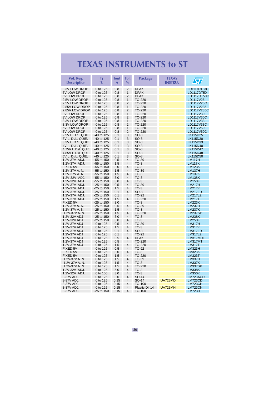| Vol. Reg.<br><b>Description</b> | Τi<br>$^{\circ}$ C         | <b>lout</b><br>A | Tol.<br>$\frac{0}{0}$        | <b>Package</b>   | <b>TEXAS</b><br><b>INSTRU.</b> | $\sqrt{\sqrt{2}}$              |
|---------------------------------|----------------------------|------------------|------------------------------|------------------|--------------------------------|--------------------------------|
| 3.3V LOW DROP                   | 0 to 125                   | 0.8              | $\overline{2}$               | <b>DPAK</b>      |                                | LD1117DT33C                    |
| 5V LOW DROP                     | 0 to 125                   | 0.8              | 1                            | <b>DPAK</b>      |                                | LD1117DT50                     |
| 5V LOW DROP                     | 0 to 125                   | 0.8              | 2                            | <b>DPAK</b>      |                                | LD1117DT50C                    |
| 2.5V LOW DROP                   | 0 to 125                   | 0.8              | 1                            | TO-220           |                                | LD1117V25                      |
| 2.5V LOW DROP                   | 0 to 125                   | 0.8              | 2                            | TO-220           |                                | LD1117V25C                     |
| 2.85V LOW DROP                  | 0 to 125                   | 0.8              | $\mathbf{1}$                 | TO-220           |                                | LD1117V285                     |
| 2.85V LOW DROP                  | 0 to 125                   | 0.8              | $\overline{2}$               | TO-220           |                                | LD1117V285C                    |
| <b>3V LOW DROP</b>              | 0 to 125                   | 0.8              | $\mathbf{1}$                 | TO-220           |                                | LD1117V30                      |
| <b>3V LOW DROP</b>              | 0 to 125                   | 0.8              | 2                            | TO-220           |                                | LD1117V30C                     |
| 3.3V LOW DROP<br>3.3V LOW DROP  | 0 to 125<br>0 to 125       | 0.8<br>0.8       | 1<br>$\overline{2}$          | TO-220<br>TO-220 |                                | LD1117V33<br>LD1117V33C        |
| 5V LOW DROP                     | 0 to 125                   | 0.8              | 1                            | TO-220           |                                | LD1117V50                      |
| 5V LOW DROP                     | 0 to 125                   | 0.8              | $\overline{2}$               | TO-220           |                                | LD1117V50C                     |
| 2.5V L. D./L. QUIE.             | -40 to 125                 | 0.1              | 3                            | $SO-8$           |                                | LK115D25                       |
| 3V L. D./L. QUIE.               | -40 to 125                 | 0.1              | 3                            | $SO-8$           |                                | LK115D30                       |
| 3.3V L. D./L. QUIE.             | -40 to 125                 | 0.1              | 3                            | $SO-8$           |                                | LK115D33                       |
| 4V L. D./L. QUIE.               | -40 to 125                 | 0.1              | 3                            | SO-8             |                                | LK115D40                       |
| 4.75V L. D./L. QUIE.            | -40 to 125                 | 0.1              | 3                            | $SO-8$           |                                | <b>LK115D47</b>                |
| 4.85V L. D./L. QUIE.            | -40 to 125                 | 0.1              | 3                            | $SO-8$           |                                | LK115D48                       |
| 5V L. D./L. QUIE.               | -40 to 125                 | 0.1              | 3                            | $SO-8$           |                                | LK115D50                       |
| 1.2V-37V ADJ.                   | -55 to 150                 | 0.5              | 4                            | TO-39            |                                | <b>LM117H</b>                  |
| 1.2V-37V ADJ.                   | -55 to 150                 | 1.5              | $\overline{\mathbf{4}}$      | TO-3             |                                | <b>LM117K</b>                  |
| FIXED 5V                        | -55 to 150                 | 3.0              | 4                            | $TO-3$           |                                | <b>LM123K</b>                  |
| 1.2V-37V A. N.                  | $-55$ to 150               | 1.5              | 4                            | TO-39            |                                | <b>LM137H</b>                  |
| 1.2V-37V A. N.                  | $-55$ to 150               | 1.5              | 4                            | $TO-3$           |                                | <b>LM137K</b>                  |
| 1.2V-32V ADJ.                   | -55 to 150                 | 5.0              | $\overline{4}$               | $TO-3$           |                                | <b>LM138K</b>                  |
| 1.2V-32V ADJ.                   | -55 to 150                 | 3.0              | $\overline{\mathbf{4}}$      | $TO-3$           |                                | <b>LM150K</b>                  |
| 1.2V-37V ADJ.                   | -25 to 150                 | 0.5              | $\overline{\mathbf{4}}$      | TO-39            |                                | <b>LM217H</b>                  |
| 1.2V-37V ADJ.                   | -25 to 150                 | 1.5              | $\overline{\mathbf{4}}$      | $TO-3$           |                                | <b>LM217K</b>                  |
| 1.2V-37V ADJ.                   | $-25$ to 150               | 0.1              | 4                            | $SO-8$           |                                | LM217LD                        |
| 1.2V-37V ADJ.                   | $-25$ to 150               | 0.1              | $\overline{4}$               | TO-92            |                                | <b>LM217LZ</b>                 |
| 1.2V-37V ADJ.                   | $-25$ to 150               | 1.5              | 4                            | TO-220           |                                | <b>LM217T</b>                  |
| FIXED 5V                        | $-25$ to 150               | 3.0              | $\overline{\mathbf{4}}$      | $TO-3$           |                                | <b>LM223K</b>                  |
| 1.2V-37V A. N.                  | -25 to 150                 | 0.5              | $\overline{\mathbf{4}}$      | TO-39            |                                | <b>LM237H</b>                  |
| 1.2V-37V A.N.                   | $-25$ to 150               | 1.5              | $\overline{\mathbf{4}}$      | $TO-3$           |                                | <b>LM237K</b>                  |
| 1.2V-37V A.N.                   | -25 to 150                 | 1.5              | $\overline{\mathbf{4}}$<br>4 | TO-220           |                                | <b>LM237SP</b>                 |
| 1.2V-32V ADJ<br>1.2V-32V ADJ    | -25 to 150<br>$-25$ to 150 | 5.0<br>3.0       | 4                            | $TO-3$<br>$TO-3$ |                                | <b>LM238K</b><br><b>LM250K</b> |
| 1.2V-37V ADJ                    | 0 to 125                   | 0.5              | 4                            | TO-39            |                                | <b>LM317H</b>                  |
| 1.2V-37V ADJ                    | 0 to 125                   | 1.5              | $\overline{4}$               | $TO-3$           |                                | <b>LM317K</b>                  |
| 1.2V-37V ADJ                    | 0 to 125                   | 0.1              | $\overline{\mathbf{4}}$      | $SO-8$           |                                | LM317LD                        |
| 1.2V-37V ADJ                    | 0 to 125                   | 0.1              | $\overline{\mathbf{4}}$      | TO-92            |                                | <b>LM317LZ</b>                 |
| 1.2V-37V ADJ                    | 0 to 125                   | 0.5              | $\overline{\mathbf{4}}$      | <b>DPAK</b>      |                                | LM317MDT                       |
| 1.2V-37V ADJ                    | 0 to 125                   | 0.5              | 4                            | TO-220           |                                | LM317MT                        |
| 1.2V-37V ADJ                    | 0 to 125                   | 1.5              | $\overline{\mathbf{4}}$      | TO-220           |                                | <b>LM317T</b>                  |
| FIXED 5V                        | 0 to 125                   | 0.5              | 4                            | TO-92            |                                | <b>LM323H</b>                  |
| <b>FIXED 5V</b>                 | 0 to 125                   | 3.0              | 4                            | $TO-3$           |                                | <b>LM323K</b>                  |
| FIXED 5V                        | 0 to 125                   | 1.5              | $\overline{4}$               | TO-220           |                                | <b>LM323T</b>                  |
| 1.2V-37V A. N.                  | 0 to 125                   | 1.5              | $\overline{4}$               | TO-39            |                                | <b>LM337H</b>                  |
| 1.2V-37V A. N.                  | 0 to 125                   | 1.5              | $\overline{\mathbf{4}}$      | $TO-3$           |                                | <b>LM337K</b>                  |
| 1.2V-37V A. N.                  | 0 to 125                   | 1.5              | 4                            | TO-220           |                                | <b>LM337SP</b>                 |
| 1.2V-32V ADJ.                   | 0 to 125                   | 5.0              | 4                            | $TO-3$           |                                | <b>LM338K</b>                  |
| 1.2V-32V ADJ.                   | 0 to 150                   | 3.0              | 4                            | $TO-3$           |                                | <b>LM350K</b>                  |
| 3-37V ADJ.                      | 0 to 125                   | 3.0              | $\overline{4}$               | SO-14            |                                | LM723ACD                       |
| 3-37V ADJ.                      | 0 to 125                   | 0.15             | 4                            | SO-14            | <b>UA723MD</b>                 | <b>LM723CD</b>                 |
| 3-37V ADJ.                      | 0 to 125                   | 0.15             | 4                            | TO-100           |                                | LM723CH                        |
| 3-37V ADJ.                      | 0 to 125                   | 0.15             | $\overline{4}$               | Plastic Dil 14   | <b>UA723MN</b>                 | <b>LM723CN</b>                 |
| 3-37V ADJ.                      | $-25$ to 150               | 0.15             | 4                            | TO-100           |                                | <b>LM723H</b>                  |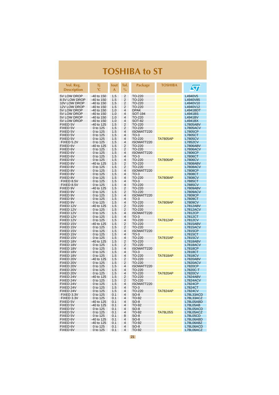<span id="page-20-0"></span>

| Vol. Reg.<br><b>Description</b> | Τj<br>$^{\circ}$ C   | lout<br>A  | Tol.<br>$\frac{0}{0}$ | <b>Package</b>       | <b>TOSHIBA</b>  | $\sqrt{\bm{\pi}}$          |
|---------------------------------|----------------------|------------|-----------------------|----------------------|-----------------|----------------------------|
| 5V LOW DROP                     | $-40$ to 150         | 1.5        | $\overline{2}$        | TO-220               |                 | L4940V5                    |
| 8.5V LOW DROP                   | -40 to 150           | 1.5        | 2                     | TO-220               |                 | L4940V85                   |
| 10V LOW DROP                    | $-40$ to 150         | 1.5        | 2                     | TO-220               |                 | L4940V10                   |
| 12V LOW DROP                    | $-40$ to 150         | 1.5        | 2                     | TO-220               |                 | L4940V12                   |
| 5V LOW DROP                     | $-40$ to 150         | 1.0        | 4                     | <b>DPAK</b>          |                 | L4941BDT                   |
| 5V LOW DROP                     | -40 to 150           | 1.0        | 4                     | SOT-194              |                 | L4941BS                    |
| 5V LOW DROP                     | $-40$ to 150         | 1.0        | 4                     | TO-220               |                 | L4941BV                    |
| 5V LOW DROP                     | $-40$ to 150         | 1.0        | 4                     | <b>SOT-82</b>        |                 | L4941BX                    |
| FIXED 5V                        | -40 to 125           | 1.5        | 2                     | TO-220               |                 | <b>L7805ABV</b>            |
| FIXED 5V                        | 0 to 125             | 1.5        | $\overline{2}$        | TO-220               |                 | <b>L7805ACV</b>            |
| FIXED 5V                        | 0 to 125             | 1.5        | $\overline{4}$        | ISOWATT220           |                 | <b>L7805CP</b>             |
| FIXED 5V                        | 0 to 125             | 1.5        | 4                     | $TO-3$               |                 | L7805CT                    |
| FIXED 5V                        | 0 to 125             | 1.5        | $\overline{4}$        | TO-220               | <b>TA7805AP</b> | <b>L7805CV</b>             |
| FIXED 5.2V                      | 0 to 125             | 1.5        | 4                     | ISOWATT220           |                 | <b>L7852CV</b>             |
| FIXED 6V                        | -40 to 125           | 1.5        | 2                     | TO-220               |                 | <b>L7806ABV</b>            |
| FIXED 6V                        | 0 to 125             | 1.5        | 2                     | TO-220               |                 | <b>L7806ACV</b>            |
| FIXED 6V                        | 0 to 125             | 1.5        | 4                     | ISOWATT220           |                 | <b>L7806CP</b>             |
| FIXED 6V                        | 0 to 125             | 1.5        | 4                     | $TO-3$               |                 | L7806CT                    |
| FIXED 6V                        | 0 to 125             | 1.5        | $\overline{4}$        | TO-220               | <b>TA7806AP</b> | <b>L7806CV</b>             |
| FIXED 8V                        | -40 to 125           | 1.5        | 2                     | TO-220               |                 | <b>L7808ABV</b>            |
| FIXED 8V                        | 0 to 125             | 1.5        | $\overline{2}$        | TO-220               |                 | <b>L7808ACV</b>            |
| FIXED 8V                        | 0 to 125             | 1.5        | $\overline{4}$        | ISOWATT220           |                 | <b>L7808CP</b>             |
| FIXED 8V                        | 0 to 125             | 1.5        | 4                     | $TO-3$               |                 | L7808CT                    |
| FIXED 8V                        | 0 to 125             | 1.5        | 4                     | TO-220               | <b>TA7808AP</b> | <b>L7808CV</b>             |
| FIXED 8.5V                      | 0 to 125             | 1.5        | 4<br>4                | $TO-3$               |                 | L7885CT                    |
| FIXED 8.5V                      | 0 to 125             | 1.5        |                       | TO-220               |                 | <b>L7885CV</b>             |
| FIXED 9V                        | -40 to 125           | 1.5        | 2                     | TO-220<br>TO-220     |                 | <b>L7809ABV</b>            |
| FIXED 9V                        | 0 to 125             | 1.5<br>1.5 | 2<br>4                |                      |                 | <b>L7809ACV</b>            |
| FIXED 9V<br>FIXED 9V            | 0 to 125             | 1.5        | 4                     | ISOWATT220<br>$TO-3$ |                 | L7809CP<br>L7809CT         |
| FIXED 9V                        | 0 to 125<br>0 to 125 | 1.5        | 4                     | TO-220               | <b>TA7809AP</b> | L7809CV                    |
| FIXED 12V                       | -40 to 125           | 1.5        | 2                     | TO-220               |                 | L7812ABV                   |
| FIXED 12V                       | 0 to 125             | 1.5        | 2                     | TO-220               |                 | <b>L7812ACV</b>            |
| FIXED 12V                       | 0 to 125             | 1.5        | 4                     | ISOWATT220           |                 | L7812CP                    |
| FIXED 12V                       | 0 to 125             | 1.5        | $\overline{4}$        | $TO-3$               |                 | <b>L7812CT</b>             |
| FIXED 12V                       | 0 to 125             | 1.5        | $\overline{4}$        | TO-220               | <b>TA7812AP</b> | <b>L7812CV</b>             |
| FIXED 15V                       | -40 to 125           | 1.5        | 2                     | TO-220               |                 | <b>L7815ABV</b>            |
| FIXED 15V                       | 0 to 125             | 1.5        | 2                     | TO-220               |                 | <b>L7815ACV</b>            |
| FIXED 15V                       | 0 to 125             | 1.5        | 4                     | ISOWATT220           |                 | <b>L7815CP</b>             |
| FIXED 15V                       | 0 to 125             | 1.5        | $\overline{4}$        | $TO-3$               |                 | L7815CT                    |
| FIXED 15V                       | 0 to 125             | 1.5        | 4                     | TO-220               | <b>TA7815AP</b> | <b>L7815CV</b>             |
| FIXED 18V                       | -40 to 125           | 1.5        | 2                     | TO-220               |                 | <b>L7818ABV</b>            |
| FIXED 18V                       | 0 to 125             | 1.5        | 2                     | TO-220               |                 | L7818ACV                   |
| FIXED 18V                       | 0 to 125             | 1.5        | 4                     | ISOWATT220           |                 | L7818CP                    |
| FIXED 18V                       | 0 to 125             | 1.5        | 4                     | $TO-3$               |                 | L7818CT                    |
| FIXED 18V                       | 0 to 125             | 1.5        | $\overline{4}$        | TO-220               | <b>TA7818AP</b> | <b>L7818CV</b>             |
| FIXED 20V                       | -40 to 125           | 1.5        | 2<br>$\overline{2}$   | TO-220               |                 | <b>L7820ABV</b>            |
| FIXED 20V<br>FIXED 20V          | 0 to 125             | 1.5<br>1.5 | 4                     | TO-220<br>ISOWATT220 |                 | <b>L7820ACV</b>            |
| FIXED 20V                       | 0 to 125             |            | 4                     | TO-220               |                 | <b>L7820CP</b><br>L7820C-T |
| FIXED 20V                       | 0 to 125<br>0 to 125 | 1.5<br>1.5 | 4                     | TO-220               | <b>TA7820AP</b> | <b>L7820CV</b>             |
| FIXED 24V                       | -40 to 125           | 1.5        | 2                     | TO-220               |                 | <b>L7824ABV</b>            |
| FIXED 24V                       | 0 to 125             | 1.5        | $\overline{2}$        | TO-220               |                 | <b>L7824ACV</b>            |
| FIXED 24V                       | 0 to 125             | 1.5        | 4                     | ISOWATT220           |                 | <b>L7824CP</b>             |
| FIXED 24V                       | 0 to 125             | 1.5        | 4                     | $TO-3$               |                 | L7824CT                    |
| FIXED 24V                       | 0 to 125             | 1.5        | 4                     | TO-220               | <b>TA7824AP</b> | <b>L7824CV</b>             |
| FIXED 3.3V                      | 0 to 125             | 0.1        | 4                     | $SO-8$               |                 | L78L33ACD                  |
| FIXED 3.3V                      | 0 to 125             | 0.1        | 4                     | TO-92                |                 | L78L33ACZ                  |
| <b>FIXED 5V</b>                 | -40 to 125           | 0.1        | 4                     | $SO-8$               |                 | L78L05ABD                  |
| FIXED 5V                        | -40 to 125           | 0.1        | 4                     | TO-92                |                 | L78L05AB                   |
| FIXED 5V                        | 0 to 125             | 0.1        | 4                     | $SO-8$               |                 | L78L05ACD                  |
| FIXED 5V                        | 0 to 125             | 0.1        | 4                     | TO-92                | <b>TA78L05S</b> | L78L05ACZ                  |
| <b>FIXED 5V</b>                 | 0 to 125             | 0.1        | 8                     | $SO-8$               |                 | <b>L78L05CD</b>            |
| FIXED 6V                        | -40 to 125           | 0.1        | 4                     | $SO-8$               |                 | L78L06ABD                  |
| FIXED 6V                        | -40 to 125           | 0.1        | 4                     | TO-92                |                 | L78L06ABZ                  |
| FIXED 6V                        | 0 to 125             | 0.1        | 4                     | $SO-8$               |                 | L78L06ACD                  |
| FIXED 6V                        | 0 to 125             | 0.1        | 4                     | TO-92                |                 | L78L06ACZ                  |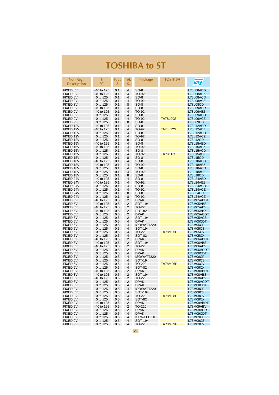| Vol. Reg.<br><b>Description</b> | Τi<br>$^{\circ}$ C       | <b>lout</b><br>A | Tol.<br>$\%$   | Package                   | <b>TOSHIBA</b>  | $\sqrt{\pi}$                       |
|---------------------------------|--------------------------|------------------|----------------|---------------------------|-----------------|------------------------------------|
| FIXED 8V                        | -40 to 125               | 0.1              | 4              | $SO-8$                    |                 | L78L08ABD                          |
| FIXED 8V                        | -40 to 125               | 0.1              | 4              | TO-92                     |                 | L78L08ABZ                          |
| FIXED 8V                        | 0 to 125                 | 0.1              | 4              | $SO-8$                    |                 | L78L08ACD                          |
| FIXED 8V                        | 0 to 125                 | 0.1              | 4              | TO-92                     |                 | L78L08ACZ                          |
| FIXED 8V                        | 0 to 125                 | 0.1              | 8              | $SO-8$                    |                 | L78L08CD                           |
| FIXED 9V                        | $-40$ to 125             | 0.1              | 4              | $SO-8$                    |                 | L78L09ABD                          |
| FIXED 9V<br>FIXED 9V            | -40 to 125<br>0 to 125   | 0.1<br>0.1       | 4<br>4         | TO-92<br>$SO-8$           |                 | L78L09ABZ<br>L78L09ACD             |
| FIXED 9V                        | 0 to 125                 | 0.1              | 4              | TO-92                     | <b>TA78L09S</b> | L78L09ACZ                          |
| FIXED 9V                        | 0 to 125                 | 0.1              | 8              | $SO-8$                    |                 | L78L09CD                           |
| FIXED 12V                       | -40 to 125               | 0.1              | 4              | SO-8                      |                 | L78L12ABD                          |
| FIXED 12V                       | -40 to 125               | 0.1              | 4              | TO-92                     | <b>TA78L12S</b> | L78L12ABZ                          |
| FIXED 12V                       | 0 to 125                 | 0.1              | 4              | $SO-8$                    |                 | L78L12ACD                          |
| FIXED 12V<br>FIXED 12V          | 0 to 125                 | 0.1<br>0.1       | 4<br>8         | TO-92                     |                 | L78L12ACZ<br>L78L12CD              |
| FIXED 15V                       | 0 to 125<br>-40 to 125   | 0.1              | 4              | $SO-8$<br>$SO-8$          |                 | L78L15ABD                          |
| FIXED 15V                       | -40 to 125               | 0.1              | 4              | TO-92                     |                 | L78L15ABZ                          |
| FIXED 15V                       | 0 to 125                 | 0.1              | 4              | $SO-8$                    |                 | L78L15ACD                          |
| FIXED 15V                       | 0 to 125                 | 0.1              | $\overline{4}$ | TO-92                     | <b>TA78L15S</b> | L78L15ACZ                          |
| FIXED 15V                       | 0 to 125                 | 0.1              | 8              | $SO-8$                    |                 | L78L15CD                           |
| FIXED 18V                       | -40 to 125               | 0.1              | 4              | $SO-8$                    |                 | L78L18ABD                          |
| FIXED 18V<br>FIXED 18V          | $-40$ to 125             | 0.1              | 4<br>4         | TO-92                     |                 | L78L18ABZ                          |
| FIXED 18V                       | 0 to 125<br>0 to 125     | 0.1<br>0.1       | 4              | $SO-8$<br>TO-92           |                 | L78L18ACD<br>L78L18ACZ             |
| FIXED 18V                       | 0 to 125                 | 0.1              | 8              | $SO-8$                    |                 | L78L18CD                           |
| FIXED 24V                       | -40 to 125               | 0.1              | 4              | $SO-8$                    |                 | L78L24ABD                          |
| FIXED 24V                       | -40 to 125               | 0.1              | 4              | TO-92                     |                 | L78L24ABZ                          |
| FIXED 24V                       | 0 to 125                 | 0.1              | 4              | $SO-8$                    |                 | L78L24ACD                          |
| FIXED 24V                       | 0 to 125                 | 0.1              | 4              | TO-92                     |                 | L78L24ACZ                          |
| FIXED 24V                       | 0 to 125                 | 0.1              | 8              | SO-8                      |                 | L78L24CD                           |
| FIXED 24V<br><b>FIXED 5V</b>    | 0 to 125<br>-40 to 125   | 0.1<br>0.5       | 8<br>2         | TO-92<br><b>DPAK</b>      |                 | L78L24ACZ<br>L78M05ABDT            |
| FIXED 5V                        | -40 to 125               | 0.5              | $\overline{2}$ | SOT-194                   |                 | L78M05ABS                          |
| FIXED 5V                        | -40 to 125               | 0.5              | 2              | TO-220                    |                 | L78M05ABV                          |
| FIXED 5V                        | -40 to 125               | 0.5              | 2              | SOT-82                    |                 | L78M05ABX                          |
| FIXED 5V                        | 0 to 125                 | 0.5              | $\overline{2}$ | <b>DPAK</b>               |                 | L78M05ACDT                         |
| FIXED 5V                        | 0 to 125                 | 0.5              | $\overline{2}$ | SOT-194                   |                 | L78M05ACS                          |
| FIXED 5V<br><b>FIXED 5V</b>     | 0 to 125                 | 0.5              | 4<br>4         | <b>DPAK</b>               |                 | L78M05CDT                          |
| FIXED 5V                        | 0 to 125<br>0 to 125     | 0.5<br>0.5       | 4              | ISOWATT220<br>SOT-194     |                 | <b>L78M05CP</b><br><b>L78M05CS</b> |
| FIXED 5V                        | 0 to 125                 | 0.5              | 4              | TO-220                    | <b>TA78M05P</b> | L78M05CV                           |
| FIXED 5V                        | 0 to 125                 | 0.5              | 4              | SOT-82                    |                 | <b>L78M05CX</b>                    |
| FIXED 6V                        | -40 to 125               | 0.5              | 2              | DPAK                      |                 | L78M06ABDT                         |
| FIXED 6V                        | -40 to 125               | 0.5              | 2              | SOT-194                   |                 | L78M06ABS                          |
| FIXED 6V                        | -40 to 125               | 0.5              | 2              | TO-220                    |                 | L78M06ABV                          |
| FIXED 6V                        | 0 to 125                 | 0.5              | 2<br>4         | <b>DPAK</b>               |                 | L78M06ACDT                         |
| FIXED 6V<br>FIXED 6V            | 0 to 125<br>0 to 125     | 0.5<br>0.5       | 4              | <b>DPAK</b><br>ISOWATT220 |                 | L78M06CDT<br>L78M06CP              |
| FIXED 6V                        | 0 to 125                 | 0.5              | 4              | SOT-194                   |                 | <b>L78M06CS</b>                    |
| FIXED 6V                        | 0 to 125                 | 0.5              | $\overline{4}$ | TO-220                    | <b>TA78M06P</b> | L78M06CV                           |
| FIXED 6V                        | 0 to 125                 | 0.5              | 4              | SOT-82                    |                 | L78M06CX                           |
| FIXED 8V                        | -40 to 125               | 0.5              | 2              | <b>DPAK</b>               |                 | L78M08ABDT                         |
| FIXED 8V                        | -40 to 125               | 0.5              | 2              | SOT-194                   |                 | L78M08ABS                          |
| FIXED 8V                        | -40 to 125               | 0.5              | 2<br>2         | TO-220<br><b>DPAK</b>     |                 | L78M08ABV                          |
| FIXED 8V<br>FIXED 8V            | 0 to 125<br>0 to 125     | 0.5<br>0.5       | 4              | <b>DPAK</b>               |                 | L78M08ACDT<br>L78M08CDT            |
| FIXED 8V                        | 0 to 125                 | 0.5              | 4              | ISOWATT220                |                 | <b>L78M08CP</b>                    |
| FIXED 8V                        | 0 to 125                 | 0.5              | 4              | SOT-194                   |                 | <b>L78M08CS</b>                    |
| FIXED 8V                        | 0 to 125                 | 0.5              | 4              | TO-220                    | <b>TA78M08P</b> | <b>L78M08CV</b>                    |
| FIXED 8V                        | 0 to 125                 | 0.5              | 4              | <b>SOT-82</b>             |                 | <b>L78M08CX</b>                    |
| FIXED 9V                        | $-40$ to 125             | 0.5              | 2              | <b>DPAK</b>               |                 | L78M09ABDT                         |
| FIXED 9V<br>FIXED 9V            | $-40$ to 125<br>0 to 125 | 0.5              | 2<br>2         | TO-220<br><b>DPAK</b>     |                 | L78M09ABV<br>L78M09ACDT            |
| FIXED 9V                        | 0 to 125                 | 0.5<br>0.5       | 4              | <b>DPAK</b>               |                 | L78M09CDT                          |
| FIXED 9V                        | 0 to 125                 | 0.5              | 4              | IS0WATT220                |                 | L78M09CP                           |
| FIXED 9V                        | 0 to 125                 | 0.5              | 4              | SOT-194                   |                 | <b>L78M09CS</b>                    |
| FIXED 9V                        | 0 to 125                 | 0.5              | 4              | TO-220                    | <b>TA78M09P</b> | <b>L78M09CV</b>                    |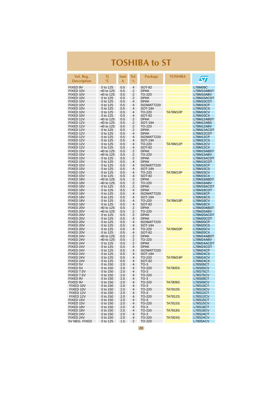| Vol. Reg.<br><b>Description</b> | Τi<br>$^{\circ}{\mathbb C}$ | <b>lout</b><br>A | Tol.<br>$\%$        | <b>Package</b>             | <b>TOSHIBA</b>  | <b>ST</b>                          |
|---------------------------------|-----------------------------|------------------|---------------------|----------------------------|-----------------|------------------------------------|
| FIXED 9V                        | 0 to 125                    | 0.5              | 4                   | <b>SOT-82</b>              |                 | L78M09C                            |
| FIXED 10V                       | -40 to 125                  | 0.5              | $\overline{2}$      | <b>DPAK</b>                |                 | L78M10ABDT                         |
| FIXED 10V<br>FIXED 10V          | -40 to 125                  | 0.5              | 2                   | TO-220                     |                 | L78M10ABV                          |
| FIXED 10V                       | 0 to 125<br>0 to 125        | 0.5<br>0.5       | 2<br>4              | <b>DPAK</b><br><b>DPAK</b> |                 | L78M10ACDT<br>L78M10CDT            |
| FIXED 10V                       | 0 to 125                    | 0.5              | 4                   | ISOWATT220                 |                 | <b>L78M10CP</b>                    |
| FIXED 10V                       | 0 to 125                    | 0.5              | 4                   | SOT-194                    |                 | <b>L78M10CS</b>                    |
| FIXED 10V                       | 0 to 125                    | 0.5              | 4                   | TO-220                     | <b>TA78M10P</b> | <b>L78M10CV</b>                    |
| FIXED 10V                       | 0 to 125                    | 0.5              | 4                   | SOT-82                     |                 | L78M10CX                           |
| FIXED 12V<br>FIXED 12V          | -40 to 125<br>-40 to 125    | 0.5<br>0.5       | 2<br>2              | <b>DPAK</b><br>SOT-194     |                 | L78M12ABDT<br>L78M12ABS            |
| FIXED 12V                       | -40 to 125                  | 0.5              | $\overline{2}$      | TO-220                     |                 | L78M12ABV                          |
| FIXED 12V                       | 0 to 125                    | 0.5              | 2                   | <b>DPAK</b>                |                 | L78M12ACDT                         |
| FIXED 12V                       | 0 to 125                    | 0.5              | $\overline{4}$      | <b>DPAK</b>                |                 | L78M12CDT                          |
| FIXED 12V                       | 0 to 125                    | 0.5              | 4                   | ISOWATT220                 |                 | <b>L78M12CP</b>                    |
| FIXED 12V                       | 0 to 125                    | 0.5              | 4                   | SOT-194                    |                 | <b>L78M12CS</b>                    |
| FIXED 12V<br>FIXED 12V          | 0 to 125<br>0 to 125        | 0.5              | $\overline{4}$<br>4 | TO-220<br><b>SOT-82</b>    | <b>TA78M12P</b> | <b>L78M12CV</b>                    |
| FIXED 15V                       | -40 to 125                  | 0.5<br>0.5       | 2                   | <b>DPAK</b>                |                 | L78M12CX<br>L78M15ABDT             |
| FIXED 15V                       | -40 to 125                  | 0.5              | 2                   | TO-220                     |                 | L78M15ABV                          |
| FIXED 15V                       | 0 to 125                    | 0.5              | 2                   | <b>DPAK</b>                |                 | L78M15ACDT                         |
| FIXED 15V                       | 0 to 125                    | 0.5              | 4                   | <b>DPAK</b>                |                 | L78M15CDT                          |
| FIXED 15V                       | 0 to 125                    | 0.5              | 4                   | ISOWATT220                 |                 | <b>L78M15CP</b>                    |
| FIXED 15V                       | 0 to 125                    | 0.5              | 4                   | SOT-194                    |                 | <b>L78M15CS</b>                    |
| FIXED 15V<br>FIXED 15V          | 0 to 125<br>0 to 125        | 0.5<br>0.5       | $\overline{4}$<br>4 | TO-220<br><b>SOT-82</b>    | <b>TA78M15P</b> | <b>L78M15CV</b><br><b>L78M15CX</b> |
| FIXED 18V                       | -40 to 125                  | 0.5              | 2                   | <b>DPAK</b>                |                 | L78M18ABDT                         |
| FIXED 18V                       | -40 to 125                  | 0.5              | 2                   | TO-220                     |                 | L78M18ABV                          |
| FIXED 18V                       | 0 to 125                    | 0.5              | $\overline{2}$      | <b>DPAK</b>                |                 | L78M18ACDT                         |
| FIXED 18V                       | 0 to 125                    | 0.5              | 4                   | <b>DPAK</b>                |                 | L78M18CDT                          |
| FIXED 18V                       | 0 to 125                    | 0.5              | 4                   | ISOWATT220                 |                 | <b>L78M18CP</b>                    |
| FIXED 18V                       | 0 to 125                    | 0.5              | 4<br>4              | SOT-194                    |                 | <b>L78M18CS</b>                    |
| FIXED 18V<br>FIXED 18V          | 0 to 125<br>0 to 125        | 0.5<br>0.5       | 4                   | TO-220<br>SOT-82           | <b>TA78M18P</b> | <b>L78M18CV</b><br><b>L78M18CX</b> |
| FIXED 20V                       | -40 to 125                  | 0.5              | 2                   | <b>DPAK</b>                |                 | L78M20ABDT                         |
| FIXED 20V                       | -40 to 125                  | 0.5              | 2                   | TO-220                     |                 | L78M20ABV                          |
| FIXED 20V                       | 0 to 125                    | 0.5              | 2                   | <b>DPAK</b>                |                 | L78M20ACDT                         |
| FIXED 20V                       | 0 to 125                    | 0.5              | 4                   | <b>DPAK</b>                |                 | L78M20CDT                          |
| FIXED 20V<br>FIXED 20V          | 0 to 125                    | 0.5              | 4<br>4              | ISOWATT220<br>SOT-194      |                 | <b>L78M20CP</b><br><b>L78M20CS</b> |
| FIXED 20V                       | 0 to 125<br>0 to 125        | 0.5<br>0.5       | 4                   | TO-220                     | <b>TA78M20P</b> | <b>L78M20CV</b>                    |
| FIXED 20V                       | 0 to 125                    | 0.5              | $\overline{4}$      | SOT-82                     |                 | L78M20CX                           |
| FIXED 24V                       | -40 to 125                  | 0.5              | 2                   | <b>DPAK</b>                |                 | L78M24ABDT                         |
| FIXED 24V                       | -40 to 125                  | 0.5              | 2                   | TO-220                     |                 | L78M24ABV                          |
| FIXED 24V                       | 0 to 125                    | 0.5              | 2                   | <b>DPAK</b>                |                 | L78M24ACDT                         |
| FIXED 24V                       | 0 to 125                    | 0.5              | $\overline{4}$<br>4 | <b>DPAK</b>                |                 | L78M24CDT                          |
| FIXED 24V<br>FIXED 24V          | 0 to 125<br>0 to 125        | 0.5<br>0.5       | 4                   | ISOWATT220<br>SOT-194      |                 | <b>L78M24CP</b><br><b>L78M24CS</b> |
| FIXED 24V                       | 0 to 125                    | 0.5              | 4                   | TO-220                     | <b>TA78M24P</b> | <b>L78M24CV</b>                    |
| FIXED 24V                       | 0 to 125                    | 0.5              | $\overline{4}$      | SOT-82                     |                 | L78M24CX                           |
| <b>FIXED 5V</b>                 | 0 to 150                    | 2.0              | 4                   | $TO-3$                     |                 | L78S05CT                           |
| FIXED 5V                        | 0 to 150                    | 2.0              | 4                   | TO-220                     | <b>TA7805S</b>  | <b>L78S05CV</b>                    |
| FIXED 7.5V                      | 0 to 150                    | 2.0              | 4                   | $TO-3$                     |                 | <b>L78S75CT</b>                    |
| FIXED 7.5V<br>FIXED 9V          | 0 to 150<br>0 to 150        | 2.0<br>2.0       | 4<br>4              | TO-220<br>$TO-3$           |                 | <b>L78S75CV</b><br>L78S09CT        |
| FIXED 9V                        | 0 to 150                    | 2.0              | 4                   | TO-220                     | <b>TA7809S</b>  | L78S09CV                           |
| FIXED 10V                       | 0 to 150                    | 2.0              | 4                   | $TO-3$                     |                 | <b>L78S10CT</b>                    |
| FIXED 10V                       | 0 to 150                    | 2.0              | 4                   | TO-220                     | <b>TA7810S</b>  | <b>L78S10CV</b>                    |
| FIXED 12V                       | 0 to 150                    | 2.0              | 4                   | $TO-3$                     |                 | L78S12CT                           |
| FIXED 12V                       | 0 to 150                    | 2.0              | $\overline{4}$      | TO-220                     | <b>TA7812S</b>  | <b>L78S12CV</b>                    |
| FIXED 15V<br>FIXED 15V          | 0 to 150<br>0 to 150        | 2.0<br>2.0       | 4<br>$\overline{4}$ | $TO-3$<br>TO-220           | <b>TA7815S</b>  | <b>L78S15CT</b><br><b>L78S15CV</b> |
| FIXED 18V                       | 0 to 150                    | 2.0              | $\overline{4}$      | $TO-3$                     |                 | <b>L78S18CT</b>                    |
| FIXED 18V                       | 0 to 150                    | 2.0              | 4                   | TO-220                     | <b>TA7818S</b>  | <b>L78S18CV</b>                    |
| FIXED 24V                       | 0 to 150                    | 2.0              | 4                   | $TO-3$                     |                 | <b>L78S24CT</b>                    |
| FIXED 24V                       | 0 to 150                    | 2.0              | 4                   | TO-220                     | <b>TA7824S</b>  | <b>L78S24CV</b>                    |
| 5V NEG. FIXED                   | 0 to 125                    | 1.5              | 2                   | TO-220                     |                 | <b>L7905ACV</b>                    |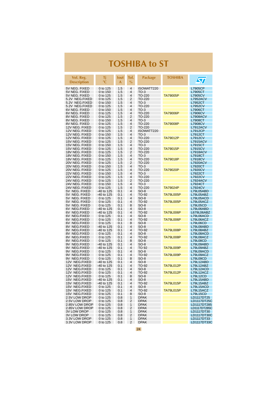| Vol. Reg.<br><b>Description</b>  | Τj<br>$^{\circ}$ C       | lout<br>A  | Tol.<br>$\%$                     | Package          | TOSHIBA          | $\bm{\varpi}$              |
|----------------------------------|--------------------------|------------|----------------------------------|------------------|------------------|----------------------------|
| 5V NEG. FIXED                    | 0 to 125                 | 1.5        | $\overline{4}$                   | ISOWATT220       |                  | L7905CP                    |
| 5V NEG. FIXED                    | 0 to 150                 | 1.5        | 4                                | $TO-3$           |                  | L7905CT                    |
| 5V NEG. FIXED                    | 0 to 125                 | 1.5        | 4                                | TO-220           | <b>TA79005P</b>  | <b>L7905CV</b>             |
| 5.2V NEG.FIXED                   | 0 to 125                 | 1.5        | 2                                | TO-220           |                  | <b>L7952ACV</b>            |
| 5.2V NEG.FIXED                   | 0 to 150                 | 1.5        | 4                                | $TO-3$           |                  | L7952CT                    |
| 5.2V NEG.FIXED                   | 0 to 125                 | 1.5        | 4                                | TO-220           |                  | <b>L7952CV</b>             |
| 6V NEG. FIXED                    | 0 to 150                 | 1.5        | 4                                | $TO-3$           |                  | L7906CT                    |
| 6V NEG. FIXED                    | 0 to 125                 | 1.5        | 4                                | TO-220           | <b>TA79006P</b>  | <b>L7906CV</b>             |
| 8V NEG. FIXED<br>8V NEG. FIXED   | 0 to 125                 | 1.5<br>1.5 | 2<br>4                           | TO-220<br>$TO-3$ |                  | <b>L7908ACV</b><br>L7908CT |
| 8V NEG. FIXED                    | 0 to 150<br>0 to 125     | 1.5        | 4                                | TO-220           | <b>TA79008P</b>  | <b>L7908CV</b>             |
| 12V NEG. FIXED                   | 0 to 125                 | 1.5        | 2                                | TO-220           |                  | L7912ACV                   |
| 12V NEG. FIXED                   | 0 to 125                 | 1.5        | 4                                | ISOWATT220       |                  | L7912CP                    |
| 12V NEG. FIXED                   | 0 to 150                 | 1.5        | $\overline{4}$                   | $TO-3$           |                  | L7912CT                    |
| 12V NEG. FIXED                   | 0 to 125                 | 1.5        | 4                                | TO-220           | <b>TA79012P</b>  | <b>L7912CV</b>             |
| 15V NEG. FIXED                   | 0 to 125                 | 1.5        | 2                                | TO-220           |                  | <b>L7915ACV</b>            |
| 15V NEG. FIXED                   | 0 to 150                 | 1.5        | 4                                | $TO-3$           |                  | L7915CT                    |
| 15V NEG. FIXED                   | 0 to 125                 | 1.5        | $\overline{4}$                   | TO-220           | <b>TA79015P</b>  | <b>L7915CV</b>             |
| 18V NEG. FIXED                   | 0 to 125                 | 1.5        | 2                                | TO-220           |                  | L7918ACV                   |
| 18V NEG. FIXED<br>18V NEG. FIXED | 0 to 150<br>0 to 125     | 1.5<br>1.5 | $\overline{4}$<br>$\overline{4}$ | $TO-3$<br>TO-220 | <b>TA79018P</b>  | L7918CT<br><b>L7918CV</b>  |
| 20V NEG. FIXED                   | 0 to 125                 | 1.5        | 2                                | TO-220           |                  | <b>L7920ACV</b>            |
| 20V NEG. FIXED                   | 0 to 150                 | 1.5        | 4                                | $TO-3$           |                  | L7920CT                    |
| 20V NEG. FIXED                   | 0 to 125                 | 1.5        | 4                                | TO-220           | <b>TA79020P</b>  | <b>L7920CV</b>             |
| 22V NEG. FIXED                   | 0 to 150                 | 1.5        | $\overline{4}$                   | $TO-3$           |                  | L7922CT                    |
| 22V NEG. FIXED                   | 0 to 125                 | 1.5        | $\overline{4}$                   | TO-220           |                  | <b>L7922CV</b>             |
| 24V NEG. FIXED                   | 0 to 125                 | 1.5        | 2                                | TO-220           |                  | L7924ACV                   |
| 24V NEG. FIXED                   | 0 to 150                 | 1.5        | 4                                | $TO-3$           |                  | L7924CT                    |
| 24V NEG. FIXED                   | 0 to 125                 | 1.5        | 4                                | TO-220           | <b>TA79024P</b>  | <b>L7924CV</b>             |
| 5V NEG. FIXED<br>5V NEG. FIXED   | -40 to 125<br>-40 to 125 | 0.1<br>0.1 | 4<br>4                           | $SO-8$<br>TO-92  | <b>TA79L005P</b> | L79L05ABD<br>L79L05ABZ     |
| 5V NEG. FIXED                    | 0 to 125                 | 0.1        | 4                                | $SO-8$           |                  | L79L05ACD                  |
| 5V NEG. FIXED                    | 0 to 125                 | 0.1        | 4                                | TO-92            | <b>TA79L005P</b> | L79L05ACZ                  |
| 5V NEG. FIXED                    | 0 to 125                 | 0.1        | 8                                | $SO-8$           |                  | L79L05CD                   |
| 6V NEG.FIXED                     | -40 to 125               | 0.1        | 4                                | $SO-8$           |                  | L79L06ABD                  |
| NEG.FIXED<br>6V.                 | -40 to 125               | 0.1        | 4                                | TO-92            | <b>TA79L006P</b> | L679L06ABZ                 |
| 6V NEG.FIXED                     | 0 to 125                 | 0.1        | 4                                | $SO-8$           |                  | L79L06ACD                  |
| 6V NEG.FIXED<br>6V NEG.FIXED     | 0 to 125<br>0 to 125     | 0.1<br>0.1 | 4<br>8                           | TO-92<br>$SO-8$  | <b>TA79L006P</b> | L79L06ACZ<br>L79L06CD      |
| NEG.FIXED<br>8V.                 | -40 to 125               | 0.1        | 4                                | $SO-8$           |                  | L79L08ABD                  |
| 8V NEG.FIXED                     | -40 to 125               | 0.1        | 4                                | TO-92            | <b>TA79L008P</b> | L79L08ABZ                  |
| 8V.<br>NEG.FIXED                 | 0 to 125                 | 0.1        | 4                                | $SO-8$           |                  | L79L08ACD                  |
| 8V NEG.FIXED                     | 0 to 125                 | 0.1        | 4                                | TO-92            | <b>TA79L008P</b> | L79L08ACZ                  |
| 8V.<br>NEG.FIXED                 | 0 to 125                 | 0.1        | 8                                | $SO-8$           |                  | <b>L79L08CD</b>            |
| 9V NEG.FIXED                     | -40 to 125               | 0.1        | 4                                | SO-8             |                  | L79L09ABD                  |
| 9V<br>NEG.FIXED                  | -40 to 125               | 0.1        | 4                                | TO 92            | <b>TA79L009P</b> | L79L09ABZ                  |
| 9V NEG.FIXED                     | 0 to 125                 | 0.1        | 4                                | $SO-8$           |                  | L79L09ACD                  |
| 9V NEG.FIXED<br>9V NEG.FIXED     | 0 to 125<br>0 to 125     | 0.1<br>0.1 | 4<br>8                           | TO-92<br>$SO-8$  | <b>TA79L009P</b> | L79L09ACZ<br>L79L09CD      |
| 12V NEG.FIXED                    | -40 to 125               | 0.1        | 4                                | $SO-8$           |                  | L79L12ABD                  |
| 12V NEG.FIXED                    | -40 to 125               | 0.1        | 4                                | TO-92            | <b>TA79L012P</b> | L79L12ABZ                  |
| 12V NEG.FIXED                    | 0 to 125                 | 0.1        | 4                                | $SO-8$           |                  | L79L12ACD                  |
| 12V NEG.FIXED                    | 0 to 125                 | 0.1        | 4                                | TO-92            | <b>TA79L012P</b> | L79L12ACZ                  |
| 12V NEG.FIXED                    | 0 to 125                 | 0.1        | 8                                | $SO-8$           |                  | L79L12CD                   |
| 15V NEG.FIXED                    | -40 to 125               | 0.1        | 4                                | $SO-8$           |                  | L79L15ABD                  |
| 15V NEG.FIXED                    | $-40$ to 125             | 0.1        | 4                                | TO-92            | <b>TA79L015P</b> | L79L15ABZ                  |
| 15V NEG.FIXED                    | 0 to 125                 | 0.1        | 4                                | $SO-8$           | <b>TA79L015P</b> | L79L15ACD<br>L79L15ACZ     |
| 15V NEG.FIXED<br>15V NEG.FIXED   | 0 to 125<br>0 to 125     | 0.1<br>0.1 | 4<br>8                           | TO-92<br>$SO-8$  |                  | <b>L79L15CD</b>            |
| 2.5V LOW DROP                    | 0 to 125                 | 0.8        | 1                                | <b>DPAK</b>      |                  | LD1117DT25                 |
| 2.5V LOW DROP                    | 0 to 125                 | 0.8        | 2                                | <b>DPAK</b>      |                  | LD1117DT25C                |
| 2.85V LOW DROP                   | 0 to 125                 | 0.8        | 1                                | <b>DPAK</b>      |                  | LD1117DT285                |
| 2.85V LOW DROP                   | 0 to 125                 | 0.8        | 2                                | <b>DPAK</b>      |                  | LD1117DT285C               |
| <b>3V LOW DROP</b>               | 0 to 125                 | 0.8        | 1                                | <b>DPAK</b>      |                  | LD1117DT30                 |
| <b>3V LOW DROP</b>               | 0 to 125                 | 0.8        | 2                                | <b>DPAK</b>      |                  | LD1117DT30C                |
| 3.3V LOW DROP                    | 0 to 125                 | 0.8        | 1                                | <b>DPAK</b>      |                  | LD1117DT33                 |
| 3.3V LOW DROP                    | 0 to 125                 | 0.8        | 2                                | <b>DPAK</b>      |                  | LD1117DT33C                |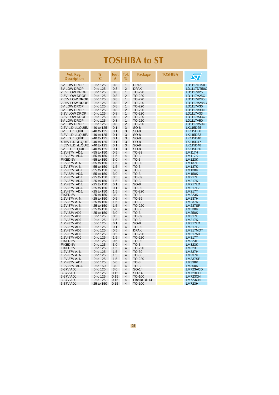| Vol. Reg.<br><b>Description</b>            | Τj<br>$\rm ^{\circ}C$        | <b>lout</b><br>A | Tol.<br>$\frac{0}{0}$            | <b>Package</b>   | <b>TOSHIBA</b> | $\sqrt{\pi}$                   |
|--------------------------------------------|------------------------------|------------------|----------------------------------|------------------|----------------|--------------------------------|
| 5V LOW DROP                                | 0 to 125                     | 0.8              | 1                                | <b>DPAK</b>      |                | LD1117DT50                     |
| 5V LOW DROP                                | 0 to 125                     | 0.8              | $\overline{2}$                   | <b>DPAK</b>      |                | LD1117DT50C                    |
| 2.5V LOW DROP                              | 0 to 125                     | 0.8              | 1                                | TO-220           |                | LD1117V25                      |
| 2.5V LOW DROP<br>2.85V LOW DROP            | 0 to 125<br>0 to 125         | 0.8<br>0.8       | 2<br>1                           | TO-220<br>TO-220 |                | LD1117V25C<br>LD1117V285       |
| 2.85V LOW DROP                             | 0 to 125                     | 0.8              | $\overline{2}$                   | TO-220           |                | LD1117V285C                    |
| <b>3V LOW DROP</b>                         | 0 to 125                     | 0.8              | 1                                | TO-220           |                | LD1117V30                      |
| 3V LOW DROP                                | 0 to 125                     | 0.8              | 2                                | TO-220           |                | LD1117V30C                     |
| 3.3V LOW DROP                              | 0 to 125                     | 0.8              | 1                                | TO-220           |                | LD1117V33                      |
| 3.3V LOW DROP                              | 0 to 125                     | 0.8              | 2                                | TO-220           |                | LD1117V33C                     |
| 5V LOW DROP                                | 0 to 125                     | 0.8              | 1                                | TO-220           |                | LD1117V50                      |
| 5V LOW DROP                                | 0 to 125                     | 0.8              | $\overline{2}$                   | TO-220           |                | LD1117V50C                     |
| 2.5V L.D. /L.QUIE.                         | -40 to 125                   | 0.1              | 3                                | $SO-8$           |                | LK115D25                       |
| 3V L.D. /L.QUIE.                           | -40 to 125                   | 0.1              | 3                                | SO-8             |                | LK115D30                       |
| 3.3V L.D. /L.QUIE.                         | -40 to 125                   | 0.1              | 3                                | SO-8             |                | LK115D33                       |
| 4V L.D. /L.QUIE.                           | -40 to 125                   | 0.1              | 3                                | SO-8             |                | LK115D40                       |
| 4.75V L.D. /L.QUIE.<br>4.85V L.D. /L.QUIE. | $-40$ to 125<br>-40 to 125   | 0.1<br>0.1       | 3<br>3                           | $SO-8$<br>SO-8   |                | LK115D47<br>LK115D48           |
| 5V L.D. /L.QUIE.                           | -40 to 125                   | 0.1              | 3                                | $SO-8$           |                | LK115D50                       |
| 1.2V-37V ADJ.                              | -55 to 150                   | 0.5              | 4                                | TO-39            |                | <b>LM117H</b>                  |
| 1.2V-37V ADJ.                              | -55 to 150                   | 1.5              | $\overline{4}$                   | $TO-3$           |                | <b>LM117K</b>                  |
| <b>FIXED 5V</b>                            | $-55$ to 150                 | 3.0              | 4                                | $TO-3$           |                | <b>LM123K</b>                  |
| 1.2V-37V A. N.                             | $-55$ to 150                 | 1.5              | 4                                | TO-39            |                | <b>LM137H</b>                  |
| 1.2V-37V A. N.                             | -55 to 150                   | 1.5              | $\overline{4}$                   | $TO-3$           |                | <b>LM137K</b>                  |
| 1.2V-32V ADJ.                              | -55 to 150                   | 5.0              | 4                                | $TO-3$           |                | <b>LM138K</b>                  |
| 1.2V-32V ADJ.                              | $-55$ to 150                 | 3.0              | 4                                | $TO-3$           |                | <b>LM150K</b>                  |
| 1.2V-37V ADJ.                              | $-25$ to 150                 | 0.5              | 4                                | TO-39            |                | <b>LM217H</b>                  |
| 1.2V-37V ADJ.                              | $-25$ to $150$               | 1.5              | 4                                | $TO-3$           |                | <b>LM217K</b>                  |
| 1.2V-37V ADJ.                              | $-25$ to 150                 | 0.1              | 4                                | $SO-8$           |                | LM217LD                        |
| 1.2V-37V ADJ.                              | $-25$ to 150                 | 0.1              | 4                                | TO-92            |                | <b>LM217LZ</b>                 |
| 1.2V-37V ADJ.<br><b>FIXED 5V</b>           | $-25$ to 150<br>$-25$ to 150 | 1.5<br>3.0       | $\overline{4}$<br>$\overline{4}$ | TO-220<br>$TO-3$ |                | <b>LM217T</b><br><b>LM223K</b> |
| 1.2V-37V A. N.                             | $-25$ to 150                 | 0.5              | $\overline{4}$                   | TO-39            |                | <b>LM237H</b>                  |
| 1.2V-37V A. N.                             | $-25$ to 150                 | 1.5              | $\overline{4}$                   | $TO-3$           |                | <b>LM237K</b>                  |
| 1.2V-37V A.N.                              | $-25$ to 150                 | 1.5              | 4                                | TO-220           |                | <b>LM237SP</b>                 |
| 1.2V-32V ADJ                               | $-25$ to 150                 | 5.0              | $\overline{4}$                   | $TO-3$           |                | <b>LM238K</b>                  |
| 1.2V-32V ADJ                               | $-25$ to 150                 | 3.0              | $\overline{4}$                   | $TO-3$           |                | <b>LM250K</b>                  |
| 1.2V-37V ADJ                               | 0 to 125                     | 0.5              | $\overline{4}$                   | TO-39            |                | <b>LM317H</b>                  |
| 1.2V-37V ADJ                               | 0 to 125                     | 1.5              | $\overline{4}$                   | $TO-3$           |                | <b>LM317K</b>                  |
| 1.2V-37V ADJ                               | 0 to 125                     | 0.1              | $\overline{4}$                   | $SO-8$           |                | LM317LD                        |
| 1.2V-37V ADJ                               | 0 to 125                     | 0.1              | $\overline{4}$                   | TO-92            |                | <b>LM317LZ</b>                 |
| 1.2V-37V ADJ                               | 0 to 125                     | 0.5              | $\overline{4}$                   | <b>DPAK</b>      |                | LM317MDT                       |
| 1.2V-37V ADJ                               | 0 to 125                     | 0.5              | 4                                | TO-220           |                | LM317MT                        |
| 1.2V-37V ADJ                               | 0 to 125<br>0 to 125         | 1.5              | 4<br>$\overline{4}$              | TO-220           |                | <b>LM317T</b>                  |
| <b>FIXED 5V</b><br><b>FIXED 5V</b>         |                              | 0.5<br>3.0       | 4                                | TO-92<br>$TO-3$  |                | <b>LM323H</b><br><b>LM323K</b> |
| <b>FIXED 5V</b>                            | 0 to 125<br>0 to 125         | 1.5              | 4                                | TO-220           |                | <b>LM323T</b>                  |
| 1.2V-37V A. N.                             | 0 to 125                     | 1.5              | 4                                | TO-39            |                | <b>LM337H</b>                  |
| 1.2V-37V A. N.                             | 0 to 125                     | 1.5              | $\overline{4}$                   | $TO-3$           |                | <b>LM337K</b>                  |
| 1.2V-37V A. N.                             | 0 to 125                     | 1.5              | 4                                | TO-220           |                | LM337SP                        |
| 1.2V-32V ADJ.                              | 0 to 125                     | 5.0              | 4                                | $TO-3$           |                | <b>LM338K</b>                  |
| 1.2V-32V ADJ.                              | 0 to 150                     | 3.0              | $\overline{4}$                   | $TO-3$           |                | <b>LM350K</b>                  |
| 3-37V ADJ.                                 | 0 to 125                     | 3.0              | $\overline{4}$                   | SO-14            |                | LM723ACD                       |
| 3-37V ADJ.                                 | 0 to 125                     | 0.15             | $\overline{4}$                   | SO-14            |                | <b>LM723CD</b>                 |
| 3-37V ADJ.                                 | 0 to 125                     | 0.15             | $\overline{4}$                   | TO-100           |                | <b>LM723CH</b>                 |
| 3-37V ADJ.                                 | 0 to 125                     | 0.15             | $\overline{4}$                   | Plastic Dil 14   |                | <b>LM723CN</b>                 |
| 3-37V ADJ.                                 | $-25$ to 150                 | 0.15             | $\overline{\mathbf{4}}$          | TO-100           |                | <b>LM723H</b>                  |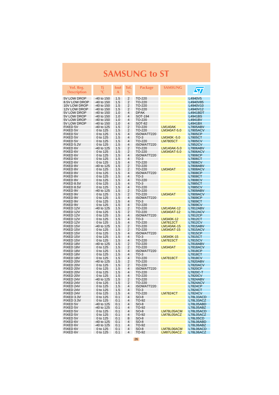<span id="page-25-0"></span>

| Vol. Reg.<br><b>Description</b> | Τj<br>$^{\circ}{\mathbb C}$ | lout<br>A  | Tol.<br>$\%$        | Package              | SAMSUNG                       | $\bm{\mathcal{S}}$                |
|---------------------------------|-----------------------------|------------|---------------------|----------------------|-------------------------------|-----------------------------------|
| 5V LOW DROP                     | -40 to 150                  | 1.5        | $\overline{2}$      | TO-220               |                               | L4940V5                           |
| 8.5V LOW DROP                   | -40 to 150                  | 1.5        | 2                   | TO-220               |                               | L4940V85                          |
| 10V LOW DROP                    | -40 to 150                  | 1.5        | $\overline{2}$      | TO-220               |                               | L4940V10                          |
| 12V LOW DROP                    | -40 to 150                  | 1.5        | 2                   | TO-220               |                               | L4940V12                          |
| 5V LOW DROP                     | -40 to 150                  | 1.0        | $\overline{4}$      | <b>DPAK</b>          |                               | L4941BDT                          |
| 5V LOW DROP                     | -40 to 150                  | 1.0        | 4                   | SOT-194              |                               | L4941BS                           |
| 5V LOW DROP                     | -40 to 150                  | 1.0        | 4                   | TO-220               |                               | L4941BV                           |
| 5V LOW DROP                     | -40 to 150                  | 1.0        | 4                   | <b>SOT-82</b>        |                               | L4941BX                           |
| FIXED 5V                        | -40 to 125                  | 1.5        | 2                   | TO-220               | LM140AK                       | <b>L7805ABV</b>                   |
| <b>FIXED 5V</b>                 | 0 to 125                    | 1.5        | 2                   | TO-220               | LM340AT-5.0                   | <b>L7805ACV</b>                   |
| <b>FIXED 5V</b>                 | 0 to 125                    | 1.5        | $\overline{4}$<br>4 | ISOWATT220<br>$TO-3$ |                               | L7805CP                           |
| FIXED 5V<br>FIXED 5V            | 0 to 125<br>0 to 125        | 1.5<br>1.5 | $\overline{4}$      | TO-220               | LM340K-5.0<br><b>LM7805CT</b> | L7805CT<br><b>L7805CV</b>         |
| FIXED 5.2V                      | 0 to 125                    | 1.5        | 4                   | ISOWATT220           |                               | <b>L7852CV</b>                    |
| FIXED 6V                        | -40 to 125                  | 1.5        | 2                   | TO-220               | LM140AK-5.0                   | L7806ABV                          |
| FIXED 6V                        | 0 to 125                    | 1.5        | $\overline{2}$      | TO-220               | LM340AT-5.0                   | <b>L7806ACV</b>                   |
| FIXED 6V                        | 0 to 125                    | 1.5        | 4                   | ISOWATT220           |                               | <b>L7806CP</b>                    |
| FIXED 6V                        | 0 to 125                    | 1.5        | 4                   | $TO-3$               |                               | L7806CT                           |
| FIXED 6V                        | 0 to 125                    | 1.5        | $\overline{4}$      | TO-220               |                               | <b>L7806CV</b>                    |
| FIXED 8V                        | -40 to 125                  | 1.5        | 2                   | TO-220               |                               | <b>L7808ABV</b>                   |
| FIXED 8V                        | 0 to 125                    | 1.5        | $\overline{2}$      | TO-220               | LM340AT                       | <b>L7808ACV</b>                   |
| <b>FIXED 8V</b>                 | 0 to 125                    | 1.5        | 4                   | ISOWATT220           |                               | <b>L7808CP</b>                    |
| <b>FIXED 8V</b>                 | 0 to 125                    | 1.5        | 4                   | $TO-3$               |                               | L7808CT                           |
| <b>FIXED 8V</b>                 | 0 to 125                    | 1.5        | $\overline{4}$      | TO-220               |                               | <b>L7808CV</b>                    |
| FIXED 8.5V                      | 0 to 125                    | 1.5        | $\overline{4}$      | $TO-3$               |                               | <b>L7885CT</b>                    |
| FIXED 8.5V                      | 0 to 125                    | 1.5        | $\overline{4}$      | TO-220               |                               | <b>L7885CV</b>                    |
| FIXED 9V                        | -40 to 125                  | 1.5        | $\overline{2}$      | TO-220               |                               | <b>L7809ABV</b>                   |
| FIXED 9V<br>FIXED 9V            | 0 to 125<br>0 to 125        | 1.5        | $\overline{2}$<br>4 | TO-220<br>ISOWATT220 | LM340AT                       | <b>L7809ACV</b>                   |
| FIXED 9V                        | 0 to 125                    | 1.5<br>1.5 | 4                   | $TO-3$               |                               | L7809CP<br>L7809CT                |
| FIXED 9V                        | 0 to 125                    | 1.5        | $\overline{4}$      | TO-220               |                               | <b>L7809CV</b>                    |
| FIXED 12V                       | -40 to 125                  | 1.5        | $\overline{2}$      | TO-220               | <b>LM140AK-12</b>             | <b>L7812ABV</b>                   |
| FIXED 12V                       | 0 to 125                    | 1.5        | $\overline{2}$      | TO-220               | LM340AT-12                    | <b>L7812ACV</b>                   |
| FIXED 12V                       | 0 to 125                    | 1.5        | $\overline{4}$      | ISOWATT220           |                               | <b>L7812CP</b>                    |
| FIXED 12V                       | 0 to 125                    | 1.5        | 4                   | $TO-3$               | LM340K-12                     | L7812CT                           |
| FIXED 12V                       | 0 to 125                    | 1.5        | 4                   | TO-220               | <b>LM7812CT</b>               | <b>L7812CV</b>                    |
| FIXED 15V                       | -40 to 125                  | 1.5        | 2                   | TO-220               | LM140AK-15                    | L7815ABV                          |
| FIXED 15V                       | 0 to 125                    | 1.5        | 2                   | TO-220               | LM340AT-15                    | <b>L7815ACV</b>                   |
| FIXED 15V                       | 0 to 125                    | 1.5        | 4                   | ISOWATT220           |                               | L7815CP                           |
| FIXED 15V                       | 0 to 125                    | 1.5        | $\overline{4}$      | $TO-3$               | LM340K-15                     | L7815CT                           |
| FIXED 15V                       | 0 to 125                    | 1.5        | 4                   | TO-220               | <b>LM7815CT</b>               | <b>L7815CV</b>                    |
| FIXED 18V                       | -40 to 125                  | 1.5<br>1.5 | 2<br>$\overline{2}$ | TO-220               |                               | L7818ABV                          |
| FIXED 18V<br>FIXED 18V          | 0 to 125<br>0 to 125        | 1.5        | 4                   | TO-220<br>ISOWATT220 | <b>LM340AT</b>                | <b>L7818ACV</b><br><b>L7818CP</b> |
| FIXED 18V                       | 0 to 125                    | 1.5        | 4                   | $TO-3$               |                               | L7818CT                           |
| FIXED 18V                       | 0 to 125                    | 1.5        | 4                   | TO-220               | <b>LM7818CT</b>               | <b>L7818CV</b>                    |
| FIXED 20V                       | -40 to 125                  | 1.5        | 2                   | TO-220               |                               | <b>L7820ABV</b>                   |
| FIXED 20V                       | 0 to 125                    | 1.5        | $\overline{2}$      | TO-220               |                               | <b>L7820ACV</b>                   |
| FIXED 20V                       | 0 to 125                    | 1.5        | $\overline{4}$      | ISOWATT220           |                               | <b>L7820CP</b>                    |
| FIXED 20V                       | 0 to 125                    | 1.5        | 4                   | TO-220               |                               | L7820C-T                          |
| FIXED 20V                       | 0 to 125                    | 1.5        | $\overline{4}$      | TO-220               |                               | <b>L7820CV</b>                    |
| FIXED 24V                       | -40 to 125                  | 1.5        | $\overline{2}$      | TO-220               |                               | <b>L7824ABV</b>                   |
| FIXED 24V                       | 0 to 125                    | 1.5        | 2                   | TO-220               |                               | <b>L7824ACV</b>                   |
| FIXED 24V                       | 0 to 125                    | 1.5        | 4                   | ISOWATT220           |                               | L7824CP                           |
| FIXED 24V                       | 0 to 125                    | 1.5        | $\overline{4}$      | $TO-3$               |                               | L7824CT                           |
| FIXED 24V<br>FIXED 3.3V         | 0 to 125                    | 1.5<br>0.1 | 4<br>$\overline{4}$ | TO-220<br>$SO-8$     | <b>LM7824CT</b>               | <b>L7824CV</b><br>L78L33ACD       |
| FIXED 3.3V                      | 0 to 125<br>0 to 125        | 0.1        | 4                   | TO-92                |                               | L78L33ACZ                         |
| <b>FIXED 5V</b>                 | -40 to 125                  | 0.1        | 4                   | $SO-8$               |                               | L78L05ABD                         |
| FIXED 5V                        | -40 to 125                  | 0.1        | 4                   | TO-92                |                               | L78L05ABZ                         |
| FIXED 5V                        | 0 to 125                    | 0.1        | 4                   | $SO-8$               | LM78L05ACM                    | L78L05ACD                         |
| FIXED 5V                        | 0 to 125                    | 0.1        | 4                   | TO-92                | LM78L05ACZ                    | L78L05ACZ                         |
| FIXED 5V                        | 0 to 125                    | 0.1        | 8                   | $SO-8$               |                               | <b>L78L05CD</b>                   |
| FIXED 6V                        | -40 to 125                  | 0.1        | 4                   | $SO-8$               |                               | L78L06ABD                         |
| FIXED 6V                        | -40 to 125                  | 0.1        | 4                   | TO-92                |                               | L78L06ABZ                         |
| FIXED 6V                        | 0 to 125                    | 0.1        | 4                   | $SO-8$               | LM78L06ACM                    | L78L06ACD                         |
| FIXED 6V                        | 0 to 125                    | 0.1        | 4                   | TO-92                | LM87L06ACZ                    | L78L06ACZ                         |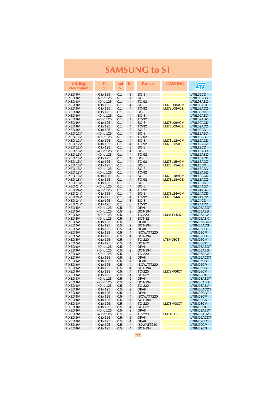| $\bm{\varpi}$<br>$^{\circ}{\rm C}$<br>$\frac{0}{0}$<br><b>Description</b><br>A<br>FIXED 6V<br>0 to 125<br>0.1<br>8<br>$SO-8$<br><b>L78L06CD</b><br>FIXED 8V<br>-40 to 125<br>0.1<br>4<br>SO-8<br>L78L08ABD<br>FIXED 8V<br>-40 to 125<br>0.1<br>4<br>TO-92<br>L78L08ABZ<br>4<br>FIXED 8V<br>0 to 125<br>0.1<br>$SO-8$<br>LM78L08ACM<br>L78L08ACD<br>FIXED 8V<br>TO-92<br>0 to 125<br>0.1<br>4<br>LM78L08ACZ<br>L78L08ACZ<br>FIXED 8V<br>8<br>$SO-8$<br>0 to 125<br>0.1<br><b>L78L08CD</b><br>FIXED 9V<br>4<br>$SO-8$<br>-40 to 125<br>0.1<br>L78L09ABD<br>FIXED 9V<br>4<br>-40 to 125<br>0.1<br>TO-92<br>L78L09ABZ<br>FIXED 9V<br>LM78L09ACM<br>0 to 125<br>0.1<br>4<br>$SO-8$<br>L78L09ACD<br>FIXED 9V<br>4<br>0 to 125<br>0.1<br>TO-92<br>LM78L09ACZ<br>L78L09ACZ<br>FIXED 9V<br>8<br>$SO-8$<br>0 to 125<br>0.1<br>L78L09CD<br>FIXED 12V<br>-40 to 125<br>$\overline{4}$<br>$SO-8$<br>0.1<br>L78L12ABD<br>FIXED 12V<br>-40 to 125<br>4<br>TO-92<br>L78L12ABZ<br>0.1<br>FIXED 12V<br>$\overline{4}$<br>LM78L12ACM<br>0 to 125<br>0.1<br>$SO-8$<br>L78L12ACD<br>FIXED 12V<br>4<br>TO-92<br>L78L12ACZ<br>0 to 125<br>0.1<br>LM78L12ACZ<br>FIXED 12V<br>8<br>0 to 125<br>0.1<br>$SO-8$<br>L78L12CD<br>FIXED 15V<br>-40 to 125<br>0.1<br>4<br>SO-8<br>L78L15ABD<br>FIXED 15V<br>4<br>-40 to 125<br>0.1<br>TO-92<br>L78L15ABZ<br>FIXED 15V<br>4<br>$SO-8$<br>L78L15ACD<br>0 to 125<br>0.1<br>FIXED 15V<br>0.1<br>4<br>TO-92<br>LM78L15ACM<br>L78L15ACZ<br>0 to 125<br>FIXED 15V<br>0 to 125<br>0.1<br>8<br>$SO-8$<br>LM78L15ACZ<br><b>L78L15CD</b><br>FIXED 18V<br>-40 to 125<br>0.1<br>4<br>SO-8<br>L78L18ABD<br>FIXED 18V<br>4<br>L78L18ABZ<br>-40 to 125<br>0.1<br>TO-92<br>LM78L18ACM<br>FIXED 18V<br>4<br>SO-8<br>L78L18ACD<br>0 to 125<br>0.1<br>FIXED 18V<br>4<br>0 to 125<br>0.1<br>TO-92<br>LM78L18ACZ<br>L78L18ACZ<br>8<br>FIXED 18V<br>0 to 125<br>0.1<br>$SO-8$<br>L78L18CD<br>FIXED 24V<br>4<br>-40 to 125<br>0.1<br>$SO-8$<br>L78L24ABD<br>FIXED 24V<br>-40 to 125<br>0.1<br>4<br>TO-92<br>L78L24ABZ<br>$\overline{4}$<br>LM78L24ACM<br>FIXED 24V<br>0 to 125<br>0.1<br>$SO-8$<br>L78L24ACD<br>FIXED 24V<br>0 to 125<br>0.1<br>4<br>TO-92<br>LM78L24ACZ<br>L78L24ACZ<br>8<br>FIXED 24V<br>0 to 125<br>0.1<br>$SO-8$<br>L78L24CD<br>FIXED 24V<br>L78L24ACZ<br>0 to 125<br>0.1<br>8<br>TO-92<br>FIXED 5V<br>2<br><b>DPAK</b><br>-40 to 125<br>0.5<br>L78M05ABDT<br>FIXED 5V<br>0.5<br>2<br>SOT-194<br>-40 to 125<br>L78M05ABS<br>FIXED 5V<br>2<br>LM341T-0.5<br>-40 to 125<br>0.5<br>TO-220<br>L78M05ABV<br>FIXED 5V<br>2<br>-40 to 125<br>0.5<br>SOT-82<br>L78M05ABX<br>2<br>FIXED 5V<br>0 to 125<br>0.5<br><b>DPAK</b><br>L78M05ACDT<br>$\overline{2}$<br>FIXED 5V<br>0 to 125<br>0.5<br>SOT-194<br>L78M05ACS<br>FIXED 5V<br>$\overline{4}$<br>0 to 125<br>0.5<br><b>DPAK</b><br>L78M05CDT<br>FIXED 5V<br>4<br><b>L78M05CP</b><br>0 to 125<br>0.5<br>ISOWATT220<br>FIXED 5V<br>$\overline{4}$<br>0 to 125<br>0.5<br>SOT-194<br><b>L78M05CS</b><br>FIXED 5V<br>0.5<br>4<br>TO-220<br><b>L78M05CV</b><br>0 to 125<br><b>L78M05CT</b><br>FIXED 5V<br>$\overline{4}$<br>0 to 125<br>0.5<br>SOT-82<br>L78M05CX<br>FIXED 6V<br>2<br>-40 to 125<br>0.5<br><b>DPAK</b><br>L78M06ABDT<br>2<br>SOT-194<br>FIXED 6V<br>-40 to 125<br>0.5<br>L78M06ABS<br>$\overline{2}$<br>FIXED 6V<br>-40 to 125<br>0.5<br>TO-220<br>L78M06ABV<br>2<br>FIXED 6V<br>0.5<br><b>DPAK</b><br>L78M06ACDT<br>0 to 125<br>FIXED 6V<br>0 to 125<br>0.5<br>4<br><b>DPAK</b><br>L78M06CDT<br>FIXED 6V<br>0.5<br>4<br>ISOWATT220<br><b>L78M06CP</b><br>0 to 125<br>FIXED 6V<br>4<br>0 to 125<br>0.5<br>SOT-194<br><b>L78M06CS</b><br>FIXED 6V<br>4<br>TO-220<br>LM78M06CT<br>0 to 125<br>0.5<br>L78M06CV<br>4<br>FIXED 6V<br>0 to 125<br>0.5<br><b>SOT-82</b><br><b>L78M06CX</b><br>2<br><b>FIXED 8V</b><br>-40 to 125<br>0.5<br><b>DPAK</b><br>L78M08ABDT<br>2<br>FIXED 8V<br>-40 to 125<br>0.5<br>SOT-194<br>L78M08ABS<br><b>FIXED 8V</b><br>-40 to 125<br>0.5<br>2<br>TO-220<br>L78M08ABV<br>0 to 125<br>0.5<br>2<br><b>DPAK</b><br><b>FIXED 8V</b><br>L/8M08ACDT<br>FIXED 8V<br>0 to 125<br>0.5<br>4<br><b>DPAK</b><br>L78M08CDT<br>FIXED 8V<br>0 to 125<br>0.5<br>4<br>ISOWATT220<br>L78M08CP<br>FIXED 8V<br><b>L78M08CS</b><br>0 to 125<br>0.5<br>4<br>SOT-194<br>FIXED 8V<br>0 to 125<br>0.5<br>4<br>TO-220<br>LM78M08CT<br><b>L78M08CV</b><br>FIXED 8V<br><b>SOT-82</b><br>0 to 125<br>0.5<br>4<br>L78M08CX<br>FIXED 9V<br>-40 to 125<br>2<br><b>DPAK</b><br>0.5<br>L78M09ABDT<br>FIXED 9V<br>LM140AK<br>-40 to 125<br>0.5<br>2<br>TO-220<br>L78M09ABV<br>2<br><b>DPAK</b><br>FIXED 9V<br>0 to 125<br>0.5<br>L78M09ACDT<br>FIXED 9V<br>0 to 125<br>0.5<br>4<br><b>DPAK</b><br>L78M09CDT<br>FIXED 9V<br>4<br><b>L78M09CP</b><br>0 to 125<br>0.5<br>IS0WATT220 |           |          |      |      |         |                |                 |
|------------------------------------------------------------------------------------------------------------------------------------------------------------------------------------------------------------------------------------------------------------------------------------------------------------------------------------------------------------------------------------------------------------------------------------------------------------------------------------------------------------------------------------------------------------------------------------------------------------------------------------------------------------------------------------------------------------------------------------------------------------------------------------------------------------------------------------------------------------------------------------------------------------------------------------------------------------------------------------------------------------------------------------------------------------------------------------------------------------------------------------------------------------------------------------------------------------------------------------------------------------------------------------------------------------------------------------------------------------------------------------------------------------------------------------------------------------------------------------------------------------------------------------------------------------------------------------------------------------------------------------------------------------------------------------------------------------------------------------------------------------------------------------------------------------------------------------------------------------------------------------------------------------------------------------------------------------------------------------------------------------------------------------------------------------------------------------------------------------------------------------------------------------------------------------------------------------------------------------------------------------------------------------------------------------------------------------------------------------------------------------------------------------------------------------------------------------------------------------------------------------------------------------------------------------------------------------------------------------------------------------------------------------------------------------------------------------------------------------------------------------------------------------------------------------------------------------------------------------------------------------------------------------------------------------------------------------------------------------------------------------------------------------------------------------------------------------------------------------------------------------------------------------------------------------------------------------------------------------------------------------------------------------------------------------------------------------------------------------------------------------------------------------------------------------------------------------------------------------------------------------------------------------------------------------------------------------------------------------------------------------------------------------------------------------------------------------------------------------------------------------------------------------------------------------------------------------------------------------------------------------------------------------------------------------------------------------------------------------------------------------------------------------------------------------------------------------------------------------------------------------------------------------------------------------------------------------------------------------------------------------------------------------------------------------------------------------------------------------------------------------------------------------------------------------------------------------------------------------------------------------------------------------------------------------------------------------------------------------------------------------------------------------------------------------------------------------------------------------------|-----------|----------|------|------|---------|----------------|-----------------|
|                                                                                                                                                                                                                                                                                                                                                                                                                                                                                                                                                                                                                                                                                                                                                                                                                                                                                                                                                                                                                                                                                                                                                                                                                                                                                                                                                                                                                                                                                                                                                                                                                                                                                                                                                                                                                                                                                                                                                                                                                                                                                                                                                                                                                                                                                                                                                                                                                                                                                                                                                                                                                                                                                                                                                                                                                                                                                                                                                                                                                                                                                                                                                                                                                                                                                                                                                                                                                                                                                                                                                                                                                                                                                                                                                                                                                                                                                                                                                                                                                                                                                                                                                                                                                                                                                                                                                                                                                                                                                                                                                                                                                                                                                                                                          | Vol. Reg. | Τi       | lout | Tol. | Package | <b>SAMSUNG</b> |                 |
|                                                                                                                                                                                                                                                                                                                                                                                                                                                                                                                                                                                                                                                                                                                                                                                                                                                                                                                                                                                                                                                                                                                                                                                                                                                                                                                                                                                                                                                                                                                                                                                                                                                                                                                                                                                                                                                                                                                                                                                                                                                                                                                                                                                                                                                                                                                                                                                                                                                                                                                                                                                                                                                                                                                                                                                                                                                                                                                                                                                                                                                                                                                                                                                                                                                                                                                                                                                                                                                                                                                                                                                                                                                                                                                                                                                                                                                                                                                                                                                                                                                                                                                                                                                                                                                                                                                                                                                                                                                                                                                                                                                                                                                                                                                                          |           |          |      |      |         |                |                 |
|                                                                                                                                                                                                                                                                                                                                                                                                                                                                                                                                                                                                                                                                                                                                                                                                                                                                                                                                                                                                                                                                                                                                                                                                                                                                                                                                                                                                                                                                                                                                                                                                                                                                                                                                                                                                                                                                                                                                                                                                                                                                                                                                                                                                                                                                                                                                                                                                                                                                                                                                                                                                                                                                                                                                                                                                                                                                                                                                                                                                                                                                                                                                                                                                                                                                                                                                                                                                                                                                                                                                                                                                                                                                                                                                                                                                                                                                                                                                                                                                                                                                                                                                                                                                                                                                                                                                                                                                                                                                                                                                                                                                                                                                                                                                          |           |          |      |      |         |                |                 |
|                                                                                                                                                                                                                                                                                                                                                                                                                                                                                                                                                                                                                                                                                                                                                                                                                                                                                                                                                                                                                                                                                                                                                                                                                                                                                                                                                                                                                                                                                                                                                                                                                                                                                                                                                                                                                                                                                                                                                                                                                                                                                                                                                                                                                                                                                                                                                                                                                                                                                                                                                                                                                                                                                                                                                                                                                                                                                                                                                                                                                                                                                                                                                                                                                                                                                                                                                                                                                                                                                                                                                                                                                                                                                                                                                                                                                                                                                                                                                                                                                                                                                                                                                                                                                                                                                                                                                                                                                                                                                                                                                                                                                                                                                                                                          |           |          |      |      |         |                |                 |
|                                                                                                                                                                                                                                                                                                                                                                                                                                                                                                                                                                                                                                                                                                                                                                                                                                                                                                                                                                                                                                                                                                                                                                                                                                                                                                                                                                                                                                                                                                                                                                                                                                                                                                                                                                                                                                                                                                                                                                                                                                                                                                                                                                                                                                                                                                                                                                                                                                                                                                                                                                                                                                                                                                                                                                                                                                                                                                                                                                                                                                                                                                                                                                                                                                                                                                                                                                                                                                                                                                                                                                                                                                                                                                                                                                                                                                                                                                                                                                                                                                                                                                                                                                                                                                                                                                                                                                                                                                                                                                                                                                                                                                                                                                                                          |           |          |      |      |         |                |                 |
|                                                                                                                                                                                                                                                                                                                                                                                                                                                                                                                                                                                                                                                                                                                                                                                                                                                                                                                                                                                                                                                                                                                                                                                                                                                                                                                                                                                                                                                                                                                                                                                                                                                                                                                                                                                                                                                                                                                                                                                                                                                                                                                                                                                                                                                                                                                                                                                                                                                                                                                                                                                                                                                                                                                                                                                                                                                                                                                                                                                                                                                                                                                                                                                                                                                                                                                                                                                                                                                                                                                                                                                                                                                                                                                                                                                                                                                                                                                                                                                                                                                                                                                                                                                                                                                                                                                                                                                                                                                                                                                                                                                                                                                                                                                                          |           |          |      |      |         |                |                 |
|                                                                                                                                                                                                                                                                                                                                                                                                                                                                                                                                                                                                                                                                                                                                                                                                                                                                                                                                                                                                                                                                                                                                                                                                                                                                                                                                                                                                                                                                                                                                                                                                                                                                                                                                                                                                                                                                                                                                                                                                                                                                                                                                                                                                                                                                                                                                                                                                                                                                                                                                                                                                                                                                                                                                                                                                                                                                                                                                                                                                                                                                                                                                                                                                                                                                                                                                                                                                                                                                                                                                                                                                                                                                                                                                                                                                                                                                                                                                                                                                                                                                                                                                                                                                                                                                                                                                                                                                                                                                                                                                                                                                                                                                                                                                          |           |          |      |      |         |                |                 |
|                                                                                                                                                                                                                                                                                                                                                                                                                                                                                                                                                                                                                                                                                                                                                                                                                                                                                                                                                                                                                                                                                                                                                                                                                                                                                                                                                                                                                                                                                                                                                                                                                                                                                                                                                                                                                                                                                                                                                                                                                                                                                                                                                                                                                                                                                                                                                                                                                                                                                                                                                                                                                                                                                                                                                                                                                                                                                                                                                                                                                                                                                                                                                                                                                                                                                                                                                                                                                                                                                                                                                                                                                                                                                                                                                                                                                                                                                                                                                                                                                                                                                                                                                                                                                                                                                                                                                                                                                                                                                                                                                                                                                                                                                                                                          |           |          |      |      |         |                |                 |
|                                                                                                                                                                                                                                                                                                                                                                                                                                                                                                                                                                                                                                                                                                                                                                                                                                                                                                                                                                                                                                                                                                                                                                                                                                                                                                                                                                                                                                                                                                                                                                                                                                                                                                                                                                                                                                                                                                                                                                                                                                                                                                                                                                                                                                                                                                                                                                                                                                                                                                                                                                                                                                                                                                                                                                                                                                                                                                                                                                                                                                                                                                                                                                                                                                                                                                                                                                                                                                                                                                                                                                                                                                                                                                                                                                                                                                                                                                                                                                                                                                                                                                                                                                                                                                                                                                                                                                                                                                                                                                                                                                                                                                                                                                                                          |           |          |      |      |         |                |                 |
|                                                                                                                                                                                                                                                                                                                                                                                                                                                                                                                                                                                                                                                                                                                                                                                                                                                                                                                                                                                                                                                                                                                                                                                                                                                                                                                                                                                                                                                                                                                                                                                                                                                                                                                                                                                                                                                                                                                                                                                                                                                                                                                                                                                                                                                                                                                                                                                                                                                                                                                                                                                                                                                                                                                                                                                                                                                                                                                                                                                                                                                                                                                                                                                                                                                                                                                                                                                                                                                                                                                                                                                                                                                                                                                                                                                                                                                                                                                                                                                                                                                                                                                                                                                                                                                                                                                                                                                                                                                                                                                                                                                                                                                                                                                                          |           |          |      |      |         |                |                 |
|                                                                                                                                                                                                                                                                                                                                                                                                                                                                                                                                                                                                                                                                                                                                                                                                                                                                                                                                                                                                                                                                                                                                                                                                                                                                                                                                                                                                                                                                                                                                                                                                                                                                                                                                                                                                                                                                                                                                                                                                                                                                                                                                                                                                                                                                                                                                                                                                                                                                                                                                                                                                                                                                                                                                                                                                                                                                                                                                                                                                                                                                                                                                                                                                                                                                                                                                                                                                                                                                                                                                                                                                                                                                                                                                                                                                                                                                                                                                                                                                                                                                                                                                                                                                                                                                                                                                                                                                                                                                                                                                                                                                                                                                                                                                          |           |          |      |      |         |                |                 |
|                                                                                                                                                                                                                                                                                                                                                                                                                                                                                                                                                                                                                                                                                                                                                                                                                                                                                                                                                                                                                                                                                                                                                                                                                                                                                                                                                                                                                                                                                                                                                                                                                                                                                                                                                                                                                                                                                                                                                                                                                                                                                                                                                                                                                                                                                                                                                                                                                                                                                                                                                                                                                                                                                                                                                                                                                                                                                                                                                                                                                                                                                                                                                                                                                                                                                                                                                                                                                                                                                                                                                                                                                                                                                                                                                                                                                                                                                                                                                                                                                                                                                                                                                                                                                                                                                                                                                                                                                                                                                                                                                                                                                                                                                                                                          |           |          |      |      |         |                |                 |
|                                                                                                                                                                                                                                                                                                                                                                                                                                                                                                                                                                                                                                                                                                                                                                                                                                                                                                                                                                                                                                                                                                                                                                                                                                                                                                                                                                                                                                                                                                                                                                                                                                                                                                                                                                                                                                                                                                                                                                                                                                                                                                                                                                                                                                                                                                                                                                                                                                                                                                                                                                                                                                                                                                                                                                                                                                                                                                                                                                                                                                                                                                                                                                                                                                                                                                                                                                                                                                                                                                                                                                                                                                                                                                                                                                                                                                                                                                                                                                                                                                                                                                                                                                                                                                                                                                                                                                                                                                                                                                                                                                                                                                                                                                                                          |           |          |      |      |         |                |                 |
|                                                                                                                                                                                                                                                                                                                                                                                                                                                                                                                                                                                                                                                                                                                                                                                                                                                                                                                                                                                                                                                                                                                                                                                                                                                                                                                                                                                                                                                                                                                                                                                                                                                                                                                                                                                                                                                                                                                                                                                                                                                                                                                                                                                                                                                                                                                                                                                                                                                                                                                                                                                                                                                                                                                                                                                                                                                                                                                                                                                                                                                                                                                                                                                                                                                                                                                                                                                                                                                                                                                                                                                                                                                                                                                                                                                                                                                                                                                                                                                                                                                                                                                                                                                                                                                                                                                                                                                                                                                                                                                                                                                                                                                                                                                                          |           |          |      |      |         |                |                 |
|                                                                                                                                                                                                                                                                                                                                                                                                                                                                                                                                                                                                                                                                                                                                                                                                                                                                                                                                                                                                                                                                                                                                                                                                                                                                                                                                                                                                                                                                                                                                                                                                                                                                                                                                                                                                                                                                                                                                                                                                                                                                                                                                                                                                                                                                                                                                                                                                                                                                                                                                                                                                                                                                                                                                                                                                                                                                                                                                                                                                                                                                                                                                                                                                                                                                                                                                                                                                                                                                                                                                                                                                                                                                                                                                                                                                                                                                                                                                                                                                                                                                                                                                                                                                                                                                                                                                                                                                                                                                                                                                                                                                                                                                                                                                          |           |          |      |      |         |                |                 |
|                                                                                                                                                                                                                                                                                                                                                                                                                                                                                                                                                                                                                                                                                                                                                                                                                                                                                                                                                                                                                                                                                                                                                                                                                                                                                                                                                                                                                                                                                                                                                                                                                                                                                                                                                                                                                                                                                                                                                                                                                                                                                                                                                                                                                                                                                                                                                                                                                                                                                                                                                                                                                                                                                                                                                                                                                                                                                                                                                                                                                                                                                                                                                                                                                                                                                                                                                                                                                                                                                                                                                                                                                                                                                                                                                                                                                                                                                                                                                                                                                                                                                                                                                                                                                                                                                                                                                                                                                                                                                                                                                                                                                                                                                                                                          |           |          |      |      |         |                |                 |
|                                                                                                                                                                                                                                                                                                                                                                                                                                                                                                                                                                                                                                                                                                                                                                                                                                                                                                                                                                                                                                                                                                                                                                                                                                                                                                                                                                                                                                                                                                                                                                                                                                                                                                                                                                                                                                                                                                                                                                                                                                                                                                                                                                                                                                                                                                                                                                                                                                                                                                                                                                                                                                                                                                                                                                                                                                                                                                                                                                                                                                                                                                                                                                                                                                                                                                                                                                                                                                                                                                                                                                                                                                                                                                                                                                                                                                                                                                                                                                                                                                                                                                                                                                                                                                                                                                                                                                                                                                                                                                                                                                                                                                                                                                                                          |           |          |      |      |         |                |                 |
|                                                                                                                                                                                                                                                                                                                                                                                                                                                                                                                                                                                                                                                                                                                                                                                                                                                                                                                                                                                                                                                                                                                                                                                                                                                                                                                                                                                                                                                                                                                                                                                                                                                                                                                                                                                                                                                                                                                                                                                                                                                                                                                                                                                                                                                                                                                                                                                                                                                                                                                                                                                                                                                                                                                                                                                                                                                                                                                                                                                                                                                                                                                                                                                                                                                                                                                                                                                                                                                                                                                                                                                                                                                                                                                                                                                                                                                                                                                                                                                                                                                                                                                                                                                                                                                                                                                                                                                                                                                                                                                                                                                                                                                                                                                                          |           |          |      |      |         |                |                 |
|                                                                                                                                                                                                                                                                                                                                                                                                                                                                                                                                                                                                                                                                                                                                                                                                                                                                                                                                                                                                                                                                                                                                                                                                                                                                                                                                                                                                                                                                                                                                                                                                                                                                                                                                                                                                                                                                                                                                                                                                                                                                                                                                                                                                                                                                                                                                                                                                                                                                                                                                                                                                                                                                                                                                                                                                                                                                                                                                                                                                                                                                                                                                                                                                                                                                                                                                                                                                                                                                                                                                                                                                                                                                                                                                                                                                                                                                                                                                                                                                                                                                                                                                                                                                                                                                                                                                                                                                                                                                                                                                                                                                                                                                                                                                          |           |          |      |      |         |                |                 |
|                                                                                                                                                                                                                                                                                                                                                                                                                                                                                                                                                                                                                                                                                                                                                                                                                                                                                                                                                                                                                                                                                                                                                                                                                                                                                                                                                                                                                                                                                                                                                                                                                                                                                                                                                                                                                                                                                                                                                                                                                                                                                                                                                                                                                                                                                                                                                                                                                                                                                                                                                                                                                                                                                                                                                                                                                                                                                                                                                                                                                                                                                                                                                                                                                                                                                                                                                                                                                                                                                                                                                                                                                                                                                                                                                                                                                                                                                                                                                                                                                                                                                                                                                                                                                                                                                                                                                                                                                                                                                                                                                                                                                                                                                                                                          |           |          |      |      |         |                |                 |
|                                                                                                                                                                                                                                                                                                                                                                                                                                                                                                                                                                                                                                                                                                                                                                                                                                                                                                                                                                                                                                                                                                                                                                                                                                                                                                                                                                                                                                                                                                                                                                                                                                                                                                                                                                                                                                                                                                                                                                                                                                                                                                                                                                                                                                                                                                                                                                                                                                                                                                                                                                                                                                                                                                                                                                                                                                                                                                                                                                                                                                                                                                                                                                                                                                                                                                                                                                                                                                                                                                                                                                                                                                                                                                                                                                                                                                                                                                                                                                                                                                                                                                                                                                                                                                                                                                                                                                                                                                                                                                                                                                                                                                                                                                                                          |           |          |      |      |         |                |                 |
|                                                                                                                                                                                                                                                                                                                                                                                                                                                                                                                                                                                                                                                                                                                                                                                                                                                                                                                                                                                                                                                                                                                                                                                                                                                                                                                                                                                                                                                                                                                                                                                                                                                                                                                                                                                                                                                                                                                                                                                                                                                                                                                                                                                                                                                                                                                                                                                                                                                                                                                                                                                                                                                                                                                                                                                                                                                                                                                                                                                                                                                                                                                                                                                                                                                                                                                                                                                                                                                                                                                                                                                                                                                                                                                                                                                                                                                                                                                                                                                                                                                                                                                                                                                                                                                                                                                                                                                                                                                                                                                                                                                                                                                                                                                                          |           |          |      |      |         |                |                 |
|                                                                                                                                                                                                                                                                                                                                                                                                                                                                                                                                                                                                                                                                                                                                                                                                                                                                                                                                                                                                                                                                                                                                                                                                                                                                                                                                                                                                                                                                                                                                                                                                                                                                                                                                                                                                                                                                                                                                                                                                                                                                                                                                                                                                                                                                                                                                                                                                                                                                                                                                                                                                                                                                                                                                                                                                                                                                                                                                                                                                                                                                                                                                                                                                                                                                                                                                                                                                                                                                                                                                                                                                                                                                                                                                                                                                                                                                                                                                                                                                                                                                                                                                                                                                                                                                                                                                                                                                                                                                                                                                                                                                                                                                                                                                          |           |          |      |      |         |                |                 |
|                                                                                                                                                                                                                                                                                                                                                                                                                                                                                                                                                                                                                                                                                                                                                                                                                                                                                                                                                                                                                                                                                                                                                                                                                                                                                                                                                                                                                                                                                                                                                                                                                                                                                                                                                                                                                                                                                                                                                                                                                                                                                                                                                                                                                                                                                                                                                                                                                                                                                                                                                                                                                                                                                                                                                                                                                                                                                                                                                                                                                                                                                                                                                                                                                                                                                                                                                                                                                                                                                                                                                                                                                                                                                                                                                                                                                                                                                                                                                                                                                                                                                                                                                                                                                                                                                                                                                                                                                                                                                                                                                                                                                                                                                                                                          |           |          |      |      |         |                |                 |
|                                                                                                                                                                                                                                                                                                                                                                                                                                                                                                                                                                                                                                                                                                                                                                                                                                                                                                                                                                                                                                                                                                                                                                                                                                                                                                                                                                                                                                                                                                                                                                                                                                                                                                                                                                                                                                                                                                                                                                                                                                                                                                                                                                                                                                                                                                                                                                                                                                                                                                                                                                                                                                                                                                                                                                                                                                                                                                                                                                                                                                                                                                                                                                                                                                                                                                                                                                                                                                                                                                                                                                                                                                                                                                                                                                                                                                                                                                                                                                                                                                                                                                                                                                                                                                                                                                                                                                                                                                                                                                                                                                                                                                                                                                                                          |           |          |      |      |         |                |                 |
|                                                                                                                                                                                                                                                                                                                                                                                                                                                                                                                                                                                                                                                                                                                                                                                                                                                                                                                                                                                                                                                                                                                                                                                                                                                                                                                                                                                                                                                                                                                                                                                                                                                                                                                                                                                                                                                                                                                                                                                                                                                                                                                                                                                                                                                                                                                                                                                                                                                                                                                                                                                                                                                                                                                                                                                                                                                                                                                                                                                                                                                                                                                                                                                                                                                                                                                                                                                                                                                                                                                                                                                                                                                                                                                                                                                                                                                                                                                                                                                                                                                                                                                                                                                                                                                                                                                                                                                                                                                                                                                                                                                                                                                                                                                                          |           |          |      |      |         |                |                 |
|                                                                                                                                                                                                                                                                                                                                                                                                                                                                                                                                                                                                                                                                                                                                                                                                                                                                                                                                                                                                                                                                                                                                                                                                                                                                                                                                                                                                                                                                                                                                                                                                                                                                                                                                                                                                                                                                                                                                                                                                                                                                                                                                                                                                                                                                                                                                                                                                                                                                                                                                                                                                                                                                                                                                                                                                                                                                                                                                                                                                                                                                                                                                                                                                                                                                                                                                                                                                                                                                                                                                                                                                                                                                                                                                                                                                                                                                                                                                                                                                                                                                                                                                                                                                                                                                                                                                                                                                                                                                                                                                                                                                                                                                                                                                          |           |          |      |      |         |                |                 |
|                                                                                                                                                                                                                                                                                                                                                                                                                                                                                                                                                                                                                                                                                                                                                                                                                                                                                                                                                                                                                                                                                                                                                                                                                                                                                                                                                                                                                                                                                                                                                                                                                                                                                                                                                                                                                                                                                                                                                                                                                                                                                                                                                                                                                                                                                                                                                                                                                                                                                                                                                                                                                                                                                                                                                                                                                                                                                                                                                                                                                                                                                                                                                                                                                                                                                                                                                                                                                                                                                                                                                                                                                                                                                                                                                                                                                                                                                                                                                                                                                                                                                                                                                                                                                                                                                                                                                                                                                                                                                                                                                                                                                                                                                                                                          |           |          |      |      |         |                |                 |
|                                                                                                                                                                                                                                                                                                                                                                                                                                                                                                                                                                                                                                                                                                                                                                                                                                                                                                                                                                                                                                                                                                                                                                                                                                                                                                                                                                                                                                                                                                                                                                                                                                                                                                                                                                                                                                                                                                                                                                                                                                                                                                                                                                                                                                                                                                                                                                                                                                                                                                                                                                                                                                                                                                                                                                                                                                                                                                                                                                                                                                                                                                                                                                                                                                                                                                                                                                                                                                                                                                                                                                                                                                                                                                                                                                                                                                                                                                                                                                                                                                                                                                                                                                                                                                                                                                                                                                                                                                                                                                                                                                                                                                                                                                                                          |           |          |      |      |         |                |                 |
|                                                                                                                                                                                                                                                                                                                                                                                                                                                                                                                                                                                                                                                                                                                                                                                                                                                                                                                                                                                                                                                                                                                                                                                                                                                                                                                                                                                                                                                                                                                                                                                                                                                                                                                                                                                                                                                                                                                                                                                                                                                                                                                                                                                                                                                                                                                                                                                                                                                                                                                                                                                                                                                                                                                                                                                                                                                                                                                                                                                                                                                                                                                                                                                                                                                                                                                                                                                                                                                                                                                                                                                                                                                                                                                                                                                                                                                                                                                                                                                                                                                                                                                                                                                                                                                                                                                                                                                                                                                                                                                                                                                                                                                                                                                                          |           |          |      |      |         |                |                 |
|                                                                                                                                                                                                                                                                                                                                                                                                                                                                                                                                                                                                                                                                                                                                                                                                                                                                                                                                                                                                                                                                                                                                                                                                                                                                                                                                                                                                                                                                                                                                                                                                                                                                                                                                                                                                                                                                                                                                                                                                                                                                                                                                                                                                                                                                                                                                                                                                                                                                                                                                                                                                                                                                                                                                                                                                                                                                                                                                                                                                                                                                                                                                                                                                                                                                                                                                                                                                                                                                                                                                                                                                                                                                                                                                                                                                                                                                                                                                                                                                                                                                                                                                                                                                                                                                                                                                                                                                                                                                                                                                                                                                                                                                                                                                          |           |          |      |      |         |                |                 |
|                                                                                                                                                                                                                                                                                                                                                                                                                                                                                                                                                                                                                                                                                                                                                                                                                                                                                                                                                                                                                                                                                                                                                                                                                                                                                                                                                                                                                                                                                                                                                                                                                                                                                                                                                                                                                                                                                                                                                                                                                                                                                                                                                                                                                                                                                                                                                                                                                                                                                                                                                                                                                                                                                                                                                                                                                                                                                                                                                                                                                                                                                                                                                                                                                                                                                                                                                                                                                                                                                                                                                                                                                                                                                                                                                                                                                                                                                                                                                                                                                                                                                                                                                                                                                                                                                                                                                                                                                                                                                                                                                                                                                                                                                                                                          |           |          |      |      |         |                |                 |
|                                                                                                                                                                                                                                                                                                                                                                                                                                                                                                                                                                                                                                                                                                                                                                                                                                                                                                                                                                                                                                                                                                                                                                                                                                                                                                                                                                                                                                                                                                                                                                                                                                                                                                                                                                                                                                                                                                                                                                                                                                                                                                                                                                                                                                                                                                                                                                                                                                                                                                                                                                                                                                                                                                                                                                                                                                                                                                                                                                                                                                                                                                                                                                                                                                                                                                                                                                                                                                                                                                                                                                                                                                                                                                                                                                                                                                                                                                                                                                                                                                                                                                                                                                                                                                                                                                                                                                                                                                                                                                                                                                                                                                                                                                                                          |           |          |      |      |         |                |                 |
|                                                                                                                                                                                                                                                                                                                                                                                                                                                                                                                                                                                                                                                                                                                                                                                                                                                                                                                                                                                                                                                                                                                                                                                                                                                                                                                                                                                                                                                                                                                                                                                                                                                                                                                                                                                                                                                                                                                                                                                                                                                                                                                                                                                                                                                                                                                                                                                                                                                                                                                                                                                                                                                                                                                                                                                                                                                                                                                                                                                                                                                                                                                                                                                                                                                                                                                                                                                                                                                                                                                                                                                                                                                                                                                                                                                                                                                                                                                                                                                                                                                                                                                                                                                                                                                                                                                                                                                                                                                                                                                                                                                                                                                                                                                                          |           |          |      |      |         |                |                 |
|                                                                                                                                                                                                                                                                                                                                                                                                                                                                                                                                                                                                                                                                                                                                                                                                                                                                                                                                                                                                                                                                                                                                                                                                                                                                                                                                                                                                                                                                                                                                                                                                                                                                                                                                                                                                                                                                                                                                                                                                                                                                                                                                                                                                                                                                                                                                                                                                                                                                                                                                                                                                                                                                                                                                                                                                                                                                                                                                                                                                                                                                                                                                                                                                                                                                                                                                                                                                                                                                                                                                                                                                                                                                                                                                                                                                                                                                                                                                                                                                                                                                                                                                                                                                                                                                                                                                                                                                                                                                                                                                                                                                                                                                                                                                          |           |          |      |      |         |                |                 |
|                                                                                                                                                                                                                                                                                                                                                                                                                                                                                                                                                                                                                                                                                                                                                                                                                                                                                                                                                                                                                                                                                                                                                                                                                                                                                                                                                                                                                                                                                                                                                                                                                                                                                                                                                                                                                                                                                                                                                                                                                                                                                                                                                                                                                                                                                                                                                                                                                                                                                                                                                                                                                                                                                                                                                                                                                                                                                                                                                                                                                                                                                                                                                                                                                                                                                                                                                                                                                                                                                                                                                                                                                                                                                                                                                                                                                                                                                                                                                                                                                                                                                                                                                                                                                                                                                                                                                                                                                                                                                                                                                                                                                                                                                                                                          |           |          |      |      |         |                |                 |
|                                                                                                                                                                                                                                                                                                                                                                                                                                                                                                                                                                                                                                                                                                                                                                                                                                                                                                                                                                                                                                                                                                                                                                                                                                                                                                                                                                                                                                                                                                                                                                                                                                                                                                                                                                                                                                                                                                                                                                                                                                                                                                                                                                                                                                                                                                                                                                                                                                                                                                                                                                                                                                                                                                                                                                                                                                                                                                                                                                                                                                                                                                                                                                                                                                                                                                                                                                                                                                                                                                                                                                                                                                                                                                                                                                                                                                                                                                                                                                                                                                                                                                                                                                                                                                                                                                                                                                                                                                                                                                                                                                                                                                                                                                                                          |           |          |      |      |         |                |                 |
|                                                                                                                                                                                                                                                                                                                                                                                                                                                                                                                                                                                                                                                                                                                                                                                                                                                                                                                                                                                                                                                                                                                                                                                                                                                                                                                                                                                                                                                                                                                                                                                                                                                                                                                                                                                                                                                                                                                                                                                                                                                                                                                                                                                                                                                                                                                                                                                                                                                                                                                                                                                                                                                                                                                                                                                                                                                                                                                                                                                                                                                                                                                                                                                                                                                                                                                                                                                                                                                                                                                                                                                                                                                                                                                                                                                                                                                                                                                                                                                                                                                                                                                                                                                                                                                                                                                                                                                                                                                                                                                                                                                                                                                                                                                                          |           |          |      |      |         |                |                 |
|                                                                                                                                                                                                                                                                                                                                                                                                                                                                                                                                                                                                                                                                                                                                                                                                                                                                                                                                                                                                                                                                                                                                                                                                                                                                                                                                                                                                                                                                                                                                                                                                                                                                                                                                                                                                                                                                                                                                                                                                                                                                                                                                                                                                                                                                                                                                                                                                                                                                                                                                                                                                                                                                                                                                                                                                                                                                                                                                                                                                                                                                                                                                                                                                                                                                                                                                                                                                                                                                                                                                                                                                                                                                                                                                                                                                                                                                                                                                                                                                                                                                                                                                                                                                                                                                                                                                                                                                                                                                                                                                                                                                                                                                                                                                          |           |          |      |      |         |                |                 |
|                                                                                                                                                                                                                                                                                                                                                                                                                                                                                                                                                                                                                                                                                                                                                                                                                                                                                                                                                                                                                                                                                                                                                                                                                                                                                                                                                                                                                                                                                                                                                                                                                                                                                                                                                                                                                                                                                                                                                                                                                                                                                                                                                                                                                                                                                                                                                                                                                                                                                                                                                                                                                                                                                                                                                                                                                                                                                                                                                                                                                                                                                                                                                                                                                                                                                                                                                                                                                                                                                                                                                                                                                                                                                                                                                                                                                                                                                                                                                                                                                                                                                                                                                                                                                                                                                                                                                                                                                                                                                                                                                                                                                                                                                                                                          |           |          |      |      |         |                |                 |
|                                                                                                                                                                                                                                                                                                                                                                                                                                                                                                                                                                                                                                                                                                                                                                                                                                                                                                                                                                                                                                                                                                                                                                                                                                                                                                                                                                                                                                                                                                                                                                                                                                                                                                                                                                                                                                                                                                                                                                                                                                                                                                                                                                                                                                                                                                                                                                                                                                                                                                                                                                                                                                                                                                                                                                                                                                                                                                                                                                                                                                                                                                                                                                                                                                                                                                                                                                                                                                                                                                                                                                                                                                                                                                                                                                                                                                                                                                                                                                                                                                                                                                                                                                                                                                                                                                                                                                                                                                                                                                                                                                                                                                                                                                                                          |           |          |      |      |         |                |                 |
|                                                                                                                                                                                                                                                                                                                                                                                                                                                                                                                                                                                                                                                                                                                                                                                                                                                                                                                                                                                                                                                                                                                                                                                                                                                                                                                                                                                                                                                                                                                                                                                                                                                                                                                                                                                                                                                                                                                                                                                                                                                                                                                                                                                                                                                                                                                                                                                                                                                                                                                                                                                                                                                                                                                                                                                                                                                                                                                                                                                                                                                                                                                                                                                                                                                                                                                                                                                                                                                                                                                                                                                                                                                                                                                                                                                                                                                                                                                                                                                                                                                                                                                                                                                                                                                                                                                                                                                                                                                                                                                                                                                                                                                                                                                                          |           |          |      |      |         |                |                 |
|                                                                                                                                                                                                                                                                                                                                                                                                                                                                                                                                                                                                                                                                                                                                                                                                                                                                                                                                                                                                                                                                                                                                                                                                                                                                                                                                                                                                                                                                                                                                                                                                                                                                                                                                                                                                                                                                                                                                                                                                                                                                                                                                                                                                                                                                                                                                                                                                                                                                                                                                                                                                                                                                                                                                                                                                                                                                                                                                                                                                                                                                                                                                                                                                                                                                                                                                                                                                                                                                                                                                                                                                                                                                                                                                                                                                                                                                                                                                                                                                                                                                                                                                                                                                                                                                                                                                                                                                                                                                                                                                                                                                                                                                                                                                          |           |          |      |      |         |                |                 |
|                                                                                                                                                                                                                                                                                                                                                                                                                                                                                                                                                                                                                                                                                                                                                                                                                                                                                                                                                                                                                                                                                                                                                                                                                                                                                                                                                                                                                                                                                                                                                                                                                                                                                                                                                                                                                                                                                                                                                                                                                                                                                                                                                                                                                                                                                                                                                                                                                                                                                                                                                                                                                                                                                                                                                                                                                                                                                                                                                                                                                                                                                                                                                                                                                                                                                                                                                                                                                                                                                                                                                                                                                                                                                                                                                                                                                                                                                                                                                                                                                                                                                                                                                                                                                                                                                                                                                                                                                                                                                                                                                                                                                                                                                                                                          |           |          |      |      |         |                |                 |
|                                                                                                                                                                                                                                                                                                                                                                                                                                                                                                                                                                                                                                                                                                                                                                                                                                                                                                                                                                                                                                                                                                                                                                                                                                                                                                                                                                                                                                                                                                                                                                                                                                                                                                                                                                                                                                                                                                                                                                                                                                                                                                                                                                                                                                                                                                                                                                                                                                                                                                                                                                                                                                                                                                                                                                                                                                                                                                                                                                                                                                                                                                                                                                                                                                                                                                                                                                                                                                                                                                                                                                                                                                                                                                                                                                                                                                                                                                                                                                                                                                                                                                                                                                                                                                                                                                                                                                                                                                                                                                                                                                                                                                                                                                                                          |           |          |      |      |         |                |                 |
|                                                                                                                                                                                                                                                                                                                                                                                                                                                                                                                                                                                                                                                                                                                                                                                                                                                                                                                                                                                                                                                                                                                                                                                                                                                                                                                                                                                                                                                                                                                                                                                                                                                                                                                                                                                                                                                                                                                                                                                                                                                                                                                                                                                                                                                                                                                                                                                                                                                                                                                                                                                                                                                                                                                                                                                                                                                                                                                                                                                                                                                                                                                                                                                                                                                                                                                                                                                                                                                                                                                                                                                                                                                                                                                                                                                                                                                                                                                                                                                                                                                                                                                                                                                                                                                                                                                                                                                                                                                                                                                                                                                                                                                                                                                                          |           |          |      |      |         |                |                 |
|                                                                                                                                                                                                                                                                                                                                                                                                                                                                                                                                                                                                                                                                                                                                                                                                                                                                                                                                                                                                                                                                                                                                                                                                                                                                                                                                                                                                                                                                                                                                                                                                                                                                                                                                                                                                                                                                                                                                                                                                                                                                                                                                                                                                                                                                                                                                                                                                                                                                                                                                                                                                                                                                                                                                                                                                                                                                                                                                                                                                                                                                                                                                                                                                                                                                                                                                                                                                                                                                                                                                                                                                                                                                                                                                                                                                                                                                                                                                                                                                                                                                                                                                                                                                                                                                                                                                                                                                                                                                                                                                                                                                                                                                                                                                          |           |          |      |      |         |                |                 |
|                                                                                                                                                                                                                                                                                                                                                                                                                                                                                                                                                                                                                                                                                                                                                                                                                                                                                                                                                                                                                                                                                                                                                                                                                                                                                                                                                                                                                                                                                                                                                                                                                                                                                                                                                                                                                                                                                                                                                                                                                                                                                                                                                                                                                                                                                                                                                                                                                                                                                                                                                                                                                                                                                                                                                                                                                                                                                                                                                                                                                                                                                                                                                                                                                                                                                                                                                                                                                                                                                                                                                                                                                                                                                                                                                                                                                                                                                                                                                                                                                                                                                                                                                                                                                                                                                                                                                                                                                                                                                                                                                                                                                                                                                                                                          |           |          |      |      |         |                |                 |
|                                                                                                                                                                                                                                                                                                                                                                                                                                                                                                                                                                                                                                                                                                                                                                                                                                                                                                                                                                                                                                                                                                                                                                                                                                                                                                                                                                                                                                                                                                                                                                                                                                                                                                                                                                                                                                                                                                                                                                                                                                                                                                                                                                                                                                                                                                                                                                                                                                                                                                                                                                                                                                                                                                                                                                                                                                                                                                                                                                                                                                                                                                                                                                                                                                                                                                                                                                                                                                                                                                                                                                                                                                                                                                                                                                                                                                                                                                                                                                                                                                                                                                                                                                                                                                                                                                                                                                                                                                                                                                                                                                                                                                                                                                                                          |           |          |      |      |         |                |                 |
|                                                                                                                                                                                                                                                                                                                                                                                                                                                                                                                                                                                                                                                                                                                                                                                                                                                                                                                                                                                                                                                                                                                                                                                                                                                                                                                                                                                                                                                                                                                                                                                                                                                                                                                                                                                                                                                                                                                                                                                                                                                                                                                                                                                                                                                                                                                                                                                                                                                                                                                                                                                                                                                                                                                                                                                                                                                                                                                                                                                                                                                                                                                                                                                                                                                                                                                                                                                                                                                                                                                                                                                                                                                                                                                                                                                                                                                                                                                                                                                                                                                                                                                                                                                                                                                                                                                                                                                                                                                                                                                                                                                                                                                                                                                                          |           |          |      |      |         |                |                 |
|                                                                                                                                                                                                                                                                                                                                                                                                                                                                                                                                                                                                                                                                                                                                                                                                                                                                                                                                                                                                                                                                                                                                                                                                                                                                                                                                                                                                                                                                                                                                                                                                                                                                                                                                                                                                                                                                                                                                                                                                                                                                                                                                                                                                                                                                                                                                                                                                                                                                                                                                                                                                                                                                                                                                                                                                                                                                                                                                                                                                                                                                                                                                                                                                                                                                                                                                                                                                                                                                                                                                                                                                                                                                                                                                                                                                                                                                                                                                                                                                                                                                                                                                                                                                                                                                                                                                                                                                                                                                                                                                                                                                                                                                                                                                          |           |          |      |      |         |                |                 |
|                                                                                                                                                                                                                                                                                                                                                                                                                                                                                                                                                                                                                                                                                                                                                                                                                                                                                                                                                                                                                                                                                                                                                                                                                                                                                                                                                                                                                                                                                                                                                                                                                                                                                                                                                                                                                                                                                                                                                                                                                                                                                                                                                                                                                                                                                                                                                                                                                                                                                                                                                                                                                                                                                                                                                                                                                                                                                                                                                                                                                                                                                                                                                                                                                                                                                                                                                                                                                                                                                                                                                                                                                                                                                                                                                                                                                                                                                                                                                                                                                                                                                                                                                                                                                                                                                                                                                                                                                                                                                                                                                                                                                                                                                                                                          |           |          |      |      |         |                |                 |
|                                                                                                                                                                                                                                                                                                                                                                                                                                                                                                                                                                                                                                                                                                                                                                                                                                                                                                                                                                                                                                                                                                                                                                                                                                                                                                                                                                                                                                                                                                                                                                                                                                                                                                                                                                                                                                                                                                                                                                                                                                                                                                                                                                                                                                                                                                                                                                                                                                                                                                                                                                                                                                                                                                                                                                                                                                                                                                                                                                                                                                                                                                                                                                                                                                                                                                                                                                                                                                                                                                                                                                                                                                                                                                                                                                                                                                                                                                                                                                                                                                                                                                                                                                                                                                                                                                                                                                                                                                                                                                                                                                                                                                                                                                                                          |           |          |      |      |         |                |                 |
|                                                                                                                                                                                                                                                                                                                                                                                                                                                                                                                                                                                                                                                                                                                                                                                                                                                                                                                                                                                                                                                                                                                                                                                                                                                                                                                                                                                                                                                                                                                                                                                                                                                                                                                                                                                                                                                                                                                                                                                                                                                                                                                                                                                                                                                                                                                                                                                                                                                                                                                                                                                                                                                                                                                                                                                                                                                                                                                                                                                                                                                                                                                                                                                                                                                                                                                                                                                                                                                                                                                                                                                                                                                                                                                                                                                                                                                                                                                                                                                                                                                                                                                                                                                                                                                                                                                                                                                                                                                                                                                                                                                                                                                                                                                                          |           |          |      |      |         |                |                 |
|                                                                                                                                                                                                                                                                                                                                                                                                                                                                                                                                                                                                                                                                                                                                                                                                                                                                                                                                                                                                                                                                                                                                                                                                                                                                                                                                                                                                                                                                                                                                                                                                                                                                                                                                                                                                                                                                                                                                                                                                                                                                                                                                                                                                                                                                                                                                                                                                                                                                                                                                                                                                                                                                                                                                                                                                                                                                                                                                                                                                                                                                                                                                                                                                                                                                                                                                                                                                                                                                                                                                                                                                                                                                                                                                                                                                                                                                                                                                                                                                                                                                                                                                                                                                                                                                                                                                                                                                                                                                                                                                                                                                                                                                                                                                          |           |          |      |      |         |                |                 |
|                                                                                                                                                                                                                                                                                                                                                                                                                                                                                                                                                                                                                                                                                                                                                                                                                                                                                                                                                                                                                                                                                                                                                                                                                                                                                                                                                                                                                                                                                                                                                                                                                                                                                                                                                                                                                                                                                                                                                                                                                                                                                                                                                                                                                                                                                                                                                                                                                                                                                                                                                                                                                                                                                                                                                                                                                                                                                                                                                                                                                                                                                                                                                                                                                                                                                                                                                                                                                                                                                                                                                                                                                                                                                                                                                                                                                                                                                                                                                                                                                                                                                                                                                                                                                                                                                                                                                                                                                                                                                                                                                                                                                                                                                                                                          |           |          |      |      |         |                |                 |
|                                                                                                                                                                                                                                                                                                                                                                                                                                                                                                                                                                                                                                                                                                                                                                                                                                                                                                                                                                                                                                                                                                                                                                                                                                                                                                                                                                                                                                                                                                                                                                                                                                                                                                                                                                                                                                                                                                                                                                                                                                                                                                                                                                                                                                                                                                                                                                                                                                                                                                                                                                                                                                                                                                                                                                                                                                                                                                                                                                                                                                                                                                                                                                                                                                                                                                                                                                                                                                                                                                                                                                                                                                                                                                                                                                                                                                                                                                                                                                                                                                                                                                                                                                                                                                                                                                                                                                                                                                                                                                                                                                                                                                                                                                                                          |           |          |      |      |         |                |                 |
|                                                                                                                                                                                                                                                                                                                                                                                                                                                                                                                                                                                                                                                                                                                                                                                                                                                                                                                                                                                                                                                                                                                                                                                                                                                                                                                                                                                                                                                                                                                                                                                                                                                                                                                                                                                                                                                                                                                                                                                                                                                                                                                                                                                                                                                                                                                                                                                                                                                                                                                                                                                                                                                                                                                                                                                                                                                                                                                                                                                                                                                                                                                                                                                                                                                                                                                                                                                                                                                                                                                                                                                                                                                                                                                                                                                                                                                                                                                                                                                                                                                                                                                                                                                                                                                                                                                                                                                                                                                                                                                                                                                                                                                                                                                                          |           |          |      |      |         |                |                 |
|                                                                                                                                                                                                                                                                                                                                                                                                                                                                                                                                                                                                                                                                                                                                                                                                                                                                                                                                                                                                                                                                                                                                                                                                                                                                                                                                                                                                                                                                                                                                                                                                                                                                                                                                                                                                                                                                                                                                                                                                                                                                                                                                                                                                                                                                                                                                                                                                                                                                                                                                                                                                                                                                                                                                                                                                                                                                                                                                                                                                                                                                                                                                                                                                                                                                                                                                                                                                                                                                                                                                                                                                                                                                                                                                                                                                                                                                                                                                                                                                                                                                                                                                                                                                                                                                                                                                                                                                                                                                                                                                                                                                                                                                                                                                          |           |          |      |      |         |                |                 |
|                                                                                                                                                                                                                                                                                                                                                                                                                                                                                                                                                                                                                                                                                                                                                                                                                                                                                                                                                                                                                                                                                                                                                                                                                                                                                                                                                                                                                                                                                                                                                                                                                                                                                                                                                                                                                                                                                                                                                                                                                                                                                                                                                                                                                                                                                                                                                                                                                                                                                                                                                                                                                                                                                                                                                                                                                                                                                                                                                                                                                                                                                                                                                                                                                                                                                                                                                                                                                                                                                                                                                                                                                                                                                                                                                                                                                                                                                                                                                                                                                                                                                                                                                                                                                                                                                                                                                                                                                                                                                                                                                                                                                                                                                                                                          |           |          |      |      |         |                |                 |
|                                                                                                                                                                                                                                                                                                                                                                                                                                                                                                                                                                                                                                                                                                                                                                                                                                                                                                                                                                                                                                                                                                                                                                                                                                                                                                                                                                                                                                                                                                                                                                                                                                                                                                                                                                                                                                                                                                                                                                                                                                                                                                                                                                                                                                                                                                                                                                                                                                                                                                                                                                                                                                                                                                                                                                                                                                                                                                                                                                                                                                                                                                                                                                                                                                                                                                                                                                                                                                                                                                                                                                                                                                                                                                                                                                                                                                                                                                                                                                                                                                                                                                                                                                                                                                                                                                                                                                                                                                                                                                                                                                                                                                                                                                                                          | FIXED 9V  | 0 to 125 | 0.5  | 4    | SOT-194 |                | <b>L78M09CS</b> |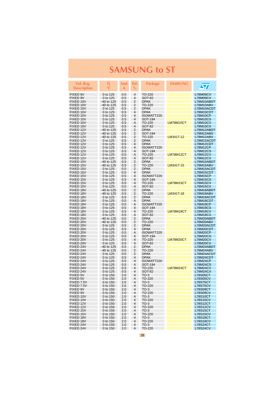| Vol. Reg.<br><b>Description</b> | Τi<br>$^{\circ}{\rm C}$  | <b>lout</b><br>A | Tol.<br>$\%$        | <b>Package</b>          | <b>SAMSUNG</b> | $\bm{\mathcal{S}}$                 |
|---------------------------------|--------------------------|------------------|---------------------|-------------------------|----------------|------------------------------------|
| FIXED 9V                        | 0 to 125                 | 0.5              | 4                   | TO-220                  |                | <b>L78M09CV</b>                    |
| FIXED 9V                        | 0 to 125                 | 0.5              | 4                   | SOT-82                  |                | <b>L78M09CX</b>                    |
| FIXED 10V                       | -40 to 125               | 0.5              | $\overline{2}$      | <b>DPAK</b>             |                | L78M10ABDT                         |
| FIXED 10V                       | -40 to 125               | 0.5              | $\overline{2}$      | TO-220                  |                | L78M10ABV                          |
| FIXED 10V                       | 0 to 125                 | 0.5              | 2                   | <b>DPAK</b>             |                | L78M10ACDT                         |
| FIXED 10V                       | 0 to 125                 | 0.5              | 4                   | <b>DPAK</b>             |                | L78M10CDT                          |
| FIXED 10V                       | 0 to 125                 | 0.5              | 4                   | ISOWATT220              |                | <b>L78M10CP</b>                    |
| FIXED 10V                       | 0 to 125                 | 0.5              | 4                   | SOT-194                 |                | <b>L78M10CS</b>                    |
| FIXED 10V                       | 0 to 125                 | 0.5              | 4                   | TO-220                  | LM78M10CT      | <b>L78M10CV</b>                    |
| FIXED 10V                       | 0 to 125                 | 0.5              | 4                   | <b>SOT-82</b>           |                | <b>L78M10CX</b>                    |
| FIXED 12V<br>FIXED 12V          | -40 to 125<br>-40 to 125 | 0.5<br>0.5       | 2<br>2              | <b>DPAK</b><br>SOT-194  |                | L78M12ABDT<br>L78M12ABS            |
| FIXED 12V                       | -40 to 125               | 0.5              | 2                   | TO-220                  | LM341T-12      | L78M12ABV                          |
| FIXED 12V                       | 0 to 125                 | 0.5              | 2                   | <b>DPAK</b>             |                | L78M12ACDT                         |
| FIXED 12V                       | 0 to 125                 | 0.5              | 4                   | <b>DPAK</b>             |                | L78M12CDT                          |
| FIXED 12V                       | 0 to 125                 | 0.5              | 4                   | ISOWATT220              |                | <b>L78M12CP</b>                    |
| FIXED 12V                       | 0 to 125                 | 0.5              | 4                   | SOT-194                 |                | <b>L78M12CS</b>                    |
| FIXED 12V                       | 0 to 125                 | 0.5              | 4                   | TO-220                  | LM78M12CT      | <b>L78M12CV</b>                    |
| FIXED 12V                       | 0 to 125                 | 0.5              | 4                   | <b>SOT-82</b>           |                | L78M12CX                           |
| FIXED 15V                       | -40 to 125               | 0.5              | 2                   | <b>DPAK</b>             |                | L78M15ABDT                         |
| FIXED 15V                       | -40 to 125               | 0.5              | 2                   | TO-220                  | LM341T-15      | L78M15ABV                          |
| FIXED 15V                       | 0 to 125                 | 0.5              | 2                   | <b>DPAK</b>             |                | L78M15ACDT                         |
| FIXED 15V                       | 0 to 125                 | 0.5              | 4                   | <b>DPAK</b>             |                | L78M15CDT                          |
| FIXED 15V                       | 0 to 125                 | 0.5              | $\overline{4}$      | ISOWATT220              |                | <b>L78M15CP</b>                    |
| FIXED 15V                       | 0 to 125                 | 0.5              | 4                   | SOT-194                 |                | <b>L78M15CS</b>                    |
| FIXED 15V                       | 0 to 125                 | 0.5              | 4                   | TO-220<br><b>SOT-82</b> | LM78M15CT      | <b>L78M15CV</b>                    |
| FIXED 15V<br>FIXED 18V          | 0 to 125<br>-40 to 125   | 0.5<br>0.5       | 4<br>2              | <b>DPAK</b>             |                | <b>L78M15CX</b><br>L78M18ABDT      |
| FIXED 18V                       | -40 to 125               | 0.5              | 2                   | TO-220                  | LM341T-18      | L78M18ABV                          |
| FIXED 18V                       | 0 to 125                 | 0.5              | $\overline{2}$      | <b>DPAK</b>             |                | L78M18ACDT                         |
| FIXED 18V                       | 0 to 125                 | 0.5              | 4                   | <b>DPAK</b>             |                | L78M18CDT                          |
| FIXED 18V                       | 0 to 125                 | 0.5              | 4                   | ISOWATT220              |                | <b>L78M18CP</b>                    |
| FIXED 18V                       | 0 to 125                 | 0.5              | 4                   | SOT-194                 |                | <b>L78M18CS</b>                    |
| FIXED 18V                       | 0 to 125                 | 0.5              | 4                   | TO-220                  | LM78M18CT      | <b>L78M18CV</b>                    |
| FIXED 18V                       | 0 to 125                 | 0.5              | 4                   | <b>SOT-82</b>           |                | L78M18CX                           |
| FIXED 20V                       | -40 to 125               | 0.5              | 2                   | <b>DPAK</b>             |                | L78M20ABDT                         |
| FIXED 20V                       | -40 to 125               | 0.5              | 2                   | TO-220                  |                | L78M20ABV                          |
| FIXED 20V                       | 0 to 125                 | 0.5              | 2                   | <b>DPAK</b>             |                | L78M20ACDT                         |
| FIXED 20V                       | 0 to 125                 | 0.5              | 4                   | <b>DPAK</b>             |                | L78M20CDT                          |
| FIXED 20V                       | 0 to 125                 | 0.5              | 4<br>4              | ISOWATT220              |                | <b>L78M20CP</b>                    |
| FIXED 20V<br>FIXED 20V          | 0 to 125<br>0 to 125     | 0.5<br>0.5       | 4                   | SOT-194<br>TO-220       | LM78M20CT      | <b>L78M20CS</b><br><b>L78M20CV</b> |
| FIXED 20V                       | 0 to 125                 | 0.5              | 4                   | <b>SOT-82</b>           |                | <b>L78M20CX</b>                    |
| FIXED 24V                       | -40 to 125               | 0.5              | $\overline{2}$      | <b>DPAK</b>             |                | L78M24ABDT                         |
| FIXED 24V                       | -40 to 125               | 0.5              | $\overline{2}$      | TO-220                  |                | L78M24ABV                          |
| FIXED 24V                       | 0 to 125                 | 0.5              | $\overline{2}$      | <b>DPAK</b>             |                | L78M24ACDT                         |
| FIXED 24V                       | 0 to 125                 | 0.5              | 4                   | <b>DPAK</b>             |                | L78M24CDT                          |
| FIXED 24V                       | 0 to 125                 | 0.5              | 4                   | ISOWATT220              |                | <b>L78M24CP</b>                    |
| FIXED 24V                       | 0 to 125                 | 0.5              | 4                   | SOT-194                 |                | <b>L78M24CS</b>                    |
| FIXED 24V                       | 0 to 125                 | 0.5              | 4                   | TO-220                  | LM78M24CT      | <b>L78M24CV</b>                    |
| FIXED 24V                       | 0 to 125                 | 0.5              | $\overline{4}$      | <b>SOT-82</b>           |                | L78M24CX                           |
| FIXED 5V                        | 0 to 150                 | 2.0              | 4                   | $TO-3$                  |                | <b>L78S05CT</b>                    |
| <b>FIXED 5V</b>                 | 0 to 150                 | 2.0              | $\overline{4}$      | TO-220                  |                | <b>L78S05CV</b>                    |
| FIXED 7.5V<br>FIXED 7.5V        | 0 to 150<br>0 to 150     | 2.0<br>2.0       | 4<br>$\overline{4}$ | $TO-3$<br>TO-220        |                | <b>L78S75CT</b><br><b>L78S75CV</b> |
| FIXED 9V                        | 0 to 150                 | 2.0              | 4                   | $TO-3$                  |                | L78S09CT                           |
| FIXED 9V                        | 0 to 150                 | 2.0              | 4                   | TO-220                  |                | <b>L78S09CV</b>                    |
| FIXED 10V                       | 0 to 150                 | 2.0              | 4                   | $TO-3$                  |                | <b>L78S10CT</b>                    |
| FIXED 10V                       | 0 to 150                 | 2.0              | 4                   | TO-220                  |                | <b>L78S10CV</b>                    |
| FIXED 12V                       | 0 to 150                 | 2.0              | 4                   | $TO-3$                  |                | <b>L78S12CT</b>                    |
| FIXED 12V                       | 0 to 150                 | 2.0              | 4                   | TO-220                  |                | <b>L78S12CV</b>                    |
| FIXED 15V                       | 0 to 150                 | 2.0              | 4                   | $TO-3$                  |                | <b>L78S15CT</b>                    |
| FIXED 15V                       | 0 to 150                 | 2.0              | 4                   | TO-220                  |                | <b>L78S15CV</b>                    |
| FIXED 18V                       | 0 to 150                 | 2.0              | 4                   | $TO-3$                  |                | L78S18CT                           |
| FIXED 18V                       | 0 to 150                 | 2.0              | 4                   | TO-220                  |                | <b>L78S18CV</b>                    |
| FIXED 24V                       | 0 to 150                 | 2.0              | 4                   | $TO-3$                  |                | <b>L78S24CT</b>                    |
| FIXED 24V                       | 0 to 150                 | 2.0              | 4                   | TO-220                  |                | <b>L78S24CV</b>                    |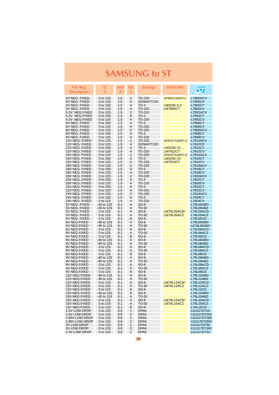| Vol. Reg.<br>Description        | Τi<br>°C               | lout<br>A  | Tol.<br>$\frac{0}{0}$ | <b>Package</b>   | <b>SAMSUNG</b>      | $\bm{\mathcal{S}}$           |
|---------------------------------|------------------------|------------|-----------------------|------------------|---------------------|------------------------------|
| 5V NEG. FIXED                   | 0 to 125               | 1.5        | $\overline{2}$        | TO-220           | LM7905CT/LM320T-5.0 | <b>L7905ACV</b>              |
| 5V NEG. FIXED                   | 0 to 125               | 1.5        | 4                     | ISOWATT220       |                     | L7905CP                      |
| 5V NEG. FIXED                   | 0 to 150               | 1.5        | 4                     | $TO-3$           | LM320K-5.0          | L7905CT                      |
| 5V NEG. FIXED                   | 0 to 125               | 1.5        | 4                     | TO-220           | <b>LM7905CT</b>     | <b>L7905CV</b>               |
| 5.2V NEG.FIXED                  | 0 to 125               | 1.5        | 2                     | TO-220           |                     | <b>L7952ACV</b>              |
| 5.2V NEG.FIXED                  | 0 to 150               | 1.5        | 4                     | $TO-3$           |                     | L7952CT                      |
| 5.2V NEG.FIXED                  | 0 to 125               | 1.5        | 4                     | TO-220           |                     | <b>L7952CV</b>               |
| 6V NEG. FIXED                   | 0 to 150               | 1.5        | 4                     | $TO-3$           |                     | L7906CT                      |
| 6V NEG. FIXED                   | 0 to 125               | 1.5        | 4                     | TO-220           |                     | <b>L7906CV</b>               |
| 8V NEG. FIXED                   | 0 to 125               | 1.5        | 2                     | TO-220           |                     | <b>L7908ACV</b>              |
| 8V NEG. FIXED                   | 0 to 150               | 1.5        | 4                     | $TO-3$           |                     | L7908CT                      |
| 8V NEG. FIXED                   | 0 to 125               | 1.5        | 4                     | TO-220           |                     | <b>L7908CV</b>               |
| 12V NEG. FIXED                  | 0 to 125               | 1.5        | 2                     | TO-220           | LM7912CT/LM320T-12  | <b>L7912ACV</b>              |
| 12V NEG. FIXED                  | 0 to 125               | 1.5        | 4                     | ISOWATT220       |                     | L7912CP                      |
| 12V NEG. FIXED                  | 0 to 150               | 1.5        | 4                     | $TO-3$           | LM320K-12           | L7912CT                      |
| 12V NEG. FIXED                  | 0 to 125               | 1.5        | 4                     | TO-220           | LM7912CT            | <b>L7912CV</b>               |
| 15V NEG. FIXED                  | 0 to 125               | 1.5        | 2                     | TO-220           | LM7915CT/LM320T-15  | <b>L7915ACV</b>              |
| 15V NEG. FIXED                  | 0 to 150               | 1.5        | 4                     | $TO-3$           | LM320K-15           | L7915CT                      |
| 15V NEG. FIXED                  | 0 to 125               | 1.5        | 4                     | TO-220           | <u>LM7915CT</u>     | <b>L7915CV</b>               |
| 18V NEG. FIXED                  | 0 to 125               | 1.5        | 2                     | TO-220           |                     | <b>L7918ACV</b>              |
| 18V NEG. FIXED                  | 0 to 150               | 1.5        | 4                     | $TO-3$           |                     | L7918CT                      |
| 18V NEG. FIXED                  | 0 to 125               | 1.5        | $\overline{4}$        | TO-220           |                     | <b>L7918CV</b>               |
| 20V NEG. FIXED                  | 0 to 125               | 1.5        | 2                     | TO-220           |                     | <b>L7920ACV</b>              |
| 20V NEG. FIXED                  | 0 to 150               | 1.5        | 4                     | $TO-3$           |                     | L7920CT                      |
| 20V NEG. FIXED                  | 0 to 125               | 1.5        | 4                     | TO-220           |                     | <b>L7920CV</b>               |
| 22V NEG. FIXED                  | 0 to 150               | 1.5        | 4                     | $TO-3$           |                     | L7922CT                      |
| 22V NEG. FIXED                  | 0 to 125               | 1.5        | 4                     | TO-220           |                     | <b>L7922CV</b>               |
| 24V NEG. FIXED                  | 0 to 125               | 1.5        | 2                     | TO-220           |                     | <b>L7924ACV</b>              |
| 24V NEG. FIXED                  | 0 to 150               | 1.5        | 4                     | $TO-3$           |                     | L7924CT                      |
| 24V NEG. FIXED<br>5V NEG. FIXED | 0 to 125<br>-40 to 125 | 1.5<br>0.1 | 4<br>4                | TO-220<br>$SO-8$ |                     | <b>L7924CV</b><br>L79L05ABD  |
| 5V NEG. FIXED                   | -40 to 125             | 0.1        | 4                     | TO-92            |                     | L79L05ABZ                    |
| 5V NEG. FIXED                   | 0 to 125               | 0.1        | 4                     | $SO-8$           | LM79L05ACM          | L79L05ACD                    |
| 5V NEG. FIXED                   | 0 to 125               | 0.1        | 4                     | TO-92            | LM79L05ACZ          | L79L05ACZ                    |
| 5V NEG. FIXED                   | 0 to 125               | 0.1        | 8                     | $SO-8$           |                     | <b>L79L05CD</b>              |
| 6V NEG.FIXED                    | -40 to 125             | 0.1        | 4                     | $SO-8$           |                     | L79L06ABD                    |
| 6V NEG.FIXED                    | -40 to 125             | 0.1        | 4                     | TO-92            |                     | L679L06ABZ                   |
| 6V NEG.FIXED                    | 0 to 125               | 0.1        | 4                     | $SO-8$           |                     | L79L06ACD                    |
| 6V NEG.FIXED                    | 0 to 125               | 0.1        | 4                     | TO-92            |                     | L79L06ACZ                    |
| 6V NEG.FIXED                    | 0 to 125               | 0.1        | 8                     | $SO-8$           |                     | L79L06CD                     |
| 8V NEG.FIXED                    | -40 to 125             | 0.1        | 4                     | SO-8             |                     | L79L08ABD                    |
| 8V NEG.FIXED                    | -40 to 125             | 0.1        | 4                     | TO-92            |                     | L79L08ABZ                    |
| 8V NEG.FIXED                    | 0 to 125               | 0.1        | 4<br>4                | $SO-8$           |                     | L79L08ACD                    |
| 8V NEG.FIXED<br>8V NEG.FIXED    | 0 to 125<br>0 to 125   | 0.1<br>0.1 | 8                     | TO-92<br>$SO-8$  |                     | L79L08ACZ<br><b>L79L08CD</b> |
| 9V NEG.FIXED                    | -40 to 125             | 0.1        | $\overline{4}$        | $SO-8$           |                     | L79L09ABD                    |
| 9V NEG.FIXED                    | -40 to 125             | 0.1        | 4                     | TO 92            |                     | L79L09ABZ                    |
| 9V NEG.FIXED                    | 0 to 125               | 0.1        | 4                     | $SO-8$           |                     | L79L09ACD                    |
| 9V NEG.FIXED                    | 0 to 125               | 0.1        | 4                     | TO-92            |                     | L79L09ACZ                    |
| 9V NEG.FIXED                    | 0 to 125               | 0.1        | 8                     | $SO-8$           |                     | L79L09CD                     |
| 12V NEG.FIXED                   | -40 to 125             | 0.1        | 4                     | $SO-8$           |                     | L79L12ABD                    |
| 12V NEG.FIXED                   | -40 to 125             | 0.1        | $\overline{4}$        | TO-92            |                     | L79L12ABZ                    |
| 12V NEG.FIXED                   | 0 to 125               | 0.1        | 4                     | $SO-8$           | LM79L12ACM          | L79L12ACD                    |
| 12V NEG.FIXED                   | 0 to 125               | 0.1        | 4                     | TO-92            | LM79L12ACZ          | L79L12ACZ                    |
| 12V NEG.FIXED                   | 0 to 125               | 0.1        | 8                     | SO-8             |                     | L79L12CD                     |
| 15V NEG.FIXED                   | -40 to 125             | 0.1        | 4                     | $SO-8$           |                     | L79L15ABD                    |
| 15V NEG.FIXED                   | -40 to 125             | 0.1        | 4                     | TO-92            |                     | L79L15ABZ                    |
| 15V NEG.FIXED                   | 0 to 125               | 0.1        | 4                     | $SO-8$           | LM79L15ACM          | L79L15ACD<br>L79L15ACZ       |
| 15V NEG.FIXED<br>15V NEG.FIXED  | 0 to 125<br>0 to 125   | 0.1<br>0.1 | 4<br>8                | TO-92<br>$SO-8$  | LM79L15ACZ          | <b>L79L15CD</b>              |
| 2.5V LOW DROP                   | 0 to 125               | 0.8        | 1                     | <b>DPAK</b>      |                     | LD1117DT25                   |
| 2.5V LOW DROP                   | 0 to 125               | 0.8        | 2                     | <b>DPAK</b>      |                     | LD1117DT25C                  |
| 2.85V LOW DROP                  | 0 to 125               | 0.8        | 1                     | <b>DPAK</b>      |                     | LD1117DT285                  |
| 2.85V LOW DROP                  | 0 to 125               | 0.8        | 2                     | <b>DPAK</b>      |                     | LD1117DT285C                 |
| <b>3V LOW DROP</b>              | 0 to 125               | 0.8        | 1                     | <b>DPAK</b>      |                     | LD1117DT30                   |
| <b>3V LOW DROP</b>              | 0 to 125               | 0.8        | 2                     | <b>DPAK</b>      |                     | LD1117DT30C                  |
| 3.3V LOW DROP                   | 0 to 125               | 0.8        | 1                     | <b>DPAK</b>      |                     | LD1117DT33                   |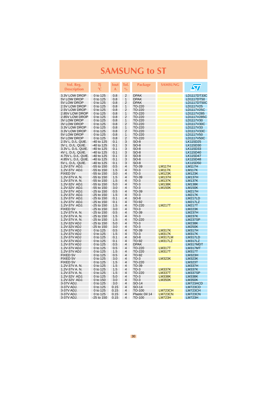| Vol. Reg.<br><b>Description</b>  | Τj<br>$\circ$ C            | Iout<br>A   | Tol.<br>$\%$        | <b>Package</b>   | <b>SAMSUNG</b>                 | $\sqrt{\pi}$                   |
|----------------------------------|----------------------------|-------------|---------------------|------------------|--------------------------------|--------------------------------|
| 3.3V LOW DROP                    | 0 to 125                   | 0.8         | $\overline{2}$      | <b>DPAK</b>      |                                | LD1117DT33C                    |
| 5V LOW DROP                      | 0 to 125                   | 0.8         | 1                   | <b>DPAK</b>      |                                | LD1117DT50                     |
| 5V LOW DROP                      | 0 to 125                   | 0.8         | 2                   | <b>DPAK</b>      |                                | LD1117DT50C                    |
| 2.5V LOW DROP                    | 0 to 125                   | 0.8         | 1                   | TO-220           |                                | LD1117V25                      |
| 2.5V LOW DROP                    | 0 to 125                   | 0.8         | 2                   | TO-220           |                                | LD1117V25C                     |
| 2.85V LOW DROP<br>2.85V LOW DROP | 0 to 125<br>0 to 125       | 0.8<br>0.8  | 1<br>$\overline{2}$ | TO-220<br>TO-220 |                                | LD1117V285<br>LD1117V285C      |
| <b>3V LOW DROP</b>               | 0 to 125                   | 0.8         | 1                   | TO-220           |                                | LD1117V30                      |
| 3V LOW DROP                      | 0 to 125                   | 0.8         | $\overline{2}$      | TO-220           |                                | LD1117V30C                     |
| 3.3V LOW DROP                    | 0 to 125                   | 0.8         | 1                   | TO-220           |                                | LD1117V33                      |
| 3.3V LOW DROP                    | 0 to 125                   | 0.8         | $\overline{2}$      | TO-220           |                                | LD1117V33C                     |
| 5V LOW DROP                      | 0 to 125                   | 0.8         | $\overline{1}$      | TO-220           |                                | LD1117V50                      |
| 5V LOW DROP                      | 0 to 125                   | 0.8         | 2                   | TO-220           |                                | LD1117V50C                     |
| 2.5V L. D./L. QUIE.              | -40 to 125                 | 0.1         | 3                   | $SO-8$           |                                | LK115D25                       |
| 3V L. D./L. QUIE.                | -40 to 125                 | 0.1         | 3                   | SO-8             |                                | LK115D30                       |
| 3.3V L. D./L. QUIE.              | -40 to 125                 | 0.1         | 3                   | SO-8             |                                | LK115D33                       |
| 4V L. D./L. QUIE.                | -40 to 125                 | 0.1         | 3                   | SO-8             |                                | LK115D40                       |
| 4.75V L. D./L. QUIE.             | -40 to 125                 | 0.1         | 3                   | SO-8             |                                | LK115D47                       |
| 4.85V L. D./L. QUIE.             | -40 to 125                 | 0.1         | 3                   | $SO-8$           |                                | LK115D48                       |
| 5V L. D./L. QUIE.                | -40 to 125                 | 0.1         | 3                   | $SO-8$           |                                | LK115D50                       |
| 1.2V-37V ADJ.                    | -55 to 150                 | 0.5<br>1.5  | 4<br>4              | TO-39<br>$TO-3$  | <b>LM117H</b><br><b>LM117K</b> | <b>LM117H</b>                  |
| 1.2V-37V ADJ.<br>FIXED 5V        | -55 to 150<br>$-55$ to 150 | 3.0         | 4                   | $TO-3$           | <b>LM123K</b>                  | <b>LM117K</b><br><b>LM123K</b> |
| 1.2V-37V A.N.                    | $-55$ to 150               | 1.5         | 4                   | TO-39            | <b>LM137H</b>                  | <b>LM137H</b>                  |
| 1.2V-37V A. N.                   | -55 to 150                 | 1.5         | 4                   | $TO-3$           | <b>LM137K</b>                  | <b>LM137K</b>                  |
| 1.2V-32V ADJ.                    | $-55$ to $150$             | 5.0         | 4                   | $TO-3$           | <b>LM138K</b>                  | <b>LM138K</b>                  |
| 1.2V-32V ADJ.                    | -55 to 150                 | 3.0         | 4                   | $TO-3$           | <b>LM150K</b>                  | <b>LM150K</b>                  |
| 1.2V-37V ADJ.                    | $-25$ to 150               | 0.5         | $\overline{4}$      | TO-39            |                                | <b>LM217H</b>                  |
| 1.2V-37V ADJ.                    | $-25$ to 150               | 1.5         | 4                   | $TO-3$           |                                | <b>LM217K</b>                  |
| 1.2V-37V ADJ.                    | $-25$ to 150               | 0.1         | 4                   | $SO-8$           |                                | <b>LM217LD</b>                 |
| 1.2V-37V ADJ.                    | $-25$ to 150               | 0.1         | 4                   | TO-92            |                                | <b>LM217LZ</b>                 |
| 1.2V-37V ADJ.                    | $-25$ to 150               | 1.5         | 4                   | TO-220           | <b>LM217T</b>                  | <b>LM217T</b>                  |
| <b>FIXED 5V</b>                  | $-25$ to 150               | 3.0         | 4                   | $TO-3$           |                                | <b>LM223K</b>                  |
| 1.2V-37V A. N.                   | $-25$ to 150               | 0.5         | 4                   | TO-39            |                                | <b>LM237H</b>                  |
| 1.2V-37V A. N.                   | $-25$ to 150               | 1.5         | 4                   | $TO-3$           |                                | <b>LM237K</b>                  |
| 1.2V-37V A. N.                   | $-25$ to 150               | 1.5         | $\overline{4}$      | TO-220           |                                | <b>LM237SP</b>                 |
| 1.2V-32V ADJ                     | -25 to 150                 | 5.0         | 4<br>4              | $TO-3$<br>$TO-3$ |                                | <b>LM238K</b>                  |
| 1.2V-32V ADJ<br>1.2V-37V ADJ     | $-25$ to 150<br>0 to 125   | 3.0<br>0.5  | 4                   | TO-39            | <b>LM317K</b>                  | <b>LM250K</b><br><b>LM317H</b> |
| 1.2V-37V ADJ                     | 0 to 125                   | 1.5         | 4                   | $TO-3$           | <b>LM317K</b>                  | <b>LM317K</b>                  |
| 1.2V-37V ADJ                     | 0 to 125                   | 0.1         | 4                   | $SO-8$           | LM317LM                        | LM317LD                        |
| 1.2V-37V ADJ                     | 0 to 125                   | 0.1         | 4                   | TO-92            | <b>LM317LZ</b>                 | <b>LM317LZ</b>                 |
| 1.2V-37V ADJ                     | 0 to 125                   | 0.5         | 4                   | <b>DPAK</b>      |                                | LM317MDT                       |
| 1.2V-37V ADJ                     | 0 to 125                   | 0.5         | 4                   | TO-220           | <b>LM317T</b>                  | LM317MT                        |
| 1.2V-37V ADJ                     | 0 to 125                   | 1.5         | 4                   | TO-220           | <b>LM317T</b>                  | <b>LM317T</b>                  |
| FIXED 5V                         | 0 to 125                   | 0.5         | 4                   | TO-92            |                                | <b>LM323H</b>                  |
| FIXED 5V                         | 0 to 125                   | 3.0         | 4                   | $TO-3$           | <b>LM323K</b>                  | <b>LM323K</b>                  |
| <b>FIXED 5V</b>                  | 0 to 125                   | 1.5         | 4                   | TO-220           |                                | <b>LM323T</b>                  |
| 1.2V-37V A. N.                   | 0 to 125                   | 1.5         | 4                   | TO-39            |                                | <b>LM337H</b>                  |
| 1.2V-37V A.N.                    | 0 to 125                   | 1.5         | 4                   | $TO-3$           | <b>LM337K</b>                  | <b>LM337K</b>                  |
| 1.2V-37V A.N.                    | 0 to 125                   | 1.5         | $\overline{4}$      | TO-220           | <b>LM337T</b>                  | <b>LM337SP</b>                 |
| 1.2V-32V ADJ.                    | 0 to 125                   | 5.0         | 4                   | $TO-3$           | <b>LM338K</b>                  | <b>LM338K</b>                  |
| 1.2V-32V ADJ.                    | 0 to 150                   | 3.0         | $\overline{4}$<br>4 | $TO-3$           | <b>LM350K</b>                  | <b>LM350K</b>                  |
| 3-37V ADJ.<br>3-37V ADJ.         | 0 to 125<br>0 to 125       | 3.0<br>0.15 | 4                   | SO-14<br>SO-14   |                                | LM723ACD<br>LM723CD            |
| 3-37V ADJ.                       | 0 to 125                   | 0.15        | 4                   | TO-100           | LM723CH                        | <b>LM723CH</b>                 |
| 3-37V ADJ.                       | 0 to 125                   | 0.15        | 4                   | Plastic Dil 14   | <b>LM723CN</b>                 | <b>LM723CN</b>                 |
| 3-37V ADJ.                       | -25 to 150                 | 0.15        | 4                   | TO-100           | <b>LM723H</b>                  | <b>LM723H</b>                  |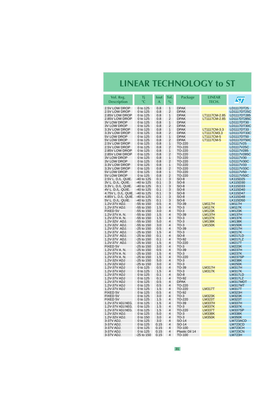## **LINEAR TECHNOLOGY to ST**

<span id="page-30-0"></span>

| Vol. Reg.<br><b>Description</b>           | Τi<br>$^{\circ}C$        | lout<br>A  | Tol.<br>$\%$                              | Package                    | <b>LINEAR</b><br>TECH.         | $\sqrt{\sqrt{2}}$               |
|-------------------------------------------|--------------------------|------------|-------------------------------------------|----------------------------|--------------------------------|---------------------------------|
|                                           |                          |            |                                           |                            |                                |                                 |
| 2.5V LOW DROP                             | 0 to 125                 | 0.8        | $\mathbf{1}$                              | <b>DPAK</b>                |                                | LD1117DT25                      |
| 2.5V LOW DROP                             | 0 to 125                 | 0.8        | 2                                         | <b>DPAK</b>                |                                | LD1117DT25C                     |
| 2.85V LOW DROP                            | 0 to 125                 | 0.8        | $\mathbf{1}$                              | <b>DPAK</b>                | LT1117CM-2.85                  | LD1117DT285                     |
| 2.85V LOW DROP<br><b>3V LOW DROP</b>      | 0 to 125                 | 0.8<br>0.8 | $\overline{2}$<br>1                       | <b>DPAK</b><br><b>DPAK</b> | LT1117CM-2.85                  | LD1117DT285C<br>LD1117DT30      |
| 3V LOW DROP                               | 0 to 125<br>0 to 125     | 0.8        | 2                                         | <b>DPAK</b>                |                                | LD1117DT30C                     |
| 3.3V LOW DROP                             | 0 to 125                 | 0.8        | 1                                         | <b>DPAK</b>                | LT1117CM-3.3                   | LD1117DT33                      |
| 3.3V LOW DROP                             | 0 to 125                 | 0.8        | $\overline{2}$                            | <b>DPAK</b>                | LT1117CM3.3                    | LD1117DT33C                     |
| 5V LOW DROP                               | 0 to 125                 | 0.8        | $\mathbf{1}$                              | <b>DPAK</b>                | <b>LT1117CM-5</b>              | LD1117DT50                      |
| 5V LOW DROP                               | 0 to 125                 | 0.8        | $\overline{2}$                            | <b>DPAK</b>                | LT1117CM-5                     | LD1117DT50C                     |
| 2.5V LOW DROP                             | 0 to 125                 | 0.8        | 1                                         | TO-220                     |                                | LD1117V25                       |
| 2.5V LOW DROP                             | 0 to 125                 | 0.8        | $\overline{2}$                            | TO-220                     |                                | LD1117V25C                      |
| 2.85V LOW DROP                            | 0 to 125                 | 0.8        | 1                                         | TO-220                     |                                | LD1117V285                      |
| 2.85V LOW DROP                            | 0 to 125                 | 0.8        | $\overline{2}$                            | TO-220                     |                                | LD1117V285C                     |
| 3V LOW DROP<br>3V LOW DROP                | 0 to 125<br>0 to 125     | 0.8<br>0.8 | $\mathbf{1}$<br>2                         | TO-220<br>TO-220           |                                | LD1117V30<br>LD1117V30C         |
| 3.3V LOW DROP                             | 0 to 125                 | 0.8        | $\mathbf{1}$                              | TO-220                     |                                | LD1117V33                       |
| 3.3V LOW DROP                             | 0 to 125                 | 0.8        | $\overline{2}$                            | TO-220                     |                                | LD1117V33C                      |
| 5V LOW DROP                               | 0 to 125                 | 0.8        | 1                                         | TO-220                     |                                | LD1117V50                       |
| 5V LOW DROP                               | 0 to 125                 | 0.8        | $\overline{2}$                            | TO-220                     |                                | LD1117V50C                      |
| 2.5V L. D./L. QUIE.                       | -40 to 125               | 0.1        | 3                                         | $SO-8$                     |                                | LK115D25                        |
| 3V L. D./L. QUIE.                         | -40 to 125               | 0.1        | 3                                         | $SO-8$                     |                                | LK115D30                        |
| 3.3V L. D./L. QUIE.                       | -40 to 125               | 0.1        | 3                                         | SO-8                       |                                | LK115D33                        |
| 4V L. D./L. QUIE.                         | -40 to 125               | 0.1        | 3                                         | $SO-8$                     |                                | LK115D40                        |
| 4.75V L. D./L. QUIE.                      | -40 to 125               | 0.1        | 3                                         | SO-8                       |                                | LK115D47                        |
| 4.85V L. D./L. QUIE.<br>5V L. D./L. QUIE. | -40 to 125<br>-40 to 125 | 0.1<br>0.1 | 3<br>3                                    | $SO-8$<br>$SO-8$           |                                | LK115D48<br>LK115D50            |
| 1.2V-37V ADJ.                             | -55 to 150               | 0.5        | 4                                         | TO-39                      | <b>LM117H</b>                  | <b>LM117H</b>                   |
| 1.2V-37V ADJ.                             | -55 to 150               | 1.5        | $\overline{\mathbf{4}}$                   | $TO-3$                     | <b>LM117K</b>                  | <b>LM117K</b>                   |
| <b>FIXED 5V</b>                           | -55 to 150               | 3.0        | 4                                         | $TO-3$                     | <b>LM123K</b>                  | <b>LM123K</b>                   |
| 1.2V-37V A. N.                            | -55 to 150               | 1.5        | $\overline{\mathbf{4}}$                   | TO-39                      | <b>LM137H</b>                  | <b>LM137H</b>                   |
| 1.2V-37V A. N.                            | -55 to 150               | 1.5        | $\overline{4}$                            | $TO-3$                     | <b>LM137K</b>                  | <b>LM137K</b>                   |
| 1.2V-32V ADJ.                             | -55 to 150               | 5.0        | $\overline{\mathbf{4}}$                   | $TO-3$                     | <b>LM138K</b>                  | <b>LM138K</b>                   |
| 1.2V-32V ADJ.                             | -55 to 150               | 3.0        | $\overline{4}$                            | $TO-3$                     | <b>LM150K</b>                  | <b>LM150K</b>                   |
| 1.2V-37V ADJ.                             | -25 to 150               | 0.5        | 4<br>4                                    | TO-39<br>$TO-3$            |                                | <b>LM217H</b>                   |
| 1.2V-37V ADJ.<br>1.2V-37V ADJ.            | -25 to 150<br>-25 to 150 | 1.5<br>0.1 | 4                                         | $SO-8$                     |                                | <b>LM217K</b><br><b>LM217LD</b> |
| 1.2V-37V ADJ.                             | -25 to 150               | 0.1        | 4                                         | TO-92                      |                                | <b>LM217LZ</b>                  |
| 1.2V-37V ADJ.                             | $-25$ to 150             | 1.5        | $\overline{\mathbf{4}}$                   | TO-220                     |                                | <b>LM217T</b>                   |
| <b>FIXED 5V</b>                           | $-25$ to 150             | 3.0        | $\overline{\mathbf{4}}$                   | $TO-3$                     |                                | <b>LM223K</b>                   |
| 1.2V-37V A. N.                            | $-25$ to 150             | 0.5        | 4                                         | TO-39                      |                                | <b>LM237H</b>                   |
| 1.2V-37V A. N.                            | -25 to 150               | 1.5        | $\overline{4}$                            | $TO-3$                     |                                | <b>LM237K</b>                   |
| 1.2V-37V A. N.                            | -25 to 150               | 1.5        | $\overline{4}$                            | TO-220                     |                                | <b>LM237SP</b>                  |
| 1.2V-32V ADJ                              | -25 to 150               | 5.0        | $\overline{4}$                            | $TO-3$                     |                                | <b>LM238K</b>                   |
| 1.2V-32V ADJ<br>1.2V-37V ADJ              | -25 to 150<br>0 to 125   | 3.0        | $\overline{4}$<br>$\overline{\mathbf{4}}$ | $TO-3$<br>TO-39            | <b>LM317H</b>                  | <b>LM250K</b><br><b>LM317H</b>  |
| 1.2V-37V ADJ                              | 0 to 125                 | 0.5<br>1.5 | $\overline{\mathbf{4}}$                   | $TO-3$                     | <b>LM317K</b>                  | <b>LM317K</b>                   |
| 1.2V-37V ADJ                              | 0 to 125                 | 0.1        | 4                                         | $SO-8$                     |                                | LM317LD                         |
| 1.2V-37V ADJ                              | 0 to 125                 | 0.1        | 4                                         | TO-92                      |                                | LM317LZ                         |
| 1.2V-37V ADJ                              | 0 to 125                 | 0.5        | 4                                         | <b>DPAK</b>                |                                | LM317MDT                        |
| 1.2V-37V ADJ                              | 0 to 125                 | 0.5        | $\overline{4}$                            | TO-220                     |                                | LM317MT                         |
| 1.2V-37V ADJ                              | 0 to 125                 | 1.5        | $\overline{\mathbf{4}}$                   | TO-220                     | <b>LM317T</b>                  | <b>LM317T</b>                   |
| FIXED 5V                                  | 0 to 125                 | 0.5        | $\overline{4}$                            | TO-92                      |                                | <b>LM323H</b>                   |
| <b>FIXED 5V</b>                           | 0 to 125                 | 3.0        | $\overline{4}$                            | $TO-3$                     | <b>LM323K</b>                  | <b>LM323K</b>                   |
| FIXED 5V                                  | 0 to 125                 | 1.5        | 4                                         | TO-220                     | <b>LM323T</b>                  | <b>LM323T</b>                   |
| 1.2V-37V ADJ.NEG.<br>1.2V-37V ADJ.NEG.    | 0 to 125<br>0 to 125     | 1.5<br>1.5 | 4<br>4                                    | TO-39<br>$TO-3$            | <b>LM337H</b><br><b>LM337K</b> | <b>LM337H</b><br><b>LM337K</b>  |
| 1.2V-37V ADJ.NEG.                         | 0 to 125                 | 1.5        | 4                                         | TO-220                     | <b>LM337T</b>                  | LM337SP                         |
| 1.2V-32V ADJ.                             | 0 to 125                 | 5.0        | $\overline{\mathbf{4}}$                   | TO-3                       | <b>LM338K</b>                  | <b>LM338K</b>                   |
| 1.2V-32V ADJ.                             | 0 to 150                 | 3.0        | $\overline{4}$                            | $TO-3$                     | <b>LM350K</b>                  | <b>LM350K</b>                   |
| 3-37V ADJ.                                | 0 to 125                 | 3.0        | $\overline{\mathbf{4}}$                   | SO-14                      |                                | LM723ACD                        |
| 3-37V ADJ.                                | 0 to 125                 | 0.15       | $\overline{\mathbf{4}}$                   | SO-14                      |                                | <b>LM723CD</b>                  |
| 3-37V ADJ.                                | 0 to 125                 | 0.15       | $\overline{4}$                            | TO-100                     |                                | <b>LM723CH</b>                  |
| 3-37V ADJ.                                | 0 to 125                 | 0.15       | $\overline{\mathbf{4}}$                   | Plastic Dil 14             |                                | <b>LM723CN</b>                  |
| 3-37V ADJ.                                | -25 to 150               | 0.15       | 4                                         | TO-100                     |                                | <b>LM723H</b>                   |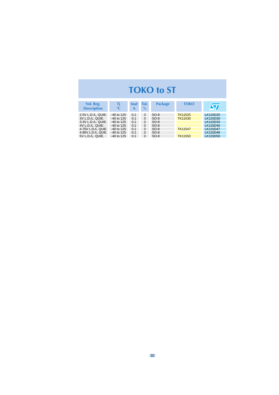#### **TOKO to ST**

<span id="page-31-0"></span>

| Vol. Reg.<br><b>Description</b> | Τi<br>$\rm ^{\circ}C$ | <b>lout</b><br>A | Tol.<br>$\%$ | <b>Package</b> | <b>TOKO</b>    |                 |
|---------------------------------|-----------------------|------------------|--------------|----------------|----------------|-----------------|
| 2.5V L.D./L. QUIE.              | $-40$ to 125          | 0.1              | 3            | $SO-8$         | <b>TK11525</b> | LK115D25        |
| 3V L.D./L. QUIE.                | $-40$ to 125          | 0.1              | 3            | $SO-8$         | TK11530        | LK115D30        |
| 3.3V L.D./L. QUIE.              | $-40$ to 125          | 0.1              | 3            | $SO-8$         |                | LK115D33        |
| 4V L.D./L. QUIE.                | -40 to 125            | 0.1              | 3            | $SO-8$         |                | LK115D40        |
| 4.75V L.D./L. QUIE.             | $-40$ to 125          | 0.1              | 3            | $SO-8$         | <b>TK11547</b> | <b>LK115D47</b> |
| 4.85V L.D./L. QUIE.             | -40 to 125            | 0.1              | 3            | $SO-8$         |                | LK115D48        |
| 5V L.D./L. QUIE.                | $-40$ to 125          | 0 <sub>1</sub>   | 3            | $SO-8$         | <b>TK11550</b> | LK115D50        |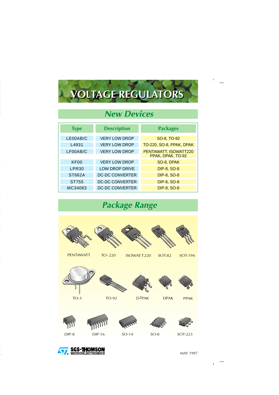# **VOLTAGE REGULATORS VOLTAGE REGULATORS**

#### **New Devices**

| <b>Type</b>       | <b>Description</b>     | <b>Packages</b>                            |
|-------------------|------------------------|--------------------------------------------|
| LE00AB/C          | <b>VERY LOW DROP</b>   | SO-8, TO-92                                |
| L4931             | <b>VERY LOW DROP</b>   | TO-220, SO-8, PPAK, DPAK                   |
| LF00AB/C          | <b>VERY LOW DROP</b>   | PENTAWATT, ISOWATT220<br>PPAK, DPAK, TO-92 |
| <b>KF00</b>       | <b>VERY LOW DROP</b>   | SO-8, DPAK                                 |
| LPR <sub>30</sub> | LOW DROP DRIVE         | <b>DIP-8, SO-8</b>                         |
| <b>ST662A</b>     | <b>DC-DC CONVERTER</b> | <b>DIP-8, SO-8</b>                         |
| ST755             | <b>DC-DC CONVERTER</b> | <b>DIP-8, SO-8</b>                         |
| MC34063           | <b>DC-DC CONVERTER</b> | <b>DIP-8, SO-8</b>                         |

#### **Package Range**